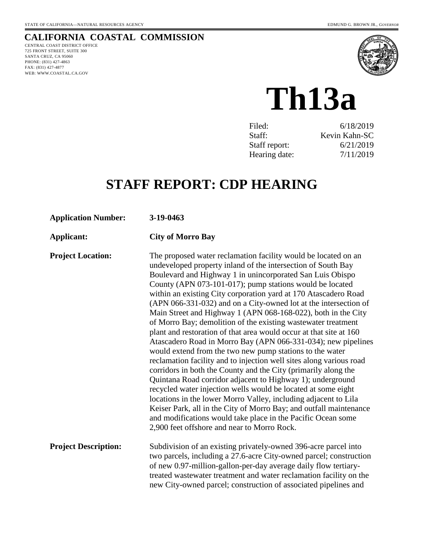# **CALIFORNIA COASTAL COMMISSION**

CENTRAL COAST DISTRICT OFFICE 725 FRONT STREET, SUITE 300 SANTA CRUZ, CA 95060 PHONE: (831) 427-4863 FAX: (831) 427-4877 WEB: WWW.COASTAL.CA.GOV



**Th13a** 

| Filed:        | 6/18/2019     |
|---------------|---------------|
| Staff:        | Kevin Kahn-SC |
| Staff report: | 6/21/2019     |
| Hearing date: | 7/11/2019     |

# **STAFF REPORT: CDP HEARING**

| <b>Application Number:</b>  | 3-19-0463                                                                                                                                                                                                                                                                                                                                                                                                                                                                                                                                                                                                                                                                                                                                                                                                                                                                                                                                                                                                                                                                                                                                                                                                                                                           |
|-----------------------------|---------------------------------------------------------------------------------------------------------------------------------------------------------------------------------------------------------------------------------------------------------------------------------------------------------------------------------------------------------------------------------------------------------------------------------------------------------------------------------------------------------------------------------------------------------------------------------------------------------------------------------------------------------------------------------------------------------------------------------------------------------------------------------------------------------------------------------------------------------------------------------------------------------------------------------------------------------------------------------------------------------------------------------------------------------------------------------------------------------------------------------------------------------------------------------------------------------------------------------------------------------------------|
| Applicant:                  | <b>City of Morro Bay</b>                                                                                                                                                                                                                                                                                                                                                                                                                                                                                                                                                                                                                                                                                                                                                                                                                                                                                                                                                                                                                                                                                                                                                                                                                                            |
| <b>Project Location:</b>    | The proposed water reclamation facility would be located on an<br>undeveloped property inland of the intersection of South Bay<br>Boulevard and Highway 1 in unincorporated San Luis Obispo<br>County (APN 073-101-017); pump stations would be located<br>within an existing City corporation yard at 170 Atascadero Road<br>(APN 066-331-032) and on a City-owned lot at the intersection of<br>Main Street and Highway 1 (APN 068-168-022), both in the City<br>of Morro Bay; demolition of the existing wastewater treatment<br>plant and restoration of that area would occur at that site at 160<br>Atascadero Road in Morro Bay (APN 066-331-034); new pipelines<br>would extend from the two new pump stations to the water<br>reclamation facility and to injection well sites along various road<br>corridors in both the County and the City (primarily along the<br>Quintana Road corridor adjacent to Highway 1); underground<br>recycled water injection wells would be located at some eight<br>locations in the lower Morro Valley, including adjacent to Lila<br>Keiser Park, all in the City of Morro Bay; and outfall maintenance<br>and modifications would take place in the Pacific Ocean some<br>2,900 feet offshore and near to Morro Rock. |
| <b>Project Description:</b> | Subdivision of an existing privately-owned 396-acre parcel into<br>two parcels, including a 27.6-acre City-owned parcel; construction<br>of new 0.97-million-gallon-per-day average daily flow tertiary-<br>treated wastewater treatment and water reclamation facility on the<br>new City-owned parcel; construction of associated pipelines and                                                                                                                                                                                                                                                                                                                                                                                                                                                                                                                                                                                                                                                                                                                                                                                                                                                                                                                   |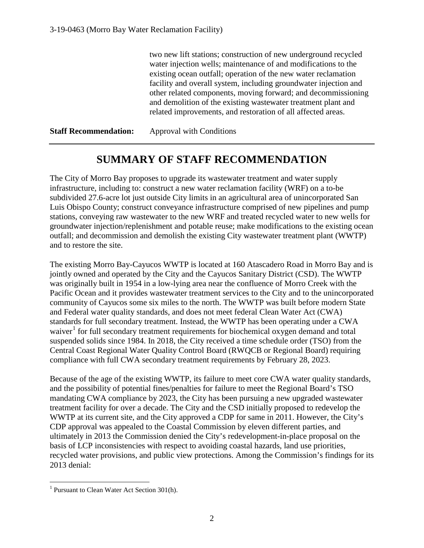two new lift stations; construction of new underground recycled water injection wells; maintenance of and modifications to the existing ocean outfall; operation of the new water reclamation facility and overall system, including groundwater injection and other related components, moving forward; and decommissioning and demolition of the existing wastewater treatment plant and related improvements, and restoration of all affected areas.

**Staff Recommendation:** Approval with Conditions

# **SUMMARY OF STAFF RECOMMENDATION**

The City of Morro Bay proposes to upgrade its wastewater treatment and water supply infrastructure, including to: construct a new water reclamation facility (WRF) on a to-be subdivided 27.6-acre lot just outside City limits in an agricultural area of unincorporated San Luis Obispo County; construct conveyance infrastructure comprised of new pipelines and pump stations, conveying raw wastewater to the new WRF and treated recycled water to new wells for groundwater injection/replenishment and potable reuse; make modifications to the existing ocean outfall; and decommission and demolish the existing City wastewater treatment plant (WWTP) and to restore the site.

The existing Morro Bay-Cayucos WWTP is located at 160 Atascadero Road in Morro Bay and is jointly owned and operated by the City and the Cayucos Sanitary District (CSD). The WWTP was originally built in 1954 in a low-lying area near the confluence of Morro Creek with the Pacific Ocean and it provides wastewater treatment services to the City and to the unincorporated community of Cayucos some six miles to the north. The WWTP was built before modern State and Federal water quality standards, and does not meet federal Clean Water Act (CWA) standards for full secondary treatment. Instead, the WWTP has been operating under a CWA waiver<sup>[1](#page-1-0)</sup> for full secondary treatment requirements for biochemical oxygen demand and total suspended solids since 1984. In 2018, the City received a time schedule order (TSO) from the Central Coast Regional Water Quality Control Board (RWQCB or Regional Board) requiring compliance with full CWA secondary treatment requirements by February 28, 2023.

Because of the age of the existing WWTP, its failure to meet core CWA water quality standards, and the possibility of potential fines/penalties for failure to meet the Regional Board's TSO mandating CWA compliance by 2023, the City has been pursuing a new upgraded wastewater treatment facility for over a decade. The City and the CSD initially proposed to redevelop the WWTP at its current site, and the City approved a CDP for same in 2011. However, the City's CDP approval was appealed to the Coastal Commission by eleven different parties, and ultimately in 2013 the Commission denied the City's redevelopment-in-place proposal on the basis of LCP inconsistencies with respect to avoiding coastal hazards, land use priorities, recycled water provisions, and public view protections. Among the Commission's findings for its 2013 denial:

<span id="page-1-0"></span> $\overline{a}$ <sup>1</sup> Pursuant to Clean Water Act Section 301(h).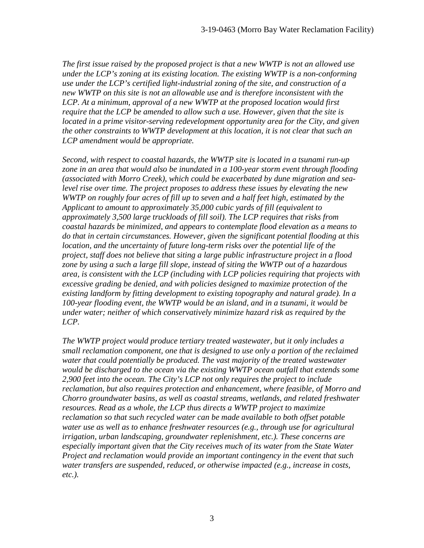*The first issue raised by the proposed project is that a new WWTP is not an allowed use under the LCP's zoning at its existing location. The existing WWTP is a non-conforming use under the LCP's certified light-industrial zoning of the site, and construction of a new WWTP on this site is not an allowable use and is therefore inconsistent with the LCP. At a minimum, approval of a new WWTP at the proposed location would first require that the LCP be amended to allow such a use. However, given that the site is located in a prime visitor-serving redevelopment opportunity area for the City, and given the other constraints to WWTP development at this location, it is not clear that such an LCP amendment would be appropriate.* 

*Second, with respect to coastal hazards, the WWTP site is located in a tsunami run-up zone in an area that would also be inundated in a 100-year storm event through flooding (associated with Morro Creek), which could be exacerbated by dune migration and sealevel rise over time. The project proposes to address these issues by elevating the new WWTP on roughly four acres of fill up to seven and a half feet high, estimated by the Applicant to amount to approximately 35,000 cubic yards of fill (equivalent to approximately 3,500 large truckloads of fill soil). The LCP requires that risks from coastal hazards be minimized, and appears to contemplate flood elevation as a means to do that in certain circumstances. However, given the significant potential flooding at this location, and the uncertainty of future long-term risks over the potential life of the project, staff does not believe that siting a large public infrastructure project in a flood zone by using a such a large fill slope, instead of siting the WWTP out of a hazardous area, is consistent with the LCP (including with LCP policies requiring that projects with excessive grading be denied, and with policies designed to maximize protection of the existing landform by fitting development to existing topography and natural grade). In a 100-year flooding event, the WWTP would be an island, and in a tsunami, it would be under water; neither of which conservatively minimize hazard risk as required by the LCP.* 

*The WWTP project would produce tertiary treated wastewater, but it only includes a small reclamation component, one that is designed to use only a portion of the reclaimed water that could potentially be produced. The vast majority of the treated wastewater would be discharged to the ocean via the existing WWTP ocean outfall that extends some 2,900 feet into the ocean. The City's LCP not only requires the project to include reclamation, but also requires protection and enhancement, where feasible, of Morro and Chorro groundwater basins, as well as coastal streams, wetlands, and related freshwater resources. Read as a whole, the LCP thus directs a WWTP project to maximize reclamation so that such recycled water can be made available to both offset potable water use as well as to enhance freshwater resources (e.g., through use for agricultural irrigation, urban landscaping, groundwater replenishment, etc.). These concerns are especially important given that the City receives much of its water from the State Water Project and reclamation would provide an important contingency in the event that such water transfers are suspended, reduced, or otherwise impacted (e.g., increase in costs, etc.).*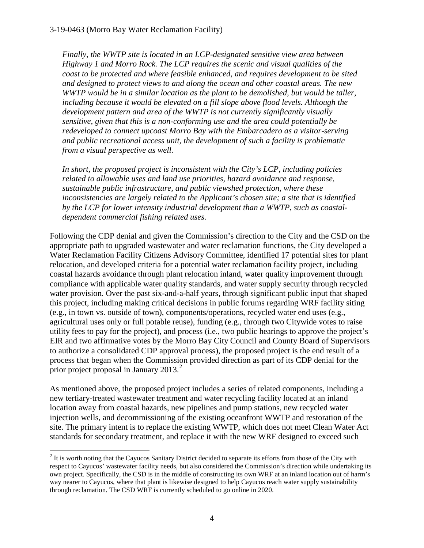*Finally, the WWTP site is located in an LCP-designated sensitive view area between Highway 1 and Morro Rock. The LCP requires the scenic and visual qualities of the coast to be protected and where feasible enhanced, and requires development to be sited and designed to protect views to and along the ocean and other coastal areas. The new WWTP would be in a similar location as the plant to be demolished, but would be taller,*  including because it would be elevated on a fill slope above flood levels. Although the *development pattern and area of the WWTP is not currently significantly visually sensitive, given that this is a non-conforming use and the area could potentially be redeveloped to connect upcoast Morro Bay with the Embarcadero as a visitor-serving and public recreational access unit, the development of such a facility is problematic from a visual perspective as well.* 

*In short, the proposed project is inconsistent with the City's LCP, including policies related to allowable uses and land use priorities, hazard avoidance and response, sustainable public infrastructure, and public viewshed protection, where these inconsistencies are largely related to the Applicant's chosen site; a site that is identified by the LCP for lower intensity industrial development than a WWTP, such as coastaldependent commercial fishing related uses.* 

Following the CDP denial and given the Commission's direction to the City and the CSD on the appropriate path to upgraded wastewater and water reclamation functions, the City developed a Water Reclamation Facility Citizens Advisory Committee, identified 17 potential sites for plant relocation, and developed criteria for a potential water reclamation facility project, including coastal hazards avoidance through plant relocation inland, water quality improvement through compliance with applicable water quality standards, and water supply security through recycled water provision. Over the past six-and-a-half years, through significant public input that shaped this project, including making critical decisions in public forums regarding WRF facility siting (e.g., in town vs. outside of town), components/operations, recycled water end uses (e.g., agricultural uses only or full potable reuse), funding (e.g., through two Citywide votes to raise utility fees to pay for the project), and process (i.e., two public hearings to approve the project's EIR and two affirmative votes by the Morro Bay City Council and County Board of Supervisors to authorize a consolidated CDP approval process), the proposed project is the end result of a process that began when the Commission provided direction as part of its CDP denial for the prior project proposal in January [2](#page-3-0)013. $^2$ 

As mentioned above, the proposed project includes a series of related components, including a new tertiary-treated wastewater treatment and water recycling facility located at an inland location away from coastal hazards, new pipelines and pump stations, new recycled water injection wells, and decommissioning of the existing oceanfront WWTP and restoration of the site. The primary intent is to replace the existing WWTP, which does not meet Clean Water Act standards for secondary treatment, and replace it with the new WRF designed to exceed such

<span id="page-3-0"></span> $\overline{a}$  $2$  It is worth noting that the Cayucos Sanitary District decided to separate its efforts from those of the City with respect to Cayucos' wastewater facility needs, but also considered the Commission's direction while undertaking its own project. Specifically, the CSD is in the middle of constructing its own WRF at an inland location out of harm's way nearer to Cayucos, where that plant is likewise designed to help Cayucos reach water supply sustainability through reclamation. The CSD WRF is currently scheduled to go online in 2020.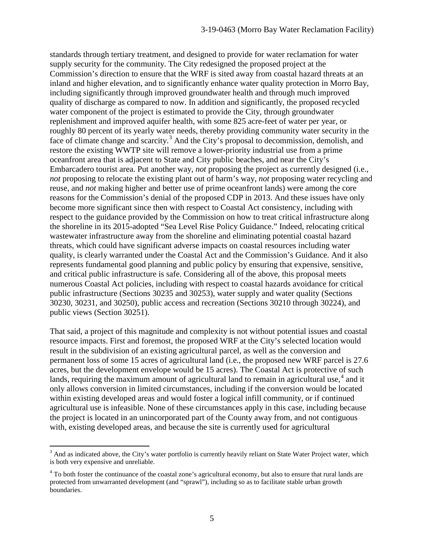standards through tertiary treatment, and designed to provide for water reclamation for water supply security for the community. The City redesigned the proposed project at the Commission's direction to ensure that the WRF is sited away from coastal hazard threats at an inland and higher elevation, and to significantly enhance water quality protection in Morro Bay, including significantly through improved groundwater health and through much improved quality of discharge as compared to now. In addition and significantly, the proposed recycled water component of the project is estimated to provide the City, through groundwater replenishment and improved aquifer health, with some 825 acre-feet of water per year, or roughly 80 percent of its yearly water needs, thereby providing community water security in the face of climate change and scarcity.<sup>[3](#page-4-0)</sup> And the City's proposal to decommission, demolish, and restore the existing WWTP site will remove a lower-priority industrial use from a prime oceanfront area that is adjacent to State and City public beaches, and near the City's Embarcadero tourist area. Put another way, *not* proposing the project as currently designed (i.e., *not* proposing to relocate the existing plant out of harm's way, *not* proposing water recycling and reuse, and *not* making higher and better use of prime oceanfront lands) were among the core reasons for the Commission's denial of the proposed CDP in 2013. And these issues have only become more significant since then with respect to Coastal Act consistency, including with respect to the guidance provided by the Commission on how to treat critical infrastructure along the shoreline in its 2015-adopted "Sea Level Rise Policy Guidance." Indeed, relocating critical wastewater infrastructure away from the shoreline and eliminating potential coastal hazard threats, which could have significant adverse impacts on coastal resources including water quality, is clearly warranted under the Coastal Act and the Commission's Guidance. And it also represents fundamental good planning and public policy by ensuring that expensive, sensitive, and critical public infrastructure is safe. Considering all of the above, this proposal meets numerous Coastal Act policies, including with respect to coastal hazards avoidance for critical public infrastructure (Sections 30235 and 30253), water supply and water quality (Sections 30230, 30231, and 30250), public access and recreation (Sections 30210 through 30224), and public views (Section 30251).

That said, a project of this magnitude and complexity is not without potential issues and coastal resource impacts. First and foremost, the proposed WRF at the City's selected location would result in the subdivision of an existing agricultural parcel, as well as the conversion and permanent loss of some 15 acres of agricultural land (i.e., the proposed new WRF parcel is 27.6 acres, but the development envelope would be 15 acres). The Coastal Act is protective of such lands, requiring the maximum amount of agricultural land to remain in agricultural use,<sup>[4](#page-4-1)</sup> and it only allows conversion in limited circumstances, including if the conversion would be located within existing developed areas and would foster a logical infill community, or if continued agricultural use is infeasible. None of these circumstances apply in this case, including because the project is located in an unincorporated part of the County away from, and not contiguous with, existing developed areas, and because the site is currently used for agricultural

<span id="page-4-0"></span> $\overline{a}$  $3$  And as indicated above, the City's water portfolio is currently heavily reliant on State Water Project water, which is both very expensive and unreliable.

<span id="page-4-1"></span><sup>4</sup> To both foster the continuance of the coastal zone's agricultural economy, but also to ensure that rural lands are protected from unwarranted development (and "sprawl"), including so as to facilitate stable urban growth boundaries.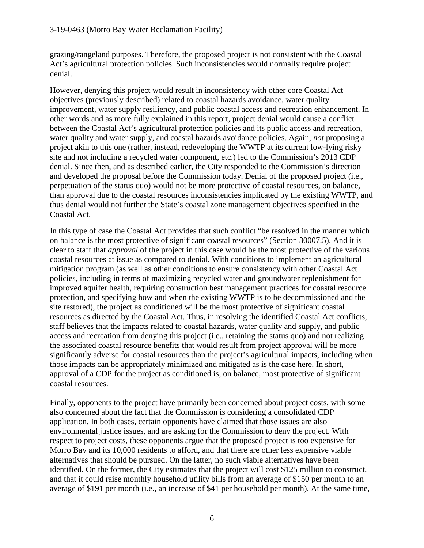grazing/rangeland purposes. Therefore, the proposed project is not consistent with the Coastal Act's agricultural protection policies. Such inconsistencies would normally require project denial.

However, denying this project would result in inconsistency with other core Coastal Act objectives (previously described) related to coastal hazards avoidance, water quality improvement, water supply resiliency, and public coastal access and recreation enhancement. In other words and as more fully explained in this report, project denial would cause a conflict between the Coastal Act's agricultural protection policies and its public access and recreation, water quality and water supply, and coastal hazards avoidance policies. Again, *not* proposing a project akin to this one (rather, instead, redeveloping the WWTP at its current low-lying risky site and not including a recycled water component, etc.) led to the Commission's 2013 CDP denial. Since then, and as described earlier, the City responded to the Commission's direction and developed the proposal before the Commission today. Denial of the proposed project (i.e., perpetuation of the status quo) would not be more protective of coastal resources, on balance, than approval due to the coastal resources inconsistencies implicated by the existing WWTP, and thus denial would not further the State's coastal zone management objectives specified in the Coastal Act.

In this type of case the Coastal Act provides that such conflict "be resolved in the manner which on balance is the most protective of significant coastal resources" (Section 30007.5). And it is clear to staff that *approval* of the project in this case would be the most protective of the various coastal resources at issue as compared to denial. With conditions to implement an agricultural mitigation program (as well as other conditions to ensure consistency with other Coastal Act policies, including in terms of maximizing recycled water and groundwater replenishment for improved aquifer health, requiring construction best management practices for coastal resource protection, and specifying how and when the existing WWTP is to be decommissioned and the site restored), the project as conditioned will be the most protective of significant coastal resources as directed by the Coastal Act. Thus, in resolving the identified Coastal Act conflicts, staff believes that the impacts related to coastal hazards, water quality and supply, and public access and recreation from denying this project (i.e., retaining the status quo) and not realizing the associated coastal resource benefits that would result from project approval will be more significantly adverse for coastal resources than the project's agricultural impacts, including when those impacts can be appropriately minimized and mitigated as is the case here. In short, approval of a CDP for the project as conditioned is, on balance, most protective of significant coastal resources.

Finally, opponents to the project have primarily been concerned about project costs, with some also concerned about the fact that the Commission is considering a consolidated CDP application. In both cases, certain opponents have claimed that those issues are also environmental justice issues, and are asking for the Commission to deny the project. With respect to project costs, these opponents argue that the proposed project is too expensive for Morro Bay and its 10,000 residents to afford, and that there are other less expensive viable alternatives that should be pursued. On the latter, no such viable alternatives have been identified. On the former, the City estimates that the project will cost \$125 million to construct, and that it could raise monthly household utility bills from an average of \$150 per month to an average of \$191 per month (i.e., an increase of \$41 per household per month). At the same time,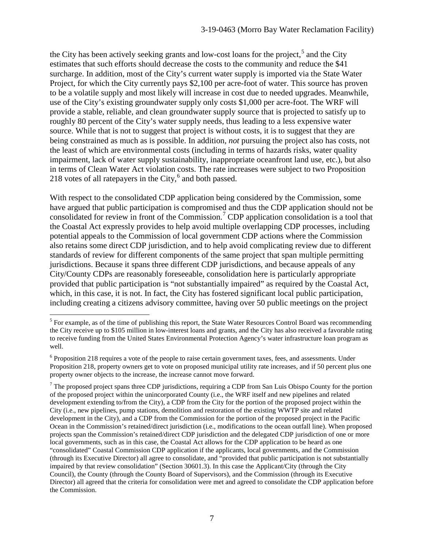the City has been actively seeking grants and low-cost loans for the project,<sup>[5](#page-6-0)</sup> and the City estimates that such efforts should decrease the costs to the community and reduce the \$41 surcharge. In addition, most of the City's current water supply is imported via the State Water Project, for which the City currently pays \$2,100 per acre-foot of water. This source has proven to be a volatile supply and most likely will increase in cost due to needed upgrades. Meanwhile, use of the City's existing groundwater supply only costs \$1,000 per acre-foot. The WRF will provide a stable, reliable, and clean groundwater supply source that is projected to satisfy up to roughly 80 percent of the City's water supply needs, thus leading to a less expensive water source. While that is not to suggest that project is without costs, it is to suggest that they are being constrained as much as is possible. In addition, *not* pursuing the project also has costs, not the least of which are environmental costs (including in terms of hazards risks, water quality impairment, lack of water supply sustainability, inappropriate oceanfront land use, etc.), but also in terms of Clean Water Act violation costs. The rate increases were subject to two Proposition 218 votes of all ratepayers in the City, $6$  and both passed.

With respect to the consolidated CDP application being considered by the Commission, some have argued that public participation is compromised and thus the CDP application should not be consolidated for review in front of the Commission.<sup>[7](#page-6-2)</sup> CDP application consolidation is a tool that the Coastal Act expressly provides to help avoid multiple overlapping CDP processes, including potential appeals to the Commission of local government CDP actions where the Commission also retains some direct CDP jurisdiction, and to help avoid complicating review due to different standards of review for different components of the same project that span multiple permitting jurisdictions. Because it spans three different CDP jurisdictions, and because appeals of any City/County CDPs are reasonably foreseeable, consolidation here is particularly appropriate provided that public participation is "not substantially impaired" as required by the Coastal Act, which, in this case, it is not. In fact, the City has fostered significant local public participation, including creating a citizens advisory committee, having over 50 public meetings on the project

<span id="page-6-0"></span> $\overline{a}$  $<sup>5</sup>$  For example, as of the time of publishing this report, the State Water Resources Control Board was recommending</sup> the City receive up to \$105 million in low-interest loans and grants, and the City has also received a favorable rating to receive funding from the United States Environmental Protection Agency's water infrastructure loan program as well.

<span id="page-6-1"></span> $6$  Proposition 218 requires a vote of the people to raise certain government taxes, fees, and assessments. Under Proposition 218, property owners get to vote on proposed municipal utility rate increases, and if 50 percent plus one property owner objects to the increase, the increase cannot move forward.

<span id="page-6-2"></span> $<sup>7</sup>$  The proposed project spans three CDP jurisdictions, requiring a CDP from San Luis Obispo County for the portion</sup> of the proposed project within the unincorporated County (i.e., the WRF itself and new pipelines and related development extending to/from the City), a CDP from the City for the portion of the proposed project within the City (i.e., new pipelines, pump stations, demolition and restoration of the existing WWTP site and related development in the City), and a CDP from the Commission for the portion of the proposed project in the Pacific Ocean in the Commission's retained/direct jurisdiction (i.e., modifications to the ocean outfall line). When proposed projects span the Commission's retained/direct CDP jurisdiction and the delegated CDP jurisdiction of one or more local governments, such as in this case, the Coastal Act allows for the CDP application to be heard as one "consolidated" Coastal Commission CDP application if the applicants, local governments, and the Commission (through its Executive Director) all agree to consolidate, and "provided that public participation is not substantially impaired by that review consolidation" (Section 30601.3). In this case the Applicant/City (through the City Council), the County (through the County Board of Supervisors), and the Commission (through its Executive Director) all agreed that the criteria for consolidation were met and agreed to consolidate the CDP application before the Commission.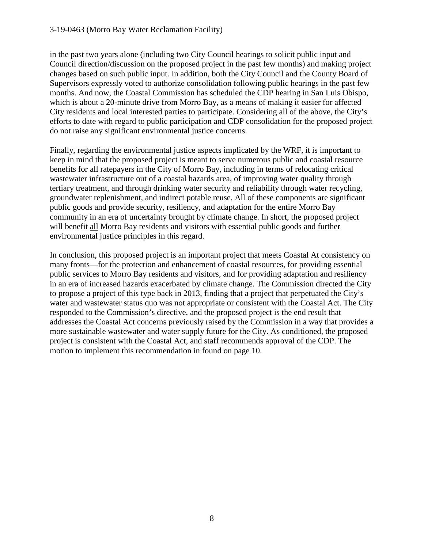in the past two years alone (including two City Council hearings to solicit public input and Council direction/discussion on the proposed project in the past few months) and making project changes based on such public input. In addition, both the City Council and the County Board of Supervisors expressly voted to authorize consolidation following public hearings in the past few months. And now, the Coastal Commission has scheduled the CDP hearing in San Luis Obispo, which is about a 20-minute drive from Morro Bay, as a means of making it easier for affected City residents and local interested parties to participate. Considering all of the above, the City's efforts to date with regard to public participation and CDP consolidation for the proposed project do not raise any significant environmental justice concerns.

Finally, regarding the environmental justice aspects implicated by the WRF, it is important to keep in mind that the proposed project is meant to serve numerous public and coastal resource benefits for all ratepayers in the City of Morro Bay, including in terms of relocating critical wastewater infrastructure out of a coastal hazards area, of improving water quality through tertiary treatment, and through drinking water security and reliability through water recycling, groundwater replenishment, and indirect potable reuse. All of these components are significant public goods and provide security, resiliency, and adaptation for the entire Morro Bay community in an era of uncertainty brought by climate change. In short, the proposed project will benefit all Morro Bay residents and visitors with essential public goods and further environmental justice principles in this regard.

In conclusion, this proposed project is an important project that meets Coastal At consistency on many fronts—for the protection and enhancement of coastal resources, for providing essential public services to Morro Bay residents and visitors, and for providing adaptation and resiliency in an era of increased hazards exacerbated by climate change. The Commission directed the City to propose a project of this type back in 2013, finding that a project that perpetuated the City's water and wastewater status quo was not appropriate or consistent with the Coastal Act. The City responded to the Commission's directive, and the proposed project is the end result that addresses the Coastal Act concerns previously raised by the Commission in a way that provides a more sustainable wastewater and water supply future for the City. As conditioned, the proposed project is consistent with the Coastal Act, and staff recommends approval of the CDP. The motion to implement this recommendation in found on page 10.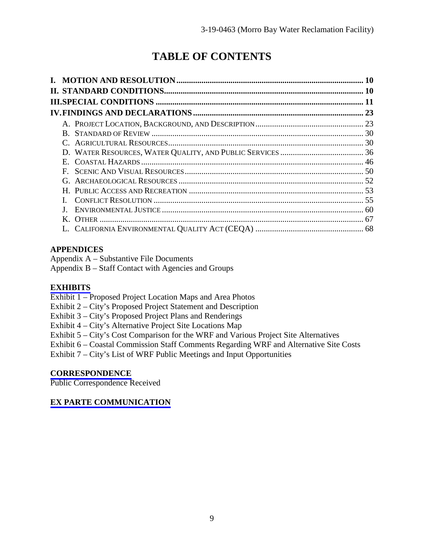# **TABLE OF CONTENTS**

|          | 10 |
|----------|----|
|          |    |
|          |    |
|          |    |
|          |    |
| $\bf{B}$ |    |
|          |    |
|          |    |
|          |    |
| F.       |    |
|          |    |
|          |    |
|          |    |
|          |    |
|          |    |
|          |    |

# **APPENDICES**

Appendix A – Substantive File Documents Appendix B – Staff Contact with Agencies and Groups

## **[EXHIBITS](https://documents.coastal.ca.gov/reports/2019/7/th13a/th13a-7-2019-exhibits.pdf)**

- Exhibit 1 Proposed Project Location Maps and Area Photos
- Exhibit 2 City's Proposed Project Statement and Description
- Exhibit 3 City's Proposed Project Plans and Renderings
- Exhibit 4 City's Alternative Project Site Locations Map
- Exhibit 5 City's Cost Comparison for the WRF and Various Project Site Alternatives
- Exhibit 6 Coastal Commission Staff Comments Regarding WRF and Alternative Site Costs

Exhibit 7 – City's List of WRF Public Meetings and Input Opportunities

## **[CORRESPONDENCE](https://documents.coastal.ca.gov/reports/2019/7/th13a/th13a-7-2019-corresp.pdf)**

Public Correspondence Received

## **[EX PARTE COMMUNICATION](https://documents.coastal.ca.gov/reports/2019/7/th13a/th13a-7-2019-exparte.pdf)**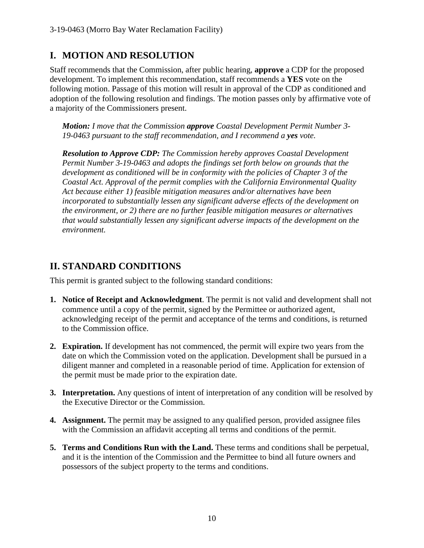# **I. MOTION AND RESOLUTION**

Staff recommends that the Commission, after public hearing, **approve** a CDP for the proposed development. To implement this recommendation, staff recommends a **YES** vote on the following motion. Passage of this motion will result in approval of the CDP as conditioned and adoption of the following resolution and findings. The motion passes only by affirmative vote of a majority of the Commissioners present.

*Motion: I move that the Commission approve Coastal Development Permit Number 3- 19-0463 pursuant to the staff recommendation, and I recommend a yes vote.* 

*Resolution to Approve CDP: The Commission hereby approves Coastal Development Permit Number 3-19-0463 and adopts the findings set forth below on grounds that the development as conditioned will be in conformity with the policies of Chapter 3 of the Coastal Act. Approval of the permit complies with the California Environmental Quality Act because either 1) feasible mitigation measures and/or alternatives have been incorporated to substantially lessen any significant adverse effects of the development on the environment, or 2) there are no further feasible mitigation measures or alternatives that would substantially lessen any significant adverse impacts of the development on the environment.* 

# **II. STANDARD CONDITIONS**

This permit is granted subject to the following standard conditions:

- **1. Notice of Receipt and Acknowledgment**. The permit is not valid and development shall not commence until a copy of the permit, signed by the Permittee or authorized agent, acknowledging receipt of the permit and acceptance of the terms and conditions, is returned to the Commission office.
- **2. Expiration.** If development has not commenced, the permit will expire two years from the date on which the Commission voted on the application. Development shall be pursued in a diligent manner and completed in a reasonable period of time. Application for extension of the permit must be made prior to the expiration date.
- **3. Interpretation.** Any questions of intent of interpretation of any condition will be resolved by the Executive Director or the Commission.
- **4. Assignment.** The permit may be assigned to any qualified person, provided assignee files with the Commission an affidavit accepting all terms and conditions of the permit.
- **5. Terms and Conditions Run with the Land.** These terms and conditions shall be perpetual, and it is the intention of the Commission and the Permittee to bind all future owners and possessors of the subject property to the terms and conditions.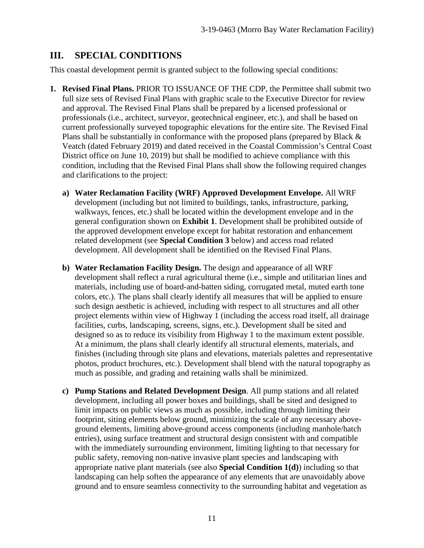# **III. SPECIAL CONDITIONS**

This coastal development permit is granted subject to the following special conditions:

- **1. Revised Final Plans.** PRIOR TO ISSUANCE OF THE CDP, the Permittee shall submit two full size sets of Revised Final Plans with graphic scale to the Executive Director for review and approval. The Revised Final Plans shall be prepared by a licensed professional or professionals (i.e., architect, surveyor, geotechnical engineer, etc.), and shall be based on current professionally surveyed topographic elevations for the entire site. The Revised Final Plans shall be substantially in conformance with the proposed plans (prepared by Black & Veatch (dated February 2019) and dated received in the Coastal Commission's Central Coast District office on June 10, 2019) but shall be modified to achieve compliance with this condition, including that the Revised Final Plans shall show the following required changes and clarifications to the project:
	- **a) Water Reclamation Facility (WRF) Approved Development Envelope.** All WRF development (including but not limited to buildings, tanks, infrastructure, parking, walkways, fences, etc.) shall be located within the development envelope and in the general configuration shown on **Exhibit 1**. Development shall be prohibited outside of the approved development envelope except for habitat restoration and enhancement related development (see **Special Condition 3** below) and access road related development. All development shall be identified on the Revised Final Plans.
	- **b) Water Reclamation Facility Design.** The design and appearance of all WRF development shall reflect a rural agricultural theme (i.e., simple and utilitarian lines and materials, including use of board-and-batten siding, corrugated metal, muted earth tone colors, etc.). The plans shall clearly identify all measures that will be applied to ensure such design aesthetic is achieved, including with respect to all structures and all other project elements within view of Highway 1 (including the access road itself, all drainage facilities, curbs, landscaping, screens, signs, etc.). Development shall be sited and designed so as to reduce its visibility from Highway 1 to the maximum extent possible. At a minimum, the plans shall clearly identify all structural elements, materials, and finishes (including through site plans and elevations, materials palettes and representative photos, product brochures, etc.). Development shall blend with the natural topography as much as possible, and grading and retaining walls shall be minimized.
	- **c) Pump Stations and Related Development Design**. All pump stations and all related development, including all power boxes and buildings, shall be sited and designed to limit impacts on public views as much as possible, including through limiting their footprint, siting elements below ground, minimizing the scale of any necessary aboveground elements, limiting above-ground access components (including manhole/hatch entries), using surface treatment and structural design consistent with and compatible with the immediately surrounding environment, limiting lighting to that necessary for public safety, removing non-native invasive plant species and landscaping with appropriate native plant materials (see also **Special Condition 1(d)**) including so that landscaping can help soften the appearance of any elements that are unavoidably above ground and to ensure seamless connectivity to the surrounding habitat and vegetation as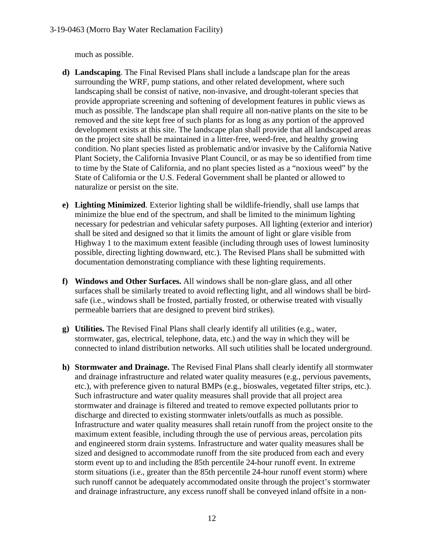much as possible.

- **d) Landscaping**. The Final Revised Plans shall include a landscape plan for the areas surrounding the WRF, pump stations, and other related development, where such landscaping shall be consist of native, non-invasive, and drought-tolerant species that provide appropriate screening and softening of development features in public views as much as possible. The landscape plan shall require all non-native plants on the site to be removed and the site kept free of such plants for as long as any portion of the approved development exists at this site. The landscape plan shall provide that all landscaped areas on the project site shall be maintained in a litter-free, weed-free, and healthy growing condition. No plant species listed as problematic and/or invasive by the California Native Plant Society, the California Invasive Plant Council, or as may be so identified from time to time by the State of California, and no plant species listed as a "noxious weed" by the State of California or the U.S. Federal Government shall be planted or allowed to naturalize or persist on the site.
- **e) Lighting Minimized**. Exterior lighting shall be wildlife-friendly, shall use lamps that minimize the blue end of the spectrum, and shall be limited to the minimum lighting necessary for pedestrian and vehicular safety purposes. All lighting (exterior and interior) shall be sited and designed so that it limits the amount of light or glare visible from Highway 1 to the maximum extent feasible (including through uses of lowest luminosity possible, directing lighting downward, etc.). The Revised Plans shall be submitted with documentation demonstrating compliance with these lighting requirements.
- **f) Windows and Other Surfaces.** All windows shall be non-glare glass, and all other surfaces shall be similarly treated to avoid reflecting light, and all windows shall be birdsafe (i.e., windows shall be frosted, partially frosted, or otherwise treated with visually permeable barriers that are designed to prevent bird strikes).
- **g) Utilities.** The Revised Final Plans shall clearly identify all utilities (e.g., water, stormwater, gas, electrical, telephone, data, etc.) and the way in which they will be connected to inland distribution networks. All such utilities shall be located underground.
- **h) Stormwater and Drainage.** The Revised Final Plans shall clearly identify all stormwater and drainage infrastructure and related water quality measures (e.g., pervious pavements, etc.), with preference given to natural BMPs (e.g., bioswales, vegetated filter strips, etc.). Such infrastructure and water quality measures shall provide that all project area stormwater and drainage is filtered and treated to remove expected pollutants prior to discharge and directed to existing stormwater inlets/outfalls as much as possible. Infrastructure and water quality measures shall retain runoff from the project onsite to the maximum extent feasible, including through the use of pervious areas, percolation pits and engineered storm drain systems. Infrastructure and water quality measures shall be sized and designed to accommodate runoff from the site produced from each and every storm event up to and including the 85th percentile 24-hour runoff event. In extreme storm situations (i.e., greater than the 85th percentile 24-hour runoff event storm) where such runoff cannot be adequately accommodated onsite through the project's stormwater and drainage infrastructure, any excess runoff shall be conveyed inland offsite in a non-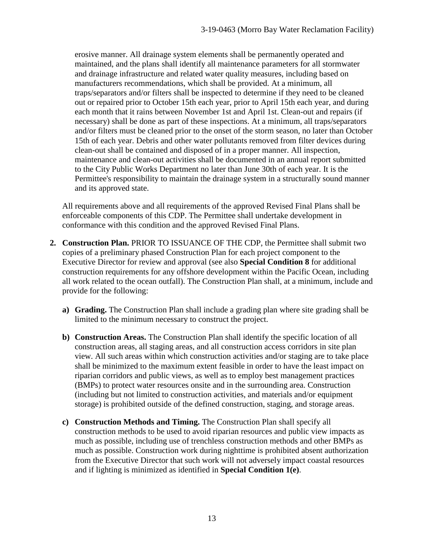erosive manner. All drainage system elements shall be permanently operated and maintained, and the plans shall identify all maintenance parameters for all stormwater and drainage infrastructure and related water quality measures, including based on manufacturers recommendations, which shall be provided. At a minimum, all traps/separators and/or filters shall be inspected to determine if they need to be cleaned out or repaired prior to October 15th each year, prior to April 15th each year, and during each month that it rains between November 1st and April 1st. Clean-out and repairs (if necessary) shall be done as part of these inspections. At a minimum, all traps/separators and/or filters must be cleaned prior to the onset of the storm season, no later than October 15th of each year. Debris and other water pollutants removed from filter devices during clean-out shall be contained and disposed of in a proper manner. All inspection, maintenance and clean-out activities shall be documented in an annual report submitted to the City Public Works Department no later than June 30th of each year. It is the Permittee's responsibility to maintain the drainage system in a structurally sound manner and its approved state.

All requirements above and all requirements of the approved Revised Final Plans shall be enforceable components of this CDP. The Permittee shall undertake development in conformance with this condition and the approved Revised Final Plans.

- **2. Construction Plan.** PRIOR TO ISSUANCE OF THE CDP, the Permittee shall submit two copies of a preliminary phased Construction Plan for each project component to the Executive Director for review and approval (see also **Special Condition 8** for additional construction requirements for any offshore development within the Pacific Ocean, including all work related to the ocean outfall). The Construction Plan shall, at a minimum, include and provide for the following:
	- **a) Grading.** The Construction Plan shall include a grading plan where site grading shall be limited to the minimum necessary to construct the project.
	- **b) Construction Areas.** The Construction Plan shall identify the specific location of all construction areas, all staging areas, and all construction access corridors in site plan view. All such areas within which construction activities and/or staging are to take place shall be minimized to the maximum extent feasible in order to have the least impact on riparian corridors and public views, as well as to employ best management practices (BMPs) to protect water resources onsite and in the surrounding area. Construction (including but not limited to construction activities, and materials and/or equipment storage) is prohibited outside of the defined construction, staging, and storage areas.
	- **c) Construction Methods and Timing.** The Construction Plan shall specify all construction methods to be used to avoid riparian resources and public view impacts as much as possible, including use of trenchless construction methods and other BMPs as much as possible. Construction work during nighttime is prohibited absent authorization from the Executive Director that such work will not adversely impact coastal resources and if lighting is minimized as identified in **Special Condition 1(e)**.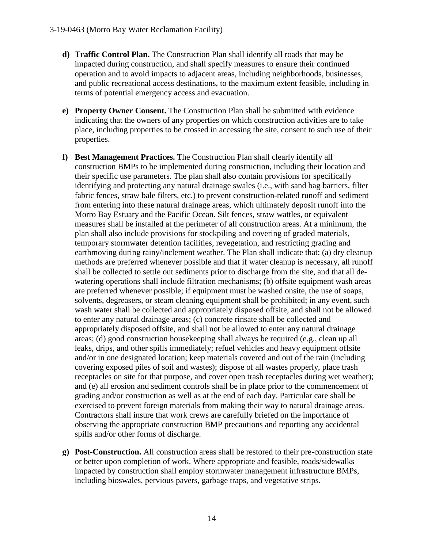- **d) Traffic Control Plan.** The Construction Plan shall identify all roads that may be impacted during construction, and shall specify measures to ensure their continued operation and to avoid impacts to adjacent areas, including neighborhoods, businesses, and public recreational access destinations, to the maximum extent feasible, including in terms of potential emergency access and evacuation.
- **e) Property Owner Consent.** The Construction Plan shall be submitted with evidence indicating that the owners of any properties on which construction activities are to take place, including properties to be crossed in accessing the site, consent to such use of their properties.
- **f) Best Management Practices.** The Construction Plan shall clearly identify all construction BMPs to be implemented during construction, including their location and their specific use parameters. The plan shall also contain provisions for specifically identifying and protecting any natural drainage swales (i.e., with sand bag barriers, filter fabric fences, straw bale filters, etc.) to prevent construction-related runoff and sediment from entering into these natural drainage areas, which ultimately deposit runoff into the Morro Bay Estuary and the Pacific Ocean. Silt fences, straw wattles, or equivalent measures shall be installed at the perimeter of all construction areas. At a minimum, the plan shall also include provisions for stockpiling and covering of graded materials, temporary stormwater detention facilities, revegetation, and restricting grading and earthmoving during rainy/inclement weather. The Plan shall indicate that: (a) dry cleanup methods are preferred whenever possible and that if water cleanup is necessary, all runoff shall be collected to settle out sediments prior to discharge from the site, and that all dewatering operations shall include filtration mechanisms; (b) offsite equipment wash areas are preferred whenever possible; if equipment must be washed onsite, the use of soaps, solvents, degreasers, or steam cleaning equipment shall be prohibited; in any event, such wash water shall be collected and appropriately disposed offsite, and shall not be allowed to enter any natural drainage areas; (c) concrete rinsate shall be collected and appropriately disposed offsite, and shall not be allowed to enter any natural drainage areas; (d) good construction housekeeping shall always be required (e.g., clean up all leaks, drips, and other spills immediately; refuel vehicles and heavy equipment offsite and/or in one designated location; keep materials covered and out of the rain (including covering exposed piles of soil and wastes); dispose of all wastes properly, place trash receptacles on site for that purpose, and cover open trash receptacles during wet weather); and (e) all erosion and sediment controls shall be in place prior to the commencement of grading and/or construction as well as at the end of each day. Particular care shall be exercised to prevent foreign materials from making their way to natural drainage areas. Contractors shall insure that work crews are carefully briefed on the importance of observing the appropriate construction BMP precautions and reporting any accidental spills and/or other forms of discharge.
- **g) Post-Construction.** All construction areas shall be restored to their pre-construction state or better upon completion of work. Where appropriate and feasible, roads/sidewalks impacted by construction shall employ stormwater management infrastructure BMPs, including bioswales, pervious pavers, garbage traps, and vegetative strips.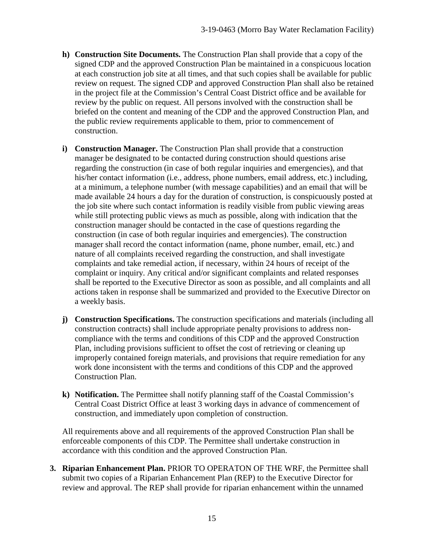- **h) Construction Site Documents.** The Construction Plan shall provide that a copy of the signed CDP and the approved Construction Plan be maintained in a conspicuous location at each construction job site at all times, and that such copies shall be available for public review on request. The signed CDP and approved Construction Plan shall also be retained in the project file at the Commission's Central Coast District office and be available for review by the public on request. All persons involved with the construction shall be briefed on the content and meaning of the CDP and the approved Construction Plan, and the public review requirements applicable to them, prior to commencement of construction.
- **i) Construction Manager.** The Construction Plan shall provide that a construction manager be designated to be contacted during construction should questions arise regarding the construction (in case of both regular inquiries and emergencies), and that his/her contact information (i.e., address, phone numbers, email address, etc.) including, at a minimum, a telephone number (with message capabilities) and an email that will be made available 24 hours a day for the duration of construction, is conspicuously posted at the job site where such contact information is readily visible from public viewing areas while still protecting public views as much as possible, along with indication that the construction manager should be contacted in the case of questions regarding the construction (in case of both regular inquiries and emergencies). The construction manager shall record the contact information (name, phone number, email, etc.) and nature of all complaints received regarding the construction, and shall investigate complaints and take remedial action, if necessary, within 24 hours of receipt of the complaint or inquiry. Any critical and/or significant complaints and related responses shall be reported to the Executive Director as soon as possible, and all complaints and all actions taken in response shall be summarized and provided to the Executive Director on a weekly basis.
- **j) Construction Specifications.** The construction specifications and materials (including all construction contracts) shall include appropriate penalty provisions to address noncompliance with the terms and conditions of this CDP and the approved Construction Plan, including provisions sufficient to offset the cost of retrieving or cleaning up improperly contained foreign materials, and provisions that require remediation for any work done inconsistent with the terms and conditions of this CDP and the approved Construction Plan.
- **k) Notification.** The Permittee shall notify planning staff of the Coastal Commission's Central Coast District Office at least 3 working days in advance of commencement of construction, and immediately upon completion of construction.

All requirements above and all requirements of the approved Construction Plan shall be enforceable components of this CDP. The Permittee shall undertake construction in accordance with this condition and the approved Construction Plan.

**3. Riparian Enhancement Plan.** PRIOR TO OPERATON OF THE WRF, the Permittee shall submit two copies of a Riparian Enhancement Plan (REP) to the Executive Director for review and approval. The REP shall provide for riparian enhancement within the unnamed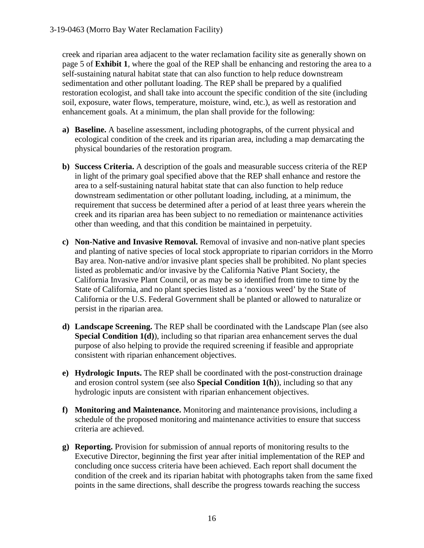creek and riparian area adjacent to the water reclamation facility site as generally shown on page 5 of **Exhibit 1**, where the goal of the REP shall be enhancing and restoring the area to a self-sustaining natural habitat state that can also function to help reduce downstream sedimentation and other pollutant loading. The REP shall be prepared by a qualified restoration ecologist, and shall take into account the specific condition of the site (including soil, exposure, water flows, temperature, moisture, wind, etc.), as well as restoration and enhancement goals. At a minimum, the plan shall provide for the following:

- **a) Baseline.** A baseline assessment, including photographs, of the current physical and ecological condition of the creek and its riparian area, including a map demarcating the physical boundaries of the restoration program.
- **b) Success Criteria.** A description of the goals and measurable success criteria of the REP in light of the primary goal specified above that the REP shall enhance and restore the area to a self-sustaining natural habitat state that can also function to help reduce downstream sedimentation or other pollutant loading, including, at a minimum, the requirement that success be determined after a period of at least three years wherein the creek and its riparian area has been subject to no remediation or maintenance activities other than weeding, and that this condition be maintained in perpetuity.
- **c) Non-Native and Invasive Removal.** Removal of invasive and non-native plant species and planting of native species of local stock appropriate to riparian corridors in the Morro Bay area. Non-native and/or invasive plant species shall be prohibited. No plant species listed as problematic and/or invasive by the California Native Plant Society, the California Invasive Plant Council, or as may be so identified from time to time by the State of California, and no plant species listed as a 'noxious weed' by the State of California or the U.S. Federal Government shall be planted or allowed to naturalize or persist in the riparian area.
- **d) Landscape Screening.** The REP shall be coordinated with the Landscape Plan (see also **Special Condition 1(d)**), including so that riparian area enhancement serves the dual purpose of also helping to provide the required screening if feasible and appropriate consistent with riparian enhancement objectives.
- **e) Hydrologic Inputs.** The REP shall be coordinated with the post-construction drainage and erosion control system (see also **Special Condition 1(h)**), including so that any hydrologic inputs are consistent with riparian enhancement objectives.
- **f) Monitoring and Maintenance.** Monitoring and maintenance provisions, including a schedule of the proposed monitoring and maintenance activities to ensure that success criteria are achieved.
- **g) Reporting.** Provision for submission of annual reports of monitoring results to the Executive Director, beginning the first year after initial implementation of the REP and concluding once success criteria have been achieved. Each report shall document the condition of the creek and its riparian habitat with photographs taken from the same fixed points in the same directions, shall describe the progress towards reaching the success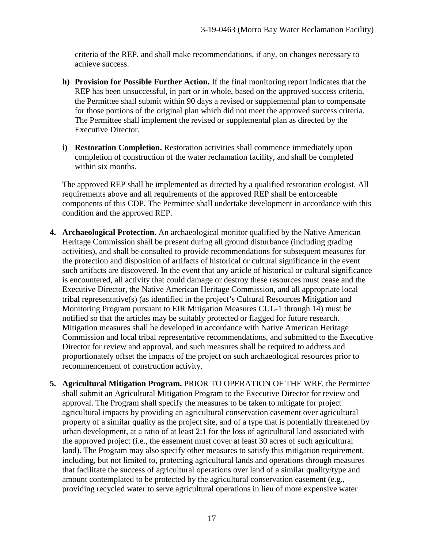criteria of the REP, and shall make recommendations, if any, on changes necessary to achieve success.

- **h) Provision for Possible Further Action.** If the final monitoring report indicates that the REP has been unsuccessful, in part or in whole, based on the approved success criteria, the Permittee shall submit within 90 days a revised or supplemental plan to compensate for those portions of the original plan which did not meet the approved success criteria. The Permittee shall implement the revised or supplemental plan as directed by the Executive Director.
- **i) Restoration Completion.** Restoration activities shall commence immediately upon completion of construction of the water reclamation facility, and shall be completed within six months.

The approved REP shall be implemented as directed by a qualified restoration ecologist. All requirements above and all requirements of the approved REP shall be enforceable components of this CDP. The Permittee shall undertake development in accordance with this condition and the approved REP.

- **4. Archaeological Protection.** An archaeological monitor qualified by the Native American Heritage Commission shall be present during all ground disturbance (including grading activities), and shall be consulted to provide recommendations for subsequent measures for the protection and disposition of artifacts of historical or cultural significance in the event such artifacts are discovered. In the event that any article of historical or cultural significance is encountered, all activity that could damage or destroy these resources must cease and the Executive Director, the Native American Heritage Commission, and all appropriate local tribal representative(s) (as identified in the project's Cultural Resources Mitigation and Monitoring Program pursuant to EIR Mitigation Measures CUL-1 through 14) must be notified so that the articles may be suitably protected or flagged for future research. Mitigation measures shall be developed in accordance with Native American Heritage Commission and local tribal representative recommendations, and submitted to the Executive Director for review and approval, and such measures shall be required to address and proportionately offset the impacts of the project on such archaeological resources prior to recommencement of construction activity.
- **5. Agricultural Mitigation Program.** PRIOR TO OPERATION OF THE WRF, the Permittee shall submit an Agricultural Mitigation Program to the Executive Director for review and approval. The Program shall specify the measures to be taken to mitigate for project agricultural impacts by providing an agricultural conservation easement over agricultural property of a similar quality as the project site, and of a type that is potentially threatened by urban development, at a ratio of at least 2:1 for the loss of agricultural land associated with the approved project (i.e., the easement must cover at least 30 acres of such agricultural land). The Program may also specify other measures to satisfy this mitigation requirement, including, but not limited to, protecting agricultural lands and operations through measures that facilitate the success of agricultural operations over land of a similar quality/type and amount contemplated to be protected by the agricultural conservation easement (e.g., providing recycled water to serve agricultural operations in lieu of more expensive water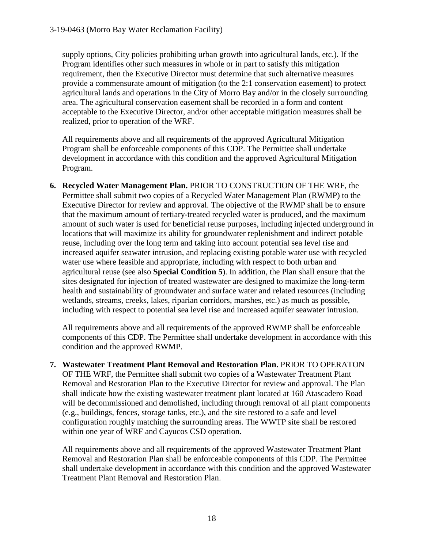supply options, City policies prohibiting urban growth into agricultural lands, etc.). If the Program identifies other such measures in whole or in part to satisfy this mitigation requirement, then the Executive Director must determine that such alternative measures provide a commensurate amount of mitigation (to the 2:1 conservation easement) to protect agricultural lands and operations in the City of Morro Bay and/or in the closely surrounding area. The agricultural conservation easement shall be recorded in a form and content acceptable to the Executive Director, and/or other acceptable mitigation measures shall be realized, prior to operation of the WRF.

All requirements above and all requirements of the approved Agricultural Mitigation Program shall be enforceable components of this CDP. The Permittee shall undertake development in accordance with this condition and the approved Agricultural Mitigation Program.

**6. Recycled Water Management Plan.** PRIOR TO CONSTRUCTION OF THE WRF, the Permittee shall submit two copies of a Recycled Water Management Plan (RWMP) to the Executive Director for review and approval. The objective of the RWMP shall be to ensure that the maximum amount of tertiary-treated recycled water is produced, and the maximum amount of such water is used for beneficial reuse purposes, including injected underground in locations that will maximize its ability for groundwater replenishment and indirect potable reuse, including over the long term and taking into account potential sea level rise and increased aquifer seawater intrusion, and replacing existing potable water use with recycled water use where feasible and appropriate, including with respect to both urban and agricultural reuse (see also **Special Condition 5**). In addition, the Plan shall ensure that the sites designated for injection of treated wastewater are designed to maximize the long-term health and sustainability of groundwater and surface water and related resources (including wetlands, streams, creeks, lakes, riparian corridors, marshes, etc.) as much as possible, including with respect to potential sea level rise and increased aquifer seawater intrusion.

All requirements above and all requirements of the approved RWMP shall be enforceable components of this CDP. The Permittee shall undertake development in accordance with this condition and the approved RWMP.

**7. Wastewater Treatment Plant Removal and Restoration Plan.** PRIOR TO OPERATON OF THE WRF, the Permittee shall submit two copies of a Wastewater Treatment Plant Removal and Restoration Plan to the Executive Director for review and approval. The Plan shall indicate how the existing wastewater treatment plant located at 160 Atascadero Road will be decommissioned and demolished, including through removal of all plant components (e.g., buildings, fences, storage tanks, etc.), and the site restored to a safe and level configuration roughly matching the surrounding areas. The WWTP site shall be restored within one year of WRF and Cayucos CSD operation.

All requirements above and all requirements of the approved Wastewater Treatment Plant Removal and Restoration Plan shall be enforceable components of this CDP. The Permittee shall undertake development in accordance with this condition and the approved Wastewater Treatment Plant Removal and Restoration Plan.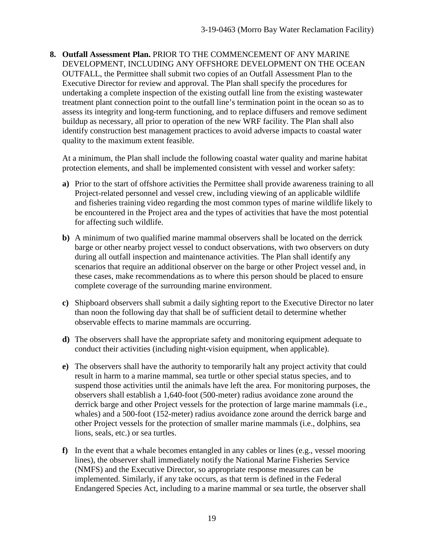**8. Outfall Assessment Plan.** PRIOR TO THE COMMENCEMENT OF ANY MARINE DEVELOPMENT, INCLUDING ANY OFFSHORE DEVELOPMENT ON THE OCEAN OUTFALL, the Permittee shall submit two copies of an Outfall Assessment Plan to the Executive Director for review and approval. The Plan shall specify the procedures for undertaking a complete inspection of the existing outfall line from the existing wastewater treatment plant connection point to the outfall line's termination point in the ocean so as to assess its integrity and long-term functioning, and to replace diffusers and remove sediment buildup as necessary, all prior to operation of the new WRF facility. The Plan shall also identify construction best management practices to avoid adverse impacts to coastal water quality to the maximum extent feasible.

At a minimum, the Plan shall include the following coastal water quality and marine habitat protection elements, and shall be implemented consistent with vessel and worker safety:

- **a)** Prior to the start of offshore activities the Permittee shall provide awareness training to all Project-related personnel and vessel crew, including viewing of an applicable wildlife and fisheries training video regarding the most common types of marine wildlife likely to be encountered in the Project area and the types of activities that have the most potential for affecting such wildlife.
- **b)** A minimum of two qualified marine mammal observers shall be located on the derrick barge or other nearby project vessel to conduct observations, with two observers on duty during all outfall inspection and maintenance activities. The Plan shall identify any scenarios that require an additional observer on the barge or other Project vessel and, in these cases, make recommendations as to where this person should be placed to ensure complete coverage of the surrounding marine environment.
- **c)** Shipboard observers shall submit a daily sighting report to the Executive Director no later than noon the following day that shall be of sufficient detail to determine whether observable effects to marine mammals are occurring.
- **d)** The observers shall have the appropriate safety and monitoring equipment adequate to conduct their activities (including night-vision equipment, when applicable).
- **e)** The observers shall have the authority to temporarily halt any project activity that could result in harm to a marine mammal, sea turtle or other special status species, and to suspend those activities until the animals have left the area. For monitoring purposes, the observers shall establish a 1,640-foot (500-meter) radius avoidance zone around the derrick barge and other Project vessels for the protection of large marine mammals (i.e., whales) and a 500-foot (152-meter) radius avoidance zone around the derrick barge and other Project vessels for the protection of smaller marine mammals (i.e., dolphins, sea lions, seals, etc.) or sea turtles.
- **f)** In the event that a whale becomes entangled in any cables or lines (e.g., vessel mooring lines), the observer shall immediately notify the National Marine Fisheries Service (NMFS) and the Executive Director, so appropriate response measures can be implemented. Similarly, if any take occurs, as that term is defined in the Federal Endangered Species Act, including to a marine mammal or sea turtle, the observer shall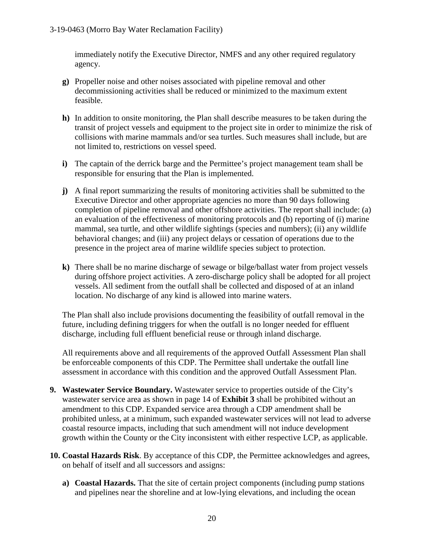immediately notify the Executive Director, NMFS and any other required regulatory agency.

- **g)** Propeller noise and other noises associated with pipeline removal and other decommissioning activities shall be reduced or minimized to the maximum extent feasible.
- **h)** In addition to onsite monitoring, the Plan shall describe measures to be taken during the transit of project vessels and equipment to the project site in order to minimize the risk of collisions with marine mammals and/or sea turtles. Such measures shall include, but are not limited to, restrictions on vessel speed.
- **i)** The captain of the derrick barge and the Permittee's project management team shall be responsible for ensuring that the Plan is implemented.
- **j)** A final report summarizing the results of monitoring activities shall be submitted to the Executive Director and other appropriate agencies no more than 90 days following completion of pipeline removal and other offshore activities. The report shall include: (a) an evaluation of the effectiveness of monitoring protocols and (b) reporting of (i) marine mammal, sea turtle, and other wildlife sightings (species and numbers); (ii) any wildlife behavioral changes; and (iii) any project delays or cessation of operations due to the presence in the project area of marine wildlife species subject to protection.
- **k)** There shall be no marine discharge of sewage or bilge/ballast water from project vessels during offshore project activities. A zero-discharge policy shall be adopted for all project vessels. All sediment from the outfall shall be collected and disposed of at an inland location. No discharge of any kind is allowed into marine waters.

The Plan shall also include provisions documenting the feasibility of outfall removal in the future, including defining triggers for when the outfall is no longer needed for effluent discharge, including full effluent beneficial reuse or through inland discharge.

All requirements above and all requirements of the approved Outfall Assessment Plan shall be enforceable components of this CDP. The Permittee shall undertake the outfall line assessment in accordance with this condition and the approved Outfall Assessment Plan.

- **9. Wastewater Service Boundary.** Wastewater service to properties outside of the City's wastewater service area as shown in page 14 of **Exhibit 3** shall be prohibited without an amendment to this CDP. Expanded service area through a CDP amendment shall be prohibited unless, at a minimum, such expanded wastewater services will not lead to adverse coastal resource impacts, including that such amendment will not induce development growth within the County or the City inconsistent with either respective LCP, as applicable.
- **10. Coastal Hazards Risk**. By acceptance of this CDP, the Permittee acknowledges and agrees, on behalf of itself and all successors and assigns:
	- **a) Coastal Hazards.** That the site of certain project components (including pump stations and pipelines near the shoreline and at low-lying elevations, and including the ocean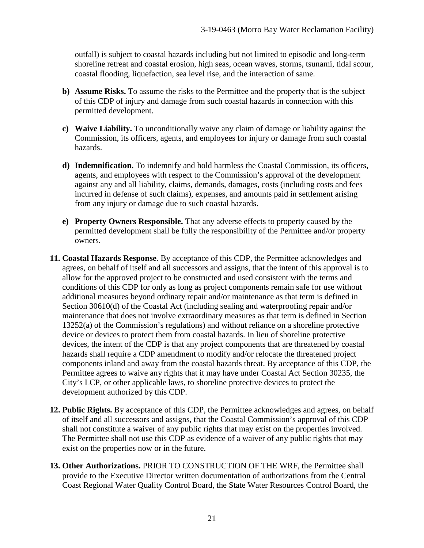outfall) is subject to coastal hazards including but not limited to episodic and long-term shoreline retreat and coastal erosion, high seas, ocean waves, storms, tsunami, tidal scour, coastal flooding, liquefaction, sea level rise, and the interaction of same.

- **b) Assume Risks.** To assume the risks to the Permittee and the property that is the subject of this CDP of injury and damage from such coastal hazards in connection with this permitted development.
- **c) Waive Liability.** To unconditionally waive any claim of damage or liability against the Commission, its officers, agents, and employees for injury or damage from such coastal hazards.
- **d) Indemnification.** To indemnify and hold harmless the Coastal Commission, its officers, agents, and employees with respect to the Commission's approval of the development against any and all liability, claims, demands, damages, costs (including costs and fees incurred in defense of such claims), expenses, and amounts paid in settlement arising from any injury or damage due to such coastal hazards.
- **e) Property Owners Responsible.** That any adverse effects to property caused by the permitted development shall be fully the responsibility of the Permittee and/or property owners.
- **11. Coastal Hazards Response**. By acceptance of this CDP, the Permittee acknowledges and agrees, on behalf of itself and all successors and assigns, that the intent of this approval is to allow for the approved project to be constructed and used consistent with the terms and conditions of this CDP for only as long as project components remain safe for use without additional measures beyond ordinary repair and/or maintenance as that term is defined in Section 30610(d) of the Coastal Act (including sealing and waterproofing repair and/or maintenance that does not involve extraordinary measures as that term is defined in Section 13252(a) of the Commission's regulations) and without reliance on a shoreline protective device or devices to protect them from coastal hazards. In lieu of shoreline protective devices, the intent of the CDP is that any project components that are threatened by coastal hazards shall require a CDP amendment to modify and/or relocate the threatened project components inland and away from the coastal hazards threat. By acceptance of this CDP, the Permittee agrees to waive any rights that it may have under Coastal Act Section 30235, the City's LCP, or other applicable laws, to shoreline protective devices to protect the development authorized by this CDP.
- **12. Public Rights.** By acceptance of this CDP, the Permittee acknowledges and agrees, on behalf of itself and all successors and assigns, that the Coastal Commission's approval of this CDP shall not constitute a waiver of any public rights that may exist on the properties involved. The Permittee shall not use this CDP as evidence of a waiver of any public rights that may exist on the properties now or in the future.
- **13. Other Authorizations.** PRIOR TO CONSTRUCTION OF THE WRF, the Permittee shall provide to the Executive Director written documentation of authorizations from the Central Coast Regional Water Quality Control Board, the State Water Resources Control Board, the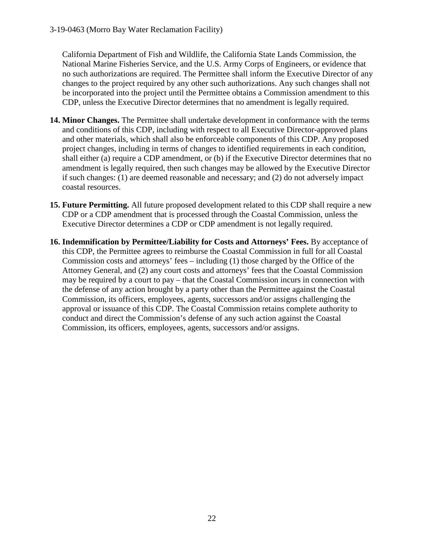California Department of Fish and Wildlife, the California State Lands Commission, the National Marine Fisheries Service, and the U.S. Army Corps of Engineers, or evidence that no such authorizations are required. The Permittee shall inform the Executive Director of any changes to the project required by any other such authorizations. Any such changes shall not be incorporated into the project until the Permittee obtains a Commission amendment to this CDP, unless the Executive Director determines that no amendment is legally required.

- **14. Minor Changes.** The Permittee shall undertake development in conformance with the terms and conditions of this CDP, including with respect to all Executive Director-approved plans and other materials, which shall also be enforceable components of this CDP. Any proposed project changes, including in terms of changes to identified requirements in each condition, shall either (a) require a CDP amendment, or (b) if the Executive Director determines that no amendment is legally required, then such changes may be allowed by the Executive Director if such changes: (1) are deemed reasonable and necessary; and (2) do not adversely impact coastal resources.
- **15. Future Permitting.** All future proposed development related to this CDP shall require a new CDP or a CDP amendment that is processed through the Coastal Commission, unless the Executive Director determines a CDP or CDP amendment is not legally required.
- **16. Indemnification by Permittee/Liability for Costs and Attorneys' Fees.** By acceptance of this CDP, the Permittee agrees to reimburse the Coastal Commission in full for all Coastal Commission costs and attorneys' fees – including (1) those charged by the Office of the Attorney General, and (2) any court costs and attorneys' fees that the Coastal Commission may be required by a court to pay – that the Coastal Commission incurs in connection with the defense of any action brought by a party other than the Permittee against the Coastal Commission, its officers, employees, agents, successors and/or assigns challenging the approval or issuance of this CDP. The Coastal Commission retains complete authority to conduct and direct the Commission's defense of any such action against the Coastal Commission, its officers, employees, agents, successors and/or assigns.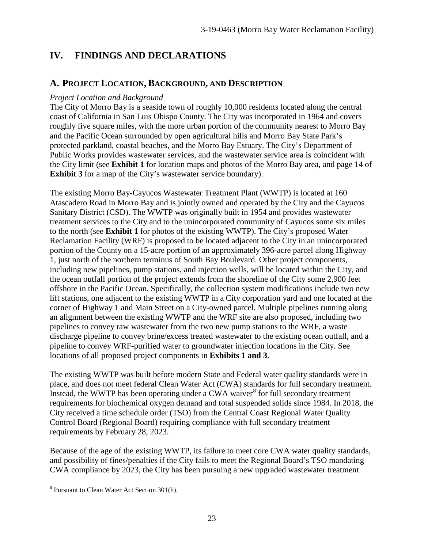# **IV. FINDINGS AND DECLARATIONS**

# **A. PROJECT LOCATION, BACKGROUND, AND DESCRIPTION**

#### *Project Location and Background*

The City of Morro Bay is a seaside town of roughly 10,000 residents located along the central coast of California in San Luis Obispo County. The City was incorporated in 1964 and covers roughly five square miles, with the more urban portion of the community nearest to Morro Bay and the Pacific Ocean surrounded by open agricultural hills and Morro Bay State Park's protected parkland, coastal beaches, and the Morro Bay Estuary. The City's Department of Public Works provides wastewater services, and the wastewater service area is coincident with the City limit (see **Exhibit 1** for location maps and photos of the Morro Bay area, and page 14 of **Exhibit 3** for a map of the City's wastewater service boundary).

The existing Morro Bay-Cayucos Wastewater Treatment Plant (WWTP) is located at 160 Atascadero Road in Morro Bay and is jointly owned and operated by the City and the Cayucos Sanitary District (CSD). The WWTP was originally built in 1954 and provides wastewater treatment services to the City and to the unincorporated community of Cayucos some six miles to the north (see **Exhibit 1** for photos of the existing WWTP). The City's proposed Water Reclamation Facility (WRF) is proposed to be located adjacent to the City in an unincorporated portion of the County on a 15-acre portion of an approximately 396-acre parcel along Highway 1, just north of the northern terminus of South Bay Boulevard. Other project components, including new pipelines, pump stations, and injection wells, will be located within the City, and the ocean outfall portion of the project extends from the shoreline of the City some 2,900 feet offshore in the Pacific Ocean. Specifically, the collection system modifications include two new lift stations, one adjacent to the existing WWTP in a City corporation yard and one located at the corner of Highway 1 and Main Street on a City-owned parcel. Multiple pipelines running along an alignment between the existing WWTP and the WRF site are also proposed, including two pipelines to convey raw wastewater from the two new pump stations to the WRF, a waste discharge pipeline to convey brine/excess treated wastewater to the existing ocean outfall, and a pipeline to convey WRF-purified water to groundwater injection locations in the City. See locations of all proposed project components in **Exhibits 1 and 3**.

The existing WWTP was built before modern State and Federal water quality standards were in place, and does not meet federal Clean Water Act (CWA) standards for full secondary treatment. Instead, the WWTP has been operating under a CWA waiver<sup>[8](#page-22-0)</sup> for full secondary treatment requirements for biochemical oxygen demand and total suspended solids since 1984. In 2018, the City received a time schedule order (TSO) from the Central Coast Regional Water Quality Control Board (Regional Board) requiring compliance with full secondary treatment requirements by February 28, 2023.

Because of the age of the existing WWTP, its failure to meet core CWA water quality standards, and possibility of fines/penalties if the City fails to meet the Regional Board's TSO mandating CWA compliance by 2023, the City has been pursuing a new upgraded wastewater treatment

 $\overline{a}$ 

<span id="page-22-0"></span><sup>8</sup> Pursuant to Clean Water Act Section 301(h).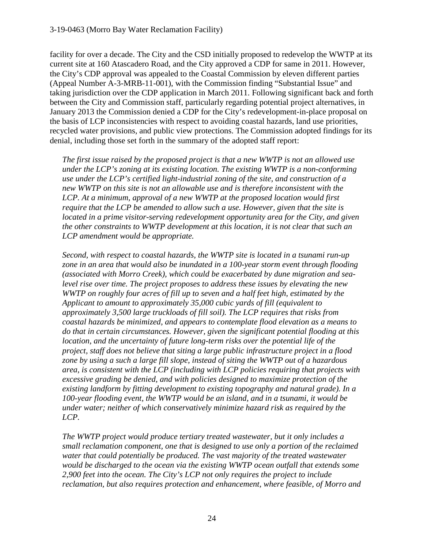facility for over a decade. The City and the CSD initially proposed to redevelop the WWTP at its current site at 160 Atascadero Road, and the City approved a CDP for same in 2011. However, the City's CDP approval was appealed to the Coastal Commission by eleven different parties (Appeal Number A-3-MRB-11-001), with the Commission finding "Substantial Issue" and taking jurisdiction over the CDP application in March 2011. Following significant back and forth between the City and Commission staff, particularly regarding potential project alternatives, in January 2013 the Commission denied a CDP for the City's redevelopment-in-place proposal on the basis of LCP inconsistencies with respect to avoiding coastal hazards, land use priorities, recycled water provisions, and public view protections. The Commission adopted findings for its denial, including those set forth in the summary of the adopted staff report:

*The first issue raised by the proposed project is that a new WWTP is not an allowed use under the LCP's zoning at its existing location. The existing WWTP is a non-conforming use under the LCP's certified light-industrial zoning of the site, and construction of a new WWTP on this site is not an allowable use and is therefore inconsistent with the LCP. At a minimum, approval of a new WWTP at the proposed location would first require that the LCP be amended to allow such a use. However, given that the site is located in a prime visitor-serving redevelopment opportunity area for the City, and given the other constraints to WWTP development at this location, it is not clear that such an LCP amendment would be appropriate.* 

*Second, with respect to coastal hazards, the WWTP site is located in a tsunami run-up zone in an area that would also be inundated in a 100-year storm event through flooding (associated with Morro Creek), which could be exacerbated by dune migration and sealevel rise over time. The project proposes to address these issues by elevating the new WWTP on roughly four acres of fill up to seven and a half feet high, estimated by the Applicant to amount to approximately 35,000 cubic yards of fill (equivalent to approximately 3,500 large truckloads of fill soil). The LCP requires that risks from coastal hazards be minimized, and appears to contemplate flood elevation as a means to do that in certain circumstances. However, given the significant potential flooding at this location, and the uncertainty of future long-term risks over the potential life of the project, staff does not believe that siting a large public infrastructure project in a flood zone by using a such a large fill slope, instead of siting the WWTP out of a hazardous area, is consistent with the LCP (including with LCP policies requiring that projects with excessive grading be denied, and with policies designed to maximize protection of the existing landform by fitting development to existing topography and natural grade). In a 100-year flooding event, the WWTP would be an island, and in a tsunami, it would be under water; neither of which conservatively minimize hazard risk as required by the LCP.* 

*The WWTP project would produce tertiary treated wastewater, but it only includes a small reclamation component, one that is designed to use only a portion of the reclaimed water that could potentially be produced. The vast majority of the treated wastewater would be discharged to the ocean via the existing WWTP ocean outfall that extends some 2,900 feet into the ocean. The City's LCP not only requires the project to include reclamation, but also requires protection and enhancement, where feasible, of Morro and*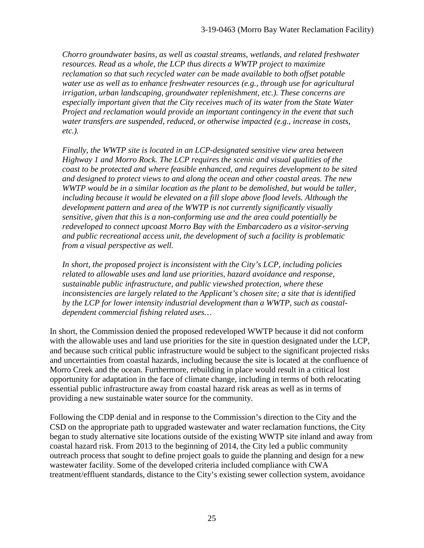*Chorro groundwater basins, as well as coastal streams, wetlands, and related freshwater resources. Read as a whole, the LCP thus directs a WWTP project to maximize reclamation so that such recycled water can be made available to both offset potable water use as well as to enhance freshwater resources (e.g., through use for agricultural irrigation, urban landscaping, groundwater replenishment, etc.). These concerns are especially important given that the City receives much of its water from the State Water Project and reclamation would provide an important contingency in the event that such water transfers are suspended, reduced, or otherwise impacted (e.g., increase in costs, etc.).* 

*Finally, the WWTP site is located in an LCP-designated sensitive view area between Highway 1 and Morro Rock. The LCP requires the scenic and visual qualities of the coast to be protected and where feasible enhanced, and requires development to be sited and designed to protect views to and along the ocean and other coastal areas. The new WWTP would be in a similar location as the plant to be demolished, but would be taller, including because it would be elevated on a fill slope above flood levels. Although the development pattern and area of the WWTP is not currently significantly visually sensitive, given that this is a non-conforming use and the area could potentially be redeveloped to connect upcoast Morro Bay with the Embarcadero as a visitor-serving and public recreational access unit, the development of such a facility is problematic from a visual perspective as well.* 

*In short, the proposed project is inconsistent with the City's LCP, including policies related to allowable uses and land use priorities, hazard avoidance and response, sustainable public infrastructure, and public viewshed protection, where these inconsistencies are largely related to the Applicant's chosen site; a site that is identified by the LCP for lower intensity industrial development than a WWTP, such as coastaldependent commercial fishing related uses…* 

In short, the Commission denied the proposed redeveloped WWTP because it did not conform with the allowable uses and land use priorities for the site in question designated under the LCP, and because such critical public infrastructure would be subject to the significant projected risks and uncertainties from coastal hazards, including because the site is located at the confluence of Morro Creek and the ocean. Furthermore, rebuilding in place would result in a critical lost opportunity for adaptation in the face of climate change, including in terms of both relocating essential public infrastructure away from coastal hazard risk areas as well as in terms of providing a new sustainable water source for the community.

Following the CDP denial and in response to the Commission's direction to the City and the CSD on the appropriate path to upgraded wastewater and water reclamation functions, the City began to study alternative site locations outside of the existing WWTP site inland and away from coastal hazard risk. From 2013 to the beginning of 2014, the City led a public community outreach process that sought to define project goals to guide the planning and design for a new wastewater facility. Some of the developed criteria included compliance with CWA treatment/effluent standards, distance to the City's existing sewer collection system, avoidance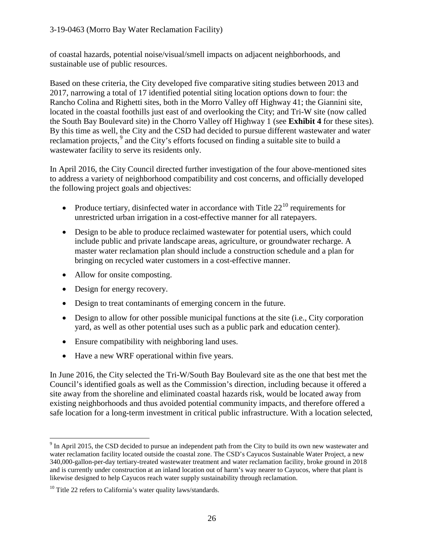of coastal hazards, potential noise/visual/smell impacts on adjacent neighborhoods, and sustainable use of public resources.

Based on these criteria, the City developed five comparative siting studies between 2013 and 2017, narrowing a total of 17 identified potential siting location options down to four: the Rancho Colina and Righetti sites, both in the Morro Valley off Highway 41; the Giannini site, located in the coastal foothills just east of and overlooking the City; and Tri-W site (now called the South Bay Boulevard site) in the Chorro Valley off Highway 1 (see **Exhibit 4** for these sites). By this time as well, the City and the CSD had decided to pursue different wastewater and water reclamation projects,<sup>[9](#page-25-0)</sup> and the City's efforts focused on finding a suitable site to build a wastewater facility to serve its residents only.

In April 2016, the City Council directed further investigation of the four above-mentioned sites to address a variety of neighborhood compatibility and cost concerns, and officially developed the following project goals and objectives:

- Produce tertiary, disinfected water in accordance with Title  $22^{10}$  $22^{10}$  $22^{10}$  requirements for unrestricted urban irrigation in a cost-effective manner for all ratepayers.
- Design to be able to produce reclaimed wastewater for potential users, which could include public and private landscape areas, agriculture, or groundwater recharge. A master water reclamation plan should include a construction schedule and a plan for bringing on recycled water customers in a cost-effective manner.
- Allow for onsite composting.
- Design for energy recovery.
- Design to treat contaminants of emerging concern in the future.
- Design to allow for other possible municipal functions at the site (i.e., City corporation yard, as well as other potential uses such as a public park and education center).
- Ensure compatibility with neighboring land uses.
- Have a new WRF operational within five years.

In June 2016, the City selected the Tri-W/South Bay Boulevard site as the one that best met the Council's identified goals as well as the Commission's direction, including because it offered a site away from the shoreline and eliminated coastal hazards risk, would be located away from existing neighborhoods and thus avoided potential community impacts, and therefore offered a safe location for a long-term investment in critical public infrastructure. With a location selected,

<span id="page-25-0"></span> $\overline{a}$  $9$  In April 2015, the CSD decided to pursue an independent path from the City to build its own new wastewater and water reclamation facility located outside the coastal zone. The CSD's Cayucos Sustainable Water Project, a new 340,000-gallon-per-day tertiary-treated wastewater treatment and water reclamation facility, broke ground in 2018 and is currently under construction at an inland location out of harm's way nearer to Cayucos, where that plant is likewise designed to help Cayucos reach water supply sustainability through reclamation.

<span id="page-25-1"></span> $10$  Title 22 refers to California's water quality laws/standards.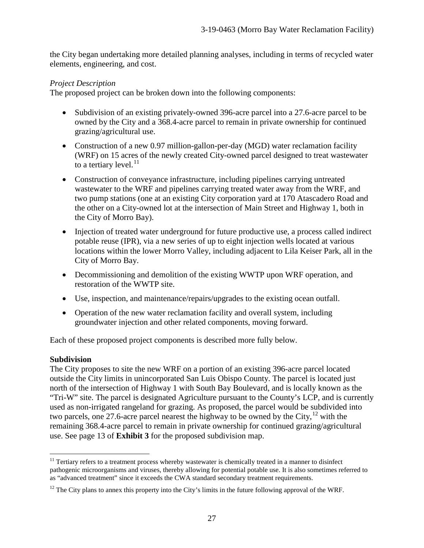the City began undertaking more detailed planning analyses, including in terms of recycled water elements, engineering, and cost.

### *Project Description*

The proposed project can be broken down into the following components:

- Subdivision of an existing privately-owned 396-acre parcel into a 27.6-acre parcel to be owned by the City and a 368.4-acre parcel to remain in private ownership for continued grazing/agricultural use.
- Construction of a new 0.97 million-gallon-per-day (MGD) water reclamation facility (WRF) on 15 acres of the newly created City-owned parcel designed to treat wastewater to a tertiary level. $^{11}$  $^{11}$  $^{11}$
- Construction of conveyance infrastructure, including pipelines carrying untreated wastewater to the WRF and pipelines carrying treated water away from the WRF, and two pump stations (one at an existing City corporation yard at 170 Atascadero Road and the other on a City-owned lot at the intersection of Main Street and Highway 1, both in the City of Morro Bay).
- Injection of treated water underground for future productive use, a process called indirect potable reuse (IPR), via a new series of up to eight injection wells located at various locations within the lower Morro Valley, including adjacent to Lila Keiser Park, all in the City of Morro Bay.
- Decommissioning and demolition of the existing WWTP upon WRF operation, and restoration of the WWTP site.
- Use, inspection, and maintenance/repairs/upgrades to the existing ocean outfall.
- Operation of the new water reclamation facility and overall system, including groundwater injection and other related components, moving forward.

Each of these proposed project components is described more fully below.

#### **Subdivision**

The City proposes to site the new WRF on a portion of an existing 396-acre parcel located outside the City limits in unincorporated San Luis Obispo County. The parcel is located just north of the intersection of Highway 1 with South Bay Boulevard, and is locally known as the "Tri-W" site. The parcel is designated Agriculture pursuant to the County's LCP, and is currently used as non-irrigated rangeland for grazing. As proposed, the parcel would be subdivided into two parcels, one 27.6-acre parcel nearest the highway to be owned by the City,  $^{12}$  $^{12}$  $^{12}$  with the remaining 368.4-acre parcel to remain in private ownership for continued grazing/agricultural use. See page 13 of **Exhibit 3** for the proposed subdivision map.

<span id="page-26-0"></span> $\overline{a}$ <sup>11</sup> Tertiary refers to a treatment process whereby wastewater is chemically treated in a manner to disinfect pathogenic microorganisms and viruses, thereby allowing for potential potable use. It is also sometimes referred to as "advanced treatment" since it exceeds the CWA standard secondary treatment requirements.

<span id="page-26-1"></span> $12$  The City plans to annex this property into the City's limits in the future following approval of the WRF.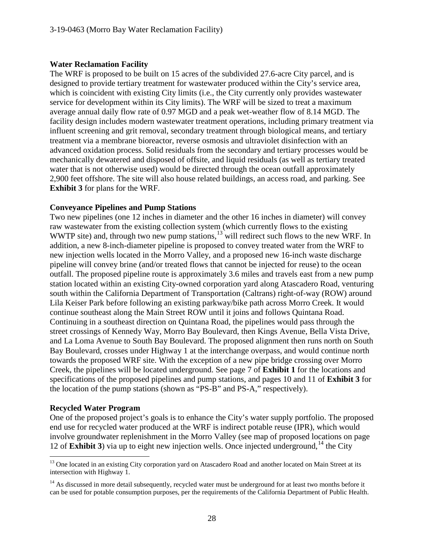#### **Water Reclamation Facility**

The WRF is proposed to be built on 15 acres of the subdivided 27.6-acre City parcel, and is designed to provide tertiary treatment for wastewater produced within the City's service area, which is coincident with existing City limits (i.e., the City currently only provides wastewater service for development within its City limits). The WRF will be sized to treat a maximum average annual daily flow rate of 0.97 MGD and a peak wet-weather flow of 8.14 MGD. The facility design includes modern wastewater treatment operations, including primary treatment via influent screening and grit removal, secondary treatment through biological means, and tertiary treatment via a membrane bioreactor, reverse osmosis and ultraviolet disinfection with an advanced oxidation process. Solid residuals from the secondary and tertiary processes would be mechanically dewatered and disposed of offsite, and liquid residuals (as well as tertiary treated water that is not otherwise used) would be directed through the ocean outfall approximately 2,900 feet offshore. The site will also house related buildings, an access road, and parking. See **Exhibit 3** for plans for the WRF.

#### **Conveyance Pipelines and Pump Stations**

Two new pipelines (one 12 inches in diameter and the other 16 inches in diameter) will convey raw wastewater from the existing collection system (which currently flows to the existing WWTP site) and, through two new pump stations,<sup>[13](#page-27-0)</sup> will redirect such flows to the new WRF. In addition, a new 8-inch-diameter pipeline is proposed to convey treated water from the WRF to new injection wells located in the Morro Valley, and a proposed new 16-inch waste discharge pipeline will convey brine (and/or treated flows that cannot be injected for reuse) to the ocean outfall. The proposed pipeline route is approximately 3.6 miles and travels east from a new pump station located within an existing City-owned corporation yard along Atascadero Road, venturing south within the California Department of Transportation (Caltrans) right-of-way (ROW) around Lila Keiser Park before following an existing parkway/bike path across Morro Creek. It would continue southeast along the Main Street ROW until it joins and follows Quintana Road. Continuing in a southeast direction on Quintana Road, the pipelines would pass through the street crossings of Kennedy Way, Morro Bay Boulevard, then Kings Avenue, Bella Vista Drive, and La Loma Avenue to South Bay Boulevard. The proposed alignment then runs north on South Bay Boulevard, crosses under Highway 1 at the interchange overpass, and would continue north towards the proposed WRF site. With the exception of a new pipe bridge crossing over Morro Creek, the pipelines will be located underground. See page 7 of **Exhibit 1** for the locations and specifications of the proposed pipelines and pump stations, and pages 10 and 11 of **Exhibit 3** for the location of the pump stations (shown as "PS-B" and PS-A," respectively).

#### **Recycled Water Program**

 $\overline{a}$ 

One of the proposed project's goals is to enhance the City's water supply portfolio. The proposed end use for recycled water produced at the WRF is indirect potable reuse (IPR), which would involve groundwater replenishment in the Morro Valley (see map of proposed locations on page 12 of **Exhibit 3**) via up to eight new injection wells. Once injected underground,  $14$  the City

<span id="page-27-0"></span><sup>&</sup>lt;sup>13</sup> One located in an existing City corporation yard on Atascadero Road and another located on Main Street at its intersection with Highway 1.

<span id="page-27-1"></span> $14$  As discussed in more detail subsequently, recycled water must be underground for at least two months before it can be used for potable consumption purposes, per the requirements of the California Department of Public Health.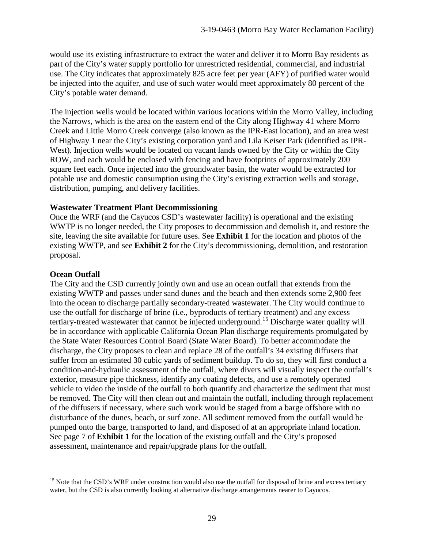would use its existing infrastructure to extract the water and deliver it to Morro Bay residents as part of the City's water supply portfolio for unrestricted residential, commercial, and industrial use. The City indicates that approximately 825 acre feet per year (AFY) of purified water would be injected into the aquifer, and use of such water would meet approximately 80 percent of the City's potable water demand.

The injection wells would be located within various locations within the Morro Valley, including the Narrows, which is the area on the eastern end of the City along Highway 41 where Morro Creek and Little Morro Creek converge (also known as the IPR-East location), and an area west of Highway 1 near the City's existing corporation yard and Lila Keiser Park (identified as IPR-West). Injection wells would be located on vacant lands owned by the City or within the City ROW, and each would be enclosed with fencing and have footprints of approximately 200 square feet each. Once injected into the groundwater basin, the water would be extracted for potable use and domestic consumption using the City's existing extraction wells and storage, distribution, pumping, and delivery facilities.

#### **Wastewater Treatment Plant Decommissioning**

Once the WRF (and the Cayucos CSD's wastewater facility) is operational and the existing WWTP is no longer needed, the City proposes to decommission and demolish it, and restore the site, leaving the site available for future uses. See **Exhibit 1** for the location and photos of the existing WWTP, and see **Exhibit 2** for the City's decommissioning, demolition, and restoration proposal.

#### **Ocean Outfall**

The City and the CSD currently jointly own and use an ocean outfall that extends from the existing WWTP and passes under sand dunes and the beach and then extends some 2,900 feet into the ocean to discharge partially secondary-treated wastewater. The City would continue to use the outfall for discharge of brine (i.e., byproducts of tertiary treatment) and any excess tertiary-treated wastewater that cannot be injected underground.[15](#page-28-0) Discharge water quality will be in accordance with applicable California Ocean Plan discharge requirements promulgated by the State Water Resources Control Board (State Water Board). To better accommodate the discharge, the City proposes to clean and replace 28 of the outfall's 34 existing diffusers that suffer from an estimated 30 cubic yards of sediment buildup. To do so, they will first conduct a condition-and-hydraulic assessment of the outfall, where divers will visually inspect the outfall's exterior, measure pipe thickness, identify any coating defects, and use a remotely operated vehicle to video the inside of the outfall to both quantify and characterize the sediment that must be removed. The City will then clean out and maintain the outfall, including through replacement of the diffusers if necessary, where such work would be staged from a barge offshore with no disturbance of the dunes, beach, or surf zone. All sediment removed from the outfall would be pumped onto the barge, transported to land, and disposed of at an appropriate inland location. See page 7 of **Exhibit 1** for the location of the existing outfall and the City's proposed assessment, maintenance and repair/upgrade plans for the outfall.

<span id="page-28-0"></span> $\overline{a}$ <sup>15</sup> Note that the CSD's WRF under construction would also use the outfall for disposal of brine and excess tertiary water, but the CSD is also currently looking at alternative discharge arrangements nearer to Cayucos.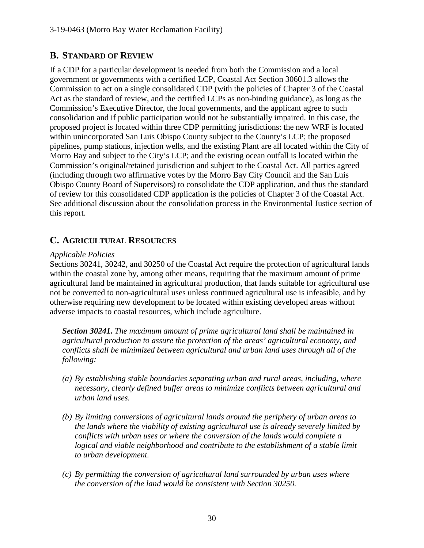# **B. STANDARD OF REVIEW**

If a CDP for a particular development is needed from both the Commission and a local government or governments with a certified LCP, Coastal Act Section 30601.3 allows the Commission to act on a single consolidated CDP (with the policies of Chapter 3 of the Coastal Act as the standard of review, and the certified LCPs as non-binding guidance), as long as the Commission's Executive Director, the local governments, and the applicant agree to such consolidation and if public participation would not be substantially impaired. In this case, the proposed project is located within three CDP permitting jurisdictions: the new WRF is located within unincorporated San Luis Obispo County subject to the County's LCP; the proposed pipelines, pump stations, injection wells, and the existing Plant are all located within the City of Morro Bay and subject to the City's LCP; and the existing ocean outfall is located within the Commission's original/retained jurisdiction and subject to the Coastal Act. All parties agreed (including through two affirmative votes by the Morro Bay City Council and the San Luis Obispo County Board of Supervisors) to consolidate the CDP application, and thus the standard of review for this consolidated CDP application is the policies of Chapter 3 of the Coastal Act. See additional discussion about the consolidation process in the Environmental Justice section of this report.

# **C. AGRICULTURAL RESOURCES**

## *Applicable Policies*

Sections 30241, 30242, and 30250 of the Coastal Act require the protection of agricultural lands within the coastal zone by, among other means, requiring that the maximum amount of prime agricultural land be maintained in agricultural production, that lands suitable for agricultural use not be converted to non-agricultural uses unless continued agricultural use is infeasible, and by otherwise requiring new development to be located within existing developed areas without adverse impacts to coastal resources, which include agriculture.

*Section 30241. The maximum amount of prime agricultural land shall be maintained in agricultural production to assure the protection of the areas' agricultural economy, and conflicts shall be minimized between agricultural and urban land uses through all of the following:* 

- *(a) By establishing stable boundaries separating urban and rural areas, including, where necessary, clearly defined buffer areas to minimize conflicts between agricultural and urban land uses.*
- *(b) By limiting conversions of agricultural lands around the periphery of urban areas to the lands where the viability of existing agricultural use is already severely limited by conflicts with urban uses or where the conversion of the lands would complete a*  logical and viable neighborhood and contribute to the establishment of a stable limit *to urban development.*
- *(c) By permitting the conversion of agricultural land surrounded by urban uses where the conversion of the land would be consistent with Section 30250.*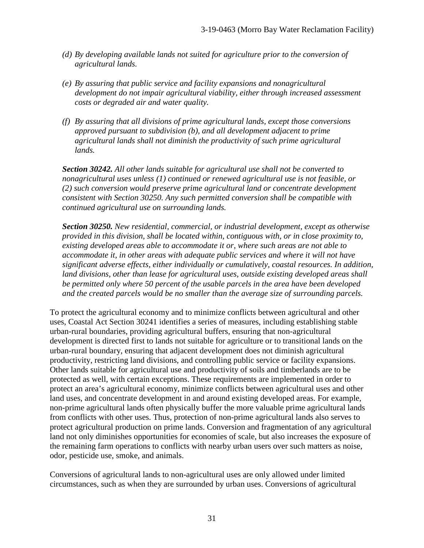- *(d) By developing available lands not suited for agriculture prior to the conversion of agricultural lands.*
- *(e) By assuring that public service and facility expansions and nonagricultural development do not impair agricultural viability, either through increased assessment costs or degraded air and water quality.*
- *(f) By assuring that all divisions of prime agricultural lands, except those conversions approved pursuant to subdivision (b), and all development adjacent to prime agricultural lands shall not diminish the productivity of such prime agricultural lands.*

*Section 30242. All other lands suitable for agricultural use shall not be converted to nonagricultural uses unless (1) continued or renewed agricultural use is not feasible, or (2) such conversion would preserve prime agricultural land or concentrate development consistent with Section 30250. Any such permitted conversion shall be compatible with continued agricultural use on surrounding lands.* 

*Section 30250. New residential, commercial, or industrial development, except as otherwise provided in this division, shall be located within, contiguous with, or in close proximity to, existing developed areas able to accommodate it or, where such areas are not able to accommodate it, in other areas with adequate public services and where it will not have significant adverse effects, either individually or cumulatively, coastal resources. In addition, land divisions, other than lease for agricultural uses, outside existing developed areas shall be permitted only where 50 percent of the usable parcels in the area have been developed and the created parcels would be no smaller than the average size of surrounding parcels.* 

To protect the agricultural economy and to minimize conflicts between agricultural and other uses, Coastal Act Section 30241 identifies a series of measures, including establishing stable urban-rural boundaries, providing agricultural buffers, ensuring that non-agricultural development is directed first to lands not suitable for agriculture or to transitional lands on the urban-rural boundary, ensuring that adjacent development does not diminish agricultural productivity, restricting land divisions, and controlling public service or facility expansions. Other lands suitable for agricultural use and productivity of soils and timberlands are to be protected as well, with certain exceptions. These requirements are implemented in order to protect an area's agricultural economy, minimize conflicts between agricultural uses and other land uses, and concentrate development in and around existing developed areas. For example, non-prime agricultural lands often physically buffer the more valuable prime agricultural lands from conflicts with other uses. Thus, protection of non-prime agricultural lands also serves to protect agricultural production on prime lands. Conversion and fragmentation of any agricultural land not only diminishes opportunities for economies of scale, but also increases the exposure of the remaining farm operations to conflicts with nearby urban users over such matters as noise, odor, pesticide use, smoke, and animals.

Conversions of agricultural lands to non-agricultural uses are only allowed under limited circumstances, such as when they are surrounded by urban uses. Conversions of agricultural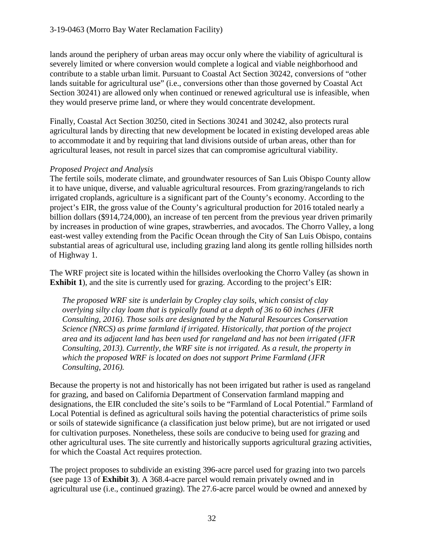lands around the periphery of urban areas may occur only where the viability of agricultural is severely limited or where conversion would complete a logical and viable neighborhood and contribute to a stable urban limit. Pursuant to Coastal Act Section 30242, conversions of "other lands suitable for agricultural use" (i.e., conversions other than those governed by Coastal Act Section 30241) are allowed only when continued or renewed agricultural use is infeasible, when they would preserve prime land, or where they would concentrate development.

Finally, Coastal Act Section 30250, cited in Sections 30241 and 30242, also protects rural agricultural lands by directing that new development be located in existing developed areas able to accommodate it and by requiring that land divisions outside of urban areas, other than for agricultural leases, not result in parcel sizes that can compromise agricultural viability.

# *Proposed Project and Analysis*

The fertile soils, moderate climate, and groundwater resources of San Luis Obispo County allow it to have unique, diverse, and valuable agricultural resources. From grazing/rangelands to rich irrigated croplands, agriculture is a significant part of the County's economy. According to the project's EIR, the gross value of the County's agricultural production for 2016 totaled nearly a billion dollars (\$914,724,000), an increase of ten percent from the previous year driven primarily by increases in production of wine grapes, strawberries, and avocados. The Chorro Valley, a long east-west valley extending from the Pacific Ocean through the City of San Luis Obispo, contains substantial areas of agricultural use, including grazing land along its gentle rolling hillsides north of Highway 1.

The WRF project site is located within the hillsides overlooking the Chorro Valley (as shown in **Exhibit 1**), and the site is currently used for grazing. According to the project's EIR:

*The proposed WRF site is underlain by Cropley clay soils, which consist of clay overlying silty clay loam that is typically found at a depth of 36 to 60 inches (JFR Consulting, 2016). Those soils are designated by the Natural Resources Conservation Science (NRCS) as prime farmland if irrigated. Historically, that portion of the project area and its adjacent land has been used for rangeland and has not been irrigated (JFR Consulting, 2013). Currently, the WRF site is not irrigated. As a result, the property in which the proposed WRF is located on does not support Prime Farmland (JFR Consulting, 2016).* 

Because the property is not and historically has not been irrigated but rather is used as rangeland for grazing, and based on California Department of Conservation farmland mapping and designations, the EIR concluded the site's soils to be "Farmland of Local Potential." Farmland of Local Potential is defined as agricultural soils having the potential characteristics of prime soils or soils of statewide significance (a classification just below prime), but are not irrigated or used for cultivation purposes. Nonetheless, these soils are conducive to being used for grazing and other agricultural uses. The site currently and historically supports agricultural grazing activities, for which the Coastal Act requires protection.

The project proposes to subdivide an existing 396-acre parcel used for grazing into two parcels (see page 13 of **Exhibit 3**). A 368.4-acre parcel would remain privately owned and in agricultural use (i.e., continued grazing). The 27.6-acre parcel would be owned and annexed by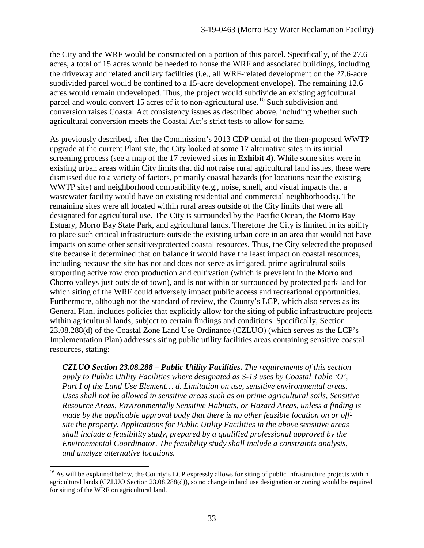the City and the WRF would be constructed on a portion of this parcel. Specifically, of the 27.6 acres, a total of 15 acres would be needed to house the WRF and associated buildings, including the driveway and related ancillary facilities (i.e., all WRF-related development on the 27.6-acre subdivided parcel would be confined to a 15-acre development envelope). The remaining 12.6 acres would remain undeveloped. Thus, the project would subdivide an existing agricultural parcel and would convert 15 acres of it to non-agricultural use.<sup>[16](#page-32-0)</sup> Such subdivision and conversion raises Coastal Act consistency issues as described above, including whether such agricultural conversion meets the Coastal Act's strict tests to allow for same.

As previously described, after the Commission's 2013 CDP denial of the then-proposed WWTP upgrade at the current Plant site, the City looked at some 17 alternative sites in its initial screening process (see a map of the 17 reviewed sites in **Exhibit 4**). While some sites were in existing urban areas within City limits that did not raise rural agricultural land issues, these were dismissed due to a variety of factors, primarily coastal hazards (for locations near the existing WWTP site) and neighborhood compatibility (e.g., noise, smell, and visual impacts that a wastewater facility would have on existing residential and commercial neighborhoods). The remaining sites were all located within rural areas outside of the City limits that were all designated for agricultural use. The City is surrounded by the Pacific Ocean, the Morro Bay Estuary, Morro Bay State Park, and agricultural lands. Therefore the City is limited in its ability to place such critical infrastructure outside the existing urban core in an area that would not have impacts on some other sensitive/protected coastal resources. Thus, the City selected the proposed site because it determined that on balance it would have the least impact on coastal resources, including because the site has not and does not serve as irrigated, prime agricultural soils supporting active row crop production and cultivation (which is prevalent in the Morro and Chorro valleys just outside of town), and is not within or surrounded by protected park land for which siting of the WRF could adversely impact public access and recreational opportunities. Furthermore, although not the standard of review, the County's LCP, which also serves as its General Plan, includes policies that explicitly allow for the siting of public infrastructure projects within agricultural lands, subject to certain findings and conditions. Specifically, Section 23.08.288(d) of the Coastal Zone Land Use Ordinance (CZLUO) (which serves as the LCP's Implementation Plan) addresses siting public utility facilities areas containing sensitive coastal resources, stating:

*CZLUO Section 23.08.288 – Public Utility Facilities. The requirements of this section apply to Public Utility Facilities where designated as S-13 uses by Coastal Table 'O', Part I of the Land Use Element… d. Limitation on use, sensitive environmental areas. Uses shall not be allowed in sensitive areas such as on prime agricultural soils, Sensitive Resource Areas, Environmentally Sensitive Habitats, or Hazard Areas, unless a finding is made by the applicable approval body that there is no other feasible location on or offsite the property. Applications for Public Utility Facilities in the above sensitive areas shall include a feasibility study, prepared by a qualified professional approved by the Environmental Coordinator. The feasibility study shall include a constraints analysis, and analyze alternative locations.* 

<span id="page-32-0"></span> $\overline{a}$ <sup>16</sup> As will be explained below, the County's LCP expressly allows for siting of public infrastructure projects within agricultural lands (CZLUO Section 23.08.288(d)), so no change in land use designation or zoning would be required for siting of the WRF on agricultural land.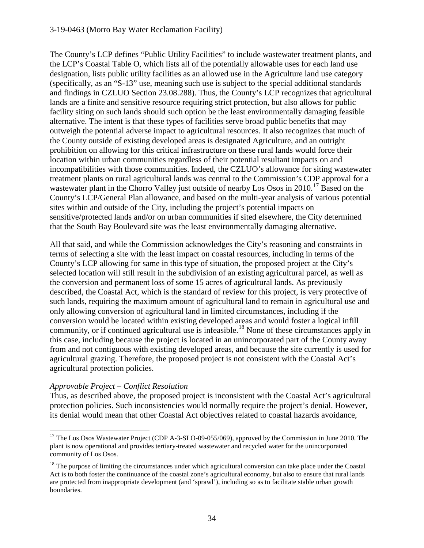#### 3-19-0463 (Morro Bay Water Reclamation Facility)

The County's LCP defines "Public Utility Facilities" to include wastewater treatment plants, and the LCP's Coastal Table O, which lists all of the potentially allowable uses for each land use designation, lists public utility facilities as an allowed use in the Agriculture land use category (specifically, as an "S-13" use, meaning such use is subject to the special additional standards and findings in CZLUO Section 23.08.288). Thus, the County's LCP recognizes that agricultural lands are a finite and sensitive resource requiring strict protection, but also allows for public facility siting on such lands should such option be the least environmentally damaging feasible alternative. The intent is that these types of facilities serve broad public benefits that may outweigh the potential adverse impact to agricultural resources. It also recognizes that much of the County outside of existing developed areas is designated Agriculture, and an outright prohibition on allowing for this critical infrastructure on these rural lands would force their location within urban communities regardless of their potential resultant impacts on and incompatibilities with those communities. Indeed, the CZLUO's allowance for siting wastewater treatment plants on rural agricultural lands was central to the Commission's CDP approval for a wastewater plant in the Chorro Valley just outside of nearby Los Osos in 2010.<sup>[17](#page-33-0)</sup> Based on the County's LCP/General Plan allowance, and based on the multi-year analysis of various potential sites within and outside of the City, including the project's potential impacts on sensitive/protected lands and/or on urban communities if sited elsewhere, the City determined that the South Bay Boulevard site was the least environmentally damaging alternative.

All that said, and while the Commission acknowledges the City's reasoning and constraints in terms of selecting a site with the least impact on coastal resources, including in terms of the County's LCP allowing for same in this type of situation, the proposed project at the City's selected location will still result in the subdivision of an existing agricultural parcel, as well as the conversion and permanent loss of some 15 acres of agricultural lands. As previously described, the Coastal Act, which is the standard of review for this project, is very protective of such lands, requiring the maximum amount of agricultural land to remain in agricultural use and only allowing conversion of agricultural land in limited circumstances, including if the conversion would be located within existing developed areas and would foster a logical infill community, or if continued agricultural use is infeasible.[18](#page-33-1) None of these circumstances apply in this case, including because the project is located in an unincorporated part of the County away from and not contiguous with existing developed areas, and because the site currently is used for agricultural grazing. Therefore, the proposed project is not consistent with the Coastal Act's agricultural protection policies.

## *Approvable Project – Conflict Resolution*

Thus, as described above, the proposed project is inconsistent with the Coastal Act's agricultural protection policies. Such inconsistencies would normally require the project's denial. However, its denial would mean that other Coastal Act objectives related to coastal hazards avoidance,

<span id="page-33-0"></span><sup>&</sup>lt;sup>17</sup> The Los Osos Wastewater Project (CDP A-3-SLO-09-055/069), approved by the Commission in June 2010. The plant is now operational and provides tertiary-treated wastewater and recycled water for the unincorporated community of Los Osos.

<span id="page-33-1"></span><sup>&</sup>lt;sup>18</sup> The purpose of limiting the circumstances under which agricultural conversion can take place under the Coastal Act is to both foster the continuance of the coastal zone's agricultural economy, but also to ensure that rural lands are protected from inappropriate development (and 'sprawl'), including so as to facilitate stable urban growth boundaries.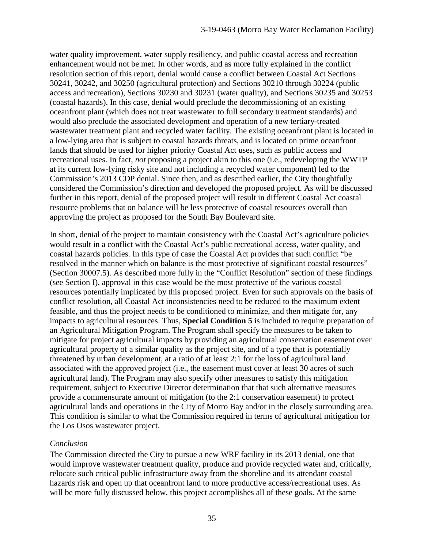water quality improvement, water supply resiliency, and public coastal access and recreation enhancement would not be met. In other words, and as more fully explained in the conflict resolution section of this report, denial would cause a conflict between Coastal Act Sections 30241, 30242, and 30250 (agricultural protection) and Sections 30210 through 30224 (public access and recreation), Sections 30230 and 30231 (water quality), and Sections 30235 and 30253 (coastal hazards). In this case, denial would preclude the decommissioning of an existing oceanfront plant (which does not treat wastewater to full secondary treatment standards) and would also preclude the associated development and operation of a new tertiary-treated wastewater treatment plant and recycled water facility. The existing oceanfront plant is located in a low-lying area that is subject to coastal hazards threats, and is located on prime oceanfront lands that should be used for higher priority Coastal Act uses, such as public access and recreational uses. In fact, *not* proposing a project akin to this one (i.e., redeveloping the WWTP at its current low-lying risky site and not including a recycled water component) led to the Commission's 2013 CDP denial. Since then, and as described earlier, the City thoughtfully considered the Commission's direction and developed the proposed project. As will be discussed further in this report, denial of the proposed project will result in different Coastal Act coastal resource problems that on balance will be less protective of coastal resources overall than approving the project as proposed for the South Bay Boulevard site.

In short, denial of the project to maintain consistency with the Coastal Act's agriculture policies would result in a conflict with the Coastal Act's public recreational access, water quality, and coastal hazards policies. In this type of case the Coastal Act provides that such conflict "be resolved in the manner which on balance is the most protective of significant coastal resources" (Section 30007.5). As described more fully in the "Conflict Resolution" section of these findings (see Section I), approval in this case would be the most protective of the various coastal resources potentially implicated by this proposed project. Even for such approvals on the basis of conflict resolution, all Coastal Act inconsistencies need to be reduced to the maximum extent feasible, and thus the project needs to be conditioned to minimize, and then mitigate for, any impacts to agricultural resources. Thus, **Special Condition 5** is included to require preparation of an Agricultural Mitigation Program. The Program shall specify the measures to be taken to mitigate for project agricultural impacts by providing an agricultural conservation easement over agricultural property of a similar quality as the project site, and of a type that is potentially threatened by urban development, at a ratio of at least 2:1 for the loss of agricultural land associated with the approved project (i.e., the easement must cover at least 30 acres of such agricultural land). The Program may also specify other measures to satisfy this mitigation requirement, subject to Executive Director determination that that such alternative measures provide a commensurate amount of mitigation (to the 2:1 conservation easement) to protect agricultural lands and operations in the City of Morro Bay and/or in the closely surrounding area. This condition is similar to what the Commission required in terms of agricultural mitigation for the Los Osos wastewater project.

## *Conclusion*

The Commission directed the City to pursue a new WRF facility in its 2013 denial, one that would improve wastewater treatment quality, produce and provide recycled water and, critically, relocate such critical public infrastructure away from the shoreline and its attendant coastal hazards risk and open up that oceanfront land to more productive access/recreational uses. As will be more fully discussed below, this project accomplishes all of these goals. At the same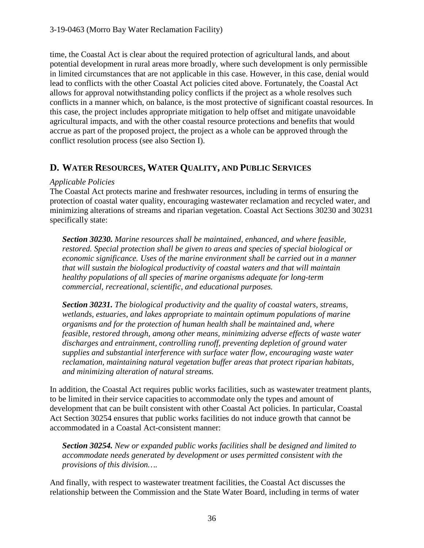time, the Coastal Act is clear about the required protection of agricultural lands, and about potential development in rural areas more broadly, where such development is only permissible in limited circumstances that are not applicable in this case. However, in this case, denial would lead to conflicts with the other Coastal Act policies cited above. Fortunately, the Coastal Act allows for approval notwithstanding policy conflicts if the project as a whole resolves such conflicts in a manner which, on balance, is the most protective of significant coastal resources. In this case, the project includes appropriate mitigation to help offset and mitigate unavoidable agricultural impacts, and with the other coastal resource protections and benefits that would accrue as part of the proposed project, the project as a whole can be approved through the conflict resolution process (see also Section I).

# **D. WATER RESOURCES, WATER QUALITY, AND PUBLIC SERVICES**

## *Applicable Policies*

The Coastal Act protects marine and freshwater resources, including in terms of ensuring the protection of coastal water quality, encouraging wastewater reclamation and recycled water, and minimizing alterations of streams and riparian vegetation. Coastal Act Sections 30230 and 30231 specifically state:

*Section 30230. Marine resources shall be maintained, enhanced, and where feasible, restored. Special protection shall be given to areas and species of special biological or economic significance. Uses of the marine environment shall be carried out in a manner that will sustain the biological productivity of coastal waters and that will maintain healthy populations of all species of marine organisms adequate for long-term commercial, recreational, scientific, and educational purposes.* 

*Section 30231. The biological productivity and the quality of coastal waters, streams, wetlands, estuaries, and lakes appropriate to maintain optimum populations of marine organisms and for the protection of human health shall be maintained and, where feasible, restored through, among other means, minimizing adverse effects of waste water discharges and entrainment, controlling runoff, preventing depletion of ground water supplies and substantial interference with surface water flow, encouraging waste water reclamation, maintaining natural vegetation buffer areas that protect riparian habitats, and minimizing alteration of natural streams.* 

In addition, the Coastal Act requires public works facilities, such as wastewater treatment plants, to be limited in their service capacities to accommodate only the types and amount of development that can be built consistent with other Coastal Act policies. In particular, Coastal Act Section 30254 ensures that public works facilities do not induce growth that cannot be accommodated in a Coastal Act-consistent manner:

*Section 30254. New or expanded public works facilities shall be designed and limited to accommodate needs generated by development or uses permitted consistent with the provisions of this division….* 

And finally, with respect to wastewater treatment facilities, the Coastal Act discusses the relationship between the Commission and the State Water Board, including in terms of water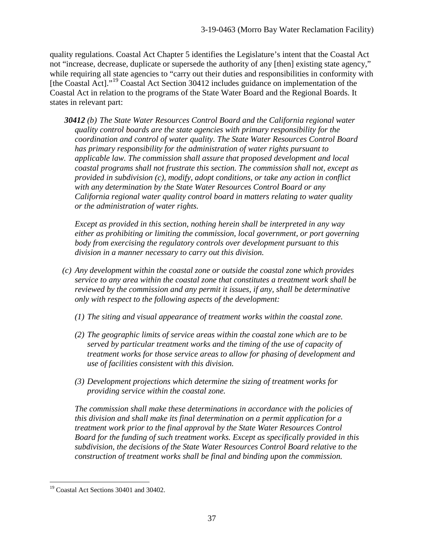quality regulations. Coastal Act Chapter 5 identifies the Legislature's intent that the Coastal Act not "increase, decrease, duplicate or supersede the authority of any [then] existing state agency," while requiring all state agencies to "carry out their duties and responsibilities in conformity with [the Coastal Act]."[19](#page-36-0) Coastal Act Section 30412 includes guidance on implementation of the Coastal Act in relation to the programs of the State Water Board and the Regional Boards. It states in relevant part:

*30412 (b) The State Water Resources Control Board and the California regional water quality control boards are the state agencies with primary responsibility for the coordination and control of water quality. The State Water Resources Control Board has primary responsibility for the administration of water rights pursuant to applicable law. The commission shall assure that proposed development and local coastal programs shall not frustrate this section. The commission shall not, except as provided in subdivision (c), modify, adopt conditions, or take any action in conflict with any determination by the State Water Resources Control Board or any California regional water quality control board in matters relating to water quality or the administration of water rights.*

*Except as provided in this section, nothing herein shall be interpreted in any way either as prohibiting or limiting the commission, local government, or port governing body from exercising the regulatory controls over development pursuant to this division in a manner necessary to carry out this division.*

- *(c) Any development within the coastal zone or outside the coastal zone which provides service to any area within the coastal zone that constitutes a treatment work shall be reviewed by the commission and any permit it issues, if any, shall be determinative only with respect to the following aspects of the development:*
	- *(1) The siting and visual appearance of treatment works within the coastal zone.*
	- *(2) The geographic limits of service areas within the coastal zone which are to be served by particular treatment works and the timing of the use of capacity of treatment works for those service areas to allow for phasing of development and use of facilities consistent with this division.*
	- *(3) Development projections which determine the sizing of treatment works for providing service within the coastal zone.*

*The commission shall make these determinations in accordance with the policies of this division and shall make its final determination on a permit application for a treatment work prior to the final approval by the State Water Resources Control Board for the funding of such treatment works. Except as specifically provided in this subdivision, the decisions of the State Water Resources Control Board relative to the construction of treatment works shall be final and binding upon the commission.*

<span id="page-36-0"></span><sup>&</sup>lt;sup>19</sup> Coastal Act Sections 30401 and 30402.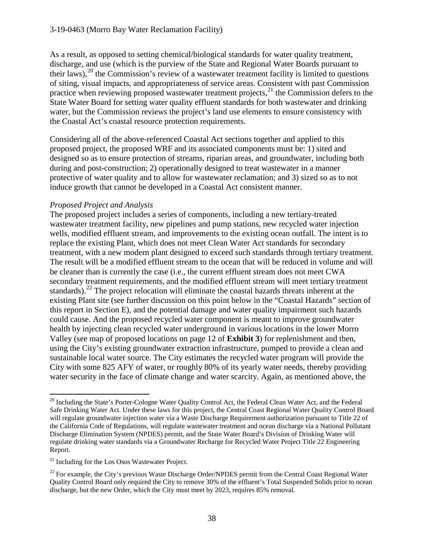#### 3-19-0463 (Morro Bay Water Reclamation Facility)

As a result, as opposed to setting chemical/biological standards for water quality treatment, discharge, and use (which is the purview of the State and Regional Water Boards pursuant to their laws), $^{20}$  the Commission's review of a wastewater treatment facility is limited to questions of siting, visual impacts, and appropriateness of service areas. Consistent with past Commission practice when reviewing proposed wastewater treatment projects, $^{21}$  the Commission defers to the State Water Board for setting water quality effluent standards for both wastewater and drinking water, but the Commission reviews the project's land use elements to ensure consistency with the Coastal Act's coastal resource protection requirements.

Considering all of the above-referenced Coastal Act sections together and applied to this proposed project, the proposed WRF and its associated components must be: 1) sited and designed so as to ensure protection of streams, riparian areas, and groundwater, including both during and post-construction; 2) operationally designed to treat wastewater in a manner protective of water quality and to allow for wastewater reclamation; and 3) sized so as to not induce growth that cannot be developed in a Coastal Act consistent manner.

#### *Proposed Project and Analysis*

The proposed project includes a series of components, including a new tertiary-treated wastewater treatment facility, new pipelines and pump stations, new recycled water injection wells, modified effluent stream, and improvements to the existing ocean outfall. The intent is to replace the existing Plant, which does not meet Clean Water Act standards for secondary treatment, with a new modern plant designed to exceed such standards through tertiary treatment. The result will be a modified effluent stream to the ocean that will be reduced in volume and will be cleaner than is currently the case (i.e., the current effluent stream does not meet CWA secondary treatment requirements, and the modified effluent stream will meet tertiary treatment standards).<sup>22</sup> The project relocation will eliminate the coastal hazards threats inherent at the existing Plant site (see further discussion on this point below in the "Coastal Hazards" section of this report in Section E), and the potential damage and water quality impairment such hazards could cause. And the proposed recycled water component is meant to improve groundwater health by injecting clean recycled water underground in various locations in the lower Morro Valley (see map of proposed locations on page 12 of **Exhibit 3**) for replenishment and then, using the City's existing groundwater extraction infrastructure, pumped to provide a clean and sustainable local water source. The City estimates the recycled water program will provide the City with some 825 AFY of water, or roughly 80% of its yearly water needs, thereby providing water security in the face of climate change and water scarcity. Again, as mentioned above, the

 $\overline{a}$ 

<span id="page-37-0"></span><sup>&</sup>lt;sup>20</sup> Including the State's Porter-Cologne Water Quality Control Act, the Federal Clean Water Act, and the Federal Safe Drinking Water Act. Under these laws for this project, the Central Coast Regional Water Quality Control Board will regulate groundwater injection water via a Waste Discharge Requirement authorization pursuant to Title 22 of the California Code of Regulations, will regulate wastewater treatment and ocean discharge via a National Pollutant Discharge Elimination System (NPDES) permit, and the State Water Board's Division of Drinking Water will regulate drinking water standards via a Groundwater Recharge for Recycled Water Project Title 22 Engineering Report.

<span id="page-37-1"></span> $21$  Including for the Los Osos Wastewater Project.

<span id="page-37-2"></span><sup>&</sup>lt;sup>22</sup> For example, the City's previous Waste Discharge Order/NPDES permit from the Central Coast Regional Water Quality Control Board only required the City to remove 30% of the effluent's Total Suspended Solids prior to ocean discharge, but the new Order, which the City must meet by 2023, requires 85% removal.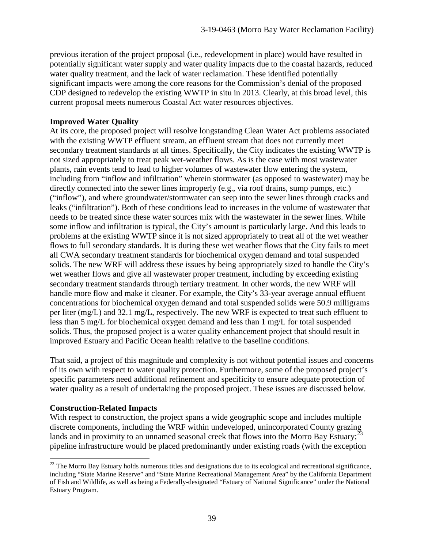previous iteration of the project proposal (i.e., redevelopment in place) would have resulted in potentially significant water supply and water quality impacts due to the coastal hazards, reduced water quality treatment, and the lack of water reclamation. These identified potentially significant impacts were among the core reasons for the Commission's denial of the proposed CDP designed to redevelop the existing WWTP in situ in 2013. Clearly, at this broad level, this current proposal meets numerous Coastal Act water resources objectives.

## **Improved Water Quality**

At its core, the proposed project will resolve longstanding Clean Water Act problems associated with the existing WWTP effluent stream, an effluent stream that does not currently meet secondary treatment standards at all times. Specifically, the City indicates the existing WWTP is not sized appropriately to treat peak wet-weather flows. As is the case with most wastewater plants, rain events tend to lead to higher volumes of wastewater flow entering the system, including from "inflow and infiltration" wherein stormwater (as opposed to wastewater) may be directly connected into the sewer lines improperly (e.g., via roof drains, sump pumps, etc.) ("inflow"), and where groundwater/stormwater can seep into the sewer lines through cracks and leaks ("infiltration"). Both of these conditions lead to increases in the volume of wastewater that needs to be treated since these water sources mix with the wastewater in the sewer lines. While some inflow and infiltration is typical, the City's amount is particularly large. And this leads to problems at the existing WWTP since it is not sized appropriately to treat all of the wet weather flows to full secondary standards. It is during these wet weather flows that the City fails to meet all CWA secondary treatment standards for biochemical oxygen demand and total suspended solids. The new WRF will address these issues by being appropriately sized to handle the City's wet weather flows and give all wastewater proper treatment, including by exceeding existing secondary treatment standards through tertiary treatment. In other words, the new WRF will handle more flow and make it cleaner. For example, the City's 33-year average annual effluent concentrations for biochemical oxygen demand and total suspended solids were 50.9 milligrams per liter (mg/L) and 32.1 mg/L, respectively. The new WRF is expected to treat such effluent to less than 5 mg/L for biochemical oxygen demand and less than 1 mg/L for total suspended solids. Thus, the proposed project is a water quality enhancement project that should result in improved Estuary and Pacific Ocean health relative to the baseline conditions.

That said, a project of this magnitude and complexity is not without potential issues and concerns of its own with respect to water quality protection. Furthermore, some of the proposed project's specific parameters need additional refinement and specificity to ensure adequate protection of water quality as a result of undertaking the proposed project. These issues are discussed below.

## **Construction-Related Impacts**

 $\overline{a}$ 

With respect to construction, the project spans a wide geographic scope and includes multiple discrete components, including the WRF within undeveloped, unincorporated County grazing lands and in proximity to an unnamed seasonal creek that flows into the Morro Bay Estuary;<sup>[23](#page-38-0)</sup> pipeline infrastructure would be placed predominantly under existing roads (with the exception

<span id="page-38-0"></span><sup>&</sup>lt;sup>23</sup> The Morro Bay Estuary holds numerous titles and designations due to its ecological and recreational significance, including "State Marine Reserve" and "State Marine Recreational Management Area" by the California Department of Fish and Wildlife, as well as being a Federally-designated "Estuary of National Significance" under the National Estuary Program.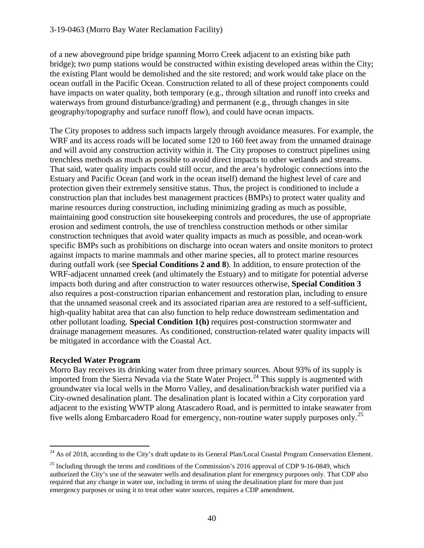of a new aboveground pipe bridge spanning Morro Creek adjacent to an existing bike path bridge); two pump stations would be constructed within existing developed areas within the City; the existing Plant would be demolished and the site restored; and work would take place on the ocean outfall in the Pacific Ocean. Construction related to all of these project components could have impacts on water quality, both temporary (e.g., through siltation and runoff into creeks and waterways from ground disturbance/grading) and permanent (e.g., through changes in site geography/topography and surface runoff flow), and could have ocean impacts.

The City proposes to address such impacts largely through avoidance measures. For example, the WRF and its access roads will be located some 120 to 160 feet away from the unnamed drainage and will avoid any construction activity within it. The City proposes to construct pipelines using trenchless methods as much as possible to avoid direct impacts to other wetlands and streams. That said, water quality impacts could still occur, and the area's hydrologic connections into the Estuary and Pacific Ocean (and work in the ocean itself) demand the highest level of care and protection given their extremely sensitive status. Thus, the project is conditioned to include a construction plan that includes best management practices (BMPs) to protect water quality and marine resources during construction, including minimizing grading as much as possible, maintaining good construction site housekeeping controls and procedures, the use of appropriate erosion and sediment controls, the use of trenchless construction methods or other similar construction techniques that avoid water quality impacts as much as possible, and ocean-work specific BMPs such as prohibitions on discharge into ocean waters and onsite monitors to protect against impacts to marine mammals and other marine species, all to protect marine resources during outfall work (see **Special Conditions 2 and 8**). In addition, to ensure protection of the WRF-adjacent unnamed creek (and ultimately the Estuary) and to mitigate for potential adverse impacts both during and after construction to water resources otherwise, **Special Condition 3** also requires a post-construction riparian enhancement and restoration plan, including to ensure that the unnamed seasonal creek and its associated riparian area are restored to a self-sufficient, high-quality habitat area that can also function to help reduce downstream sedimentation and other pollutant loading. **Special Condition 1(h)** requires post-construction stormwater and drainage management measures. As conditioned, construction-related water quality impacts will be mitigated in accordance with the Coastal Act.

## **Recycled Water Program**

Morro Bay receives its drinking water from three primary sources. About 93% of its supply is imported from the Sierra Nevada via the State Water Project.<sup>24</sup> This supply is augmented with groundwater via local wells in the Morro Valley, and desalination/brackish water purified via a City-owned desalination plant. The desalination plant is located within a City corporation yard adjacent to the existing WWTP along Atascadero Road, and is permitted to intake seawater from five wells along Embarcadero Road for emergency, non-routine water supply purposes only.<sup>25</sup>

<span id="page-39-0"></span> $\overline{a}$  $^{24}$  As of 2018, according to the City's draft update to its General Plan/Local Coastal Program Conservation Element.

<span id="page-39-1"></span><sup>&</sup>lt;sup>25</sup> Including through the terms and conditions of the Commission's 2016 approval of CDP 9-16-0849, which authorized the City's use of the seawater wells and desalination plant for emergency purposes only. That CDP also required that any change in water use, including in terms of using the desalination plant for more than just emergency purposes or using it to treat other water sources, requires a CDP amendment.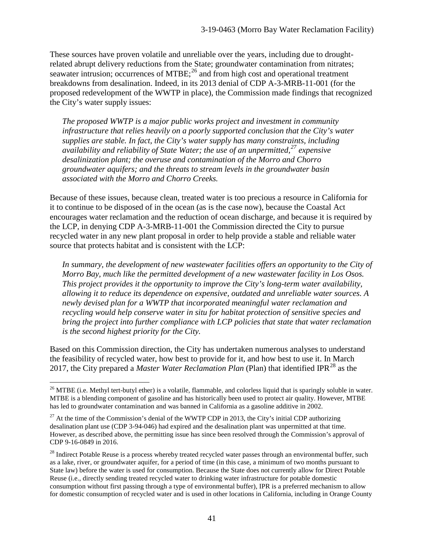These sources have proven volatile and unreliable over the years, including due to droughtrelated abrupt delivery reductions from the State; groundwater contamination from nitrates; seawater intrusion; occurrences of MTBE; $^{26}$  and from high cost and operational treatment breakdowns from desalination. Indeed, in its 2013 denial of CDP A-3-MRB-11-001 (for the proposed redevelopment of the WWTP in place), the Commission made findings that recognized the City's water supply issues:

*The proposed WWTP is a major public works project and investment in community infrastructure that relies heavily on a poorly supported conclusion that the City's water supplies are stable. In fact, the City's water supply has many constraints, including availability and reliability of State Water; the use of an unpermitted,[27](#page-40-1) expensive desalinization plant; the overuse and contamination of the Morro and Chorro groundwater aquifers; and the threats to stream levels in the groundwater basin associated with the Morro and Chorro Creeks.* 

Because of these issues, because clean, treated water is too precious a resource in California for it to continue to be disposed of in the ocean (as is the case now), because the Coastal Act encourages water reclamation and the reduction of ocean discharge, and because it is required by the LCP, in denying CDP A-3-MRB-11-001 the Commission directed the City to pursue recycled water in any new plant proposal in order to help provide a stable and reliable water source that protects habitat and is consistent with the LCP:

In summary, the development of new wastewater facilities offers an opportunity to the City of *Morro Bay, much like the permitted development of a new wastewater facility in Los Osos. This project provides it the opportunity to improve the City's long-term water availability, allowing it to reduce its dependence on expensive, outdated and unreliable water sources. A newly devised plan for a WWTP that incorporated meaningful water reclamation and recycling would help conserve water in situ for habitat protection of sensitive species and bring the project into further compliance with LCP policies that state that water reclamation is the second highest priority for the City.* 

Based on this Commission direction, the City has undertaken numerous analyses to understand the feasibility of recycled water, how best to provide for it, and how best to use it. In March 2017, the City prepared a *Master Water Reclamation Plan* (Plan) that identified IPR<sup>[28](#page-40-2)</sup> as the

<span id="page-40-0"></span> $\overline{a}$  $^{26}$  MTBE (i.e. Methyl tert-butyl ether) is a volatile, flammable, and colorless liquid that is sparingly soluble in water. MTBE is a blending component of gasoline and has historically been used to protect air quality. However, MTBE has led to groundwater contamination and was banned in California as a gasoline additive in 2002.

<span id="page-40-1"></span><sup>&</sup>lt;sup>27</sup> At the time of the Commission's denial of the WWTP CDP in 2013, the City's initial CDP authorizing desalination plant use (CDP 3-94-046) had expired and the desalination plant was unpermitted at that time. However, as described above, the permitting issue has since been resolved through the Commission's approval of CDP 9-16-0849 in 2016.

<span id="page-40-2"></span><sup>&</sup>lt;sup>28</sup> Indirect Potable Reuse is a process whereby treated recycled water passes through an environmental buffer, such as a lake, river, or groundwater aquifer, for a period of time (in this case, a minimum of two months pursuant to State law) before the water is used for consumption. Because the State does not currently allow for Direct Potable Reuse (i.e., directly sending treated recycled water to drinking water infrastructure for potable domestic consumption without first passing through a type of environmental buffer), IPR is a preferred mechanism to allow for domestic consumption of recycled water and is used in other locations in California, including in Orange County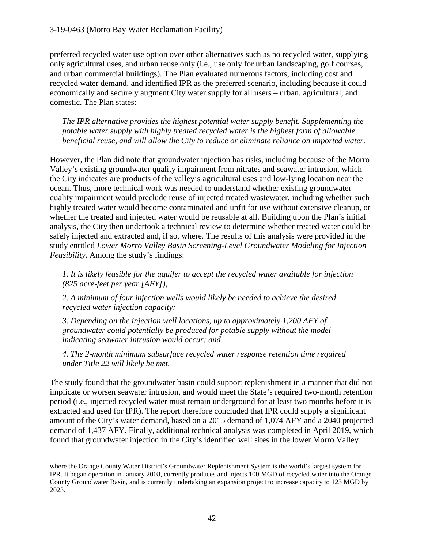preferred recycled water use option over other alternatives such as no recycled water, supplying only agricultural uses, and urban reuse only (i.e., use only for urban landscaping, golf courses, and urban commercial buildings). The Plan evaluated numerous factors, including cost and recycled water demand, and identified IPR as the preferred scenario, including because it could economically and securely augment City water supply for all users – urban, agricultural, and domestic. The Plan states:

*The IPR alternative provides the highest potential water supply benefit. Supplementing the potable water supply with highly treated recycled water is the highest form of allowable beneficial reuse, and will allow the City to reduce or eliminate reliance on imported water.* 

However, the Plan did note that groundwater injection has risks, including because of the Morro Valley's existing groundwater quality impairment from nitrates and seawater intrusion, which the City indicates are products of the valley's agricultural uses and low-lying location near the ocean. Thus, more technical work was needed to understand whether existing groundwater quality impairment would preclude reuse of injected treated wastewater, including whether such highly treated water would become contaminated and unfit for use without extensive cleanup, or whether the treated and injected water would be reusable at all. Building upon the Plan's initial analysis, the City then undertook a technical review to determine whether treated water could be safely injected and extracted and, if so, where. The results of this analysis were provided in the study entitled *Lower Morro Valley Basin Screening-Level Groundwater Modeling for Injection Feasibility*. Among the study's findings:

*1. It is likely feasible for the aquifer to accept the recycled water available for injection (825 acre*‐*feet per year [AFY]);* 

*2. A minimum of four injection wells would likely be needed to achieve the desired recycled water injection capacity;* 

*3. Depending on the injection well locations, up to approximately 1,200 AFY of groundwater could potentially be produced for potable supply without the model indicating seawater intrusion would occur; and* 

*4. The 2*‐*month minimum subsurface recycled water response retention time required under Title 22 will likely be met.* 

The study found that the groundwater basin could support replenishment in a manner that did not implicate or worsen seawater intrusion, and would meet the State's required two-month retention period (i.e., injected recycled water must remain underground for at least two months before it is extracted and used for IPR). The report therefore concluded that IPR could supply a significant amount of the City's water demand, based on a 2015 demand of 1,074 AFY and a 2040 projected demand of 1,437 AFY. Finally, additional technical analysis was completed in April 2019, which found that groundwater injection in the City's identified well sites in the lower Morro Valley

 $\overline{a}$ 

where the Orange County Water District's Groundwater Replenishment System is the world's largest system for IPR. It began operation in January 2008, currently produces and injects 100 MGD of recycled water into the Orange County Groundwater Basin, and is currently undertaking an expansion project to increase capacity to 123 MGD by 2023.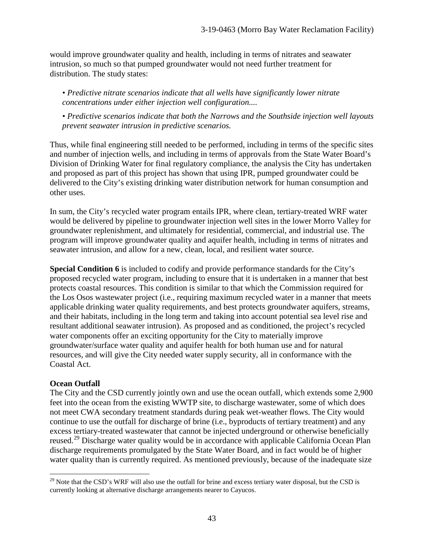would improve groundwater quality and health, including in terms of nitrates and seawater intrusion, so much so that pumped groundwater would not need further treatment for distribution. The study states:

*• Predictive nitrate scenarios indicate that all wells have significantly lower nitrate concentrations under either injection well configuration....* 

*• Predictive scenarios indicate that both the Narrows and the Southside injection well layouts prevent seawater intrusion in predictive scenarios.*

Thus, while final engineering still needed to be performed, including in terms of the specific sites and number of injection wells, and including in terms of approvals from the State Water Board's Division of Drinking Water for final regulatory compliance, the analysis the City has undertaken and proposed as part of this project has shown that using IPR, pumped groundwater could be delivered to the City's existing drinking water distribution network for human consumption and other uses.

In sum, the City's recycled water program entails IPR, where clean, tertiary-treated WRF water would be delivered by pipeline to groundwater injection well sites in the lower Morro Valley for groundwater replenishment, and ultimately for residential, commercial, and industrial use. The program will improve groundwater quality and aquifer health, including in terms of nitrates and seawater intrusion, and allow for a new, clean, local, and resilient water source.

**Special Condition 6** is included to codify and provide performance standards for the City's proposed recycled water program, including to ensure that it is undertaken in a manner that best protects coastal resources. This condition is similar to that which the Commission required for the Los Osos wastewater project (i.e., requiring maximum recycled water in a manner that meets applicable drinking water quality requirements, and best protects groundwater aquifers, streams, and their habitats, including in the long term and taking into account potential sea level rise and resultant additional seawater intrusion). As proposed and as conditioned, the project's recycled water components offer an exciting opportunity for the City to materially improve groundwater/surface water quality and aquifer health for both human use and for natural resources, and will give the City needed water supply security, all in conformance with the Coastal Act.

## **Ocean Outfall**

 $\overline{a}$ 

The City and the CSD currently jointly own and use the ocean outfall, which extends some 2,900 feet into the ocean from the existing WWTP site, to discharge wastewater, some of which does not meet CWA secondary treatment standards during peak wet-weather flows. The City would continue to use the outfall for discharge of brine (i.e., byproducts of tertiary treatment) and any excess tertiary-treated wastewater that cannot be injected underground or otherwise beneficially reused.<sup>[29](#page-42-0)</sup> Discharge water quality would be in accordance with applicable California Ocean Plan discharge requirements promulgated by the State Water Board, and in fact would be of higher water quality than is currently required. As mentioned previously, because of the inadequate size

<span id="page-42-0"></span> $^{29}$  Note that the CSD's WRF will also use the outfall for brine and excess tertiary water disposal, but the CSD is currently looking at alternative discharge arrangements nearer to Cayucos.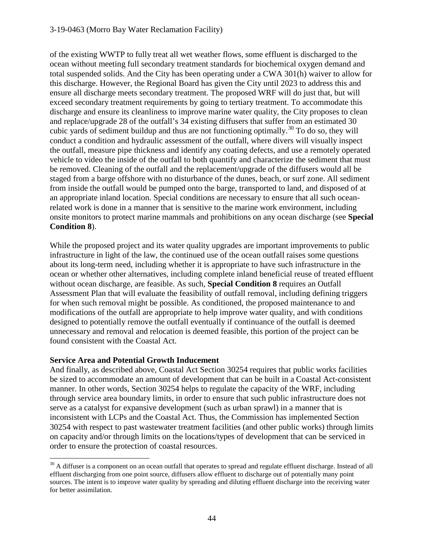of the existing WWTP to fully treat all wet weather flows, some effluent is discharged to the ocean without meeting full secondary treatment standards for biochemical oxygen demand and total suspended solids. And the City has been operating under a CWA 301(h) waiver to allow for this discharge. However, the Regional Board has given the City until 2023 to address this and ensure all discharge meets secondary treatment. The proposed WRF will do just that, but will exceed secondary treatment requirements by going to tertiary treatment. To accommodate this discharge and ensure its cleanliness to improve marine water quality, the City proposes to clean and replace/upgrade 28 of the outfall's 34 existing diffusers that suffer from an estimated 30 cubic yards of sediment buildup and thus are not functioning optimally.<sup>[30](#page-43-0)</sup> To do so, they will conduct a condition and hydraulic assessment of the outfall, where divers will visually inspect the outfall, measure pipe thickness and identify any coating defects, and use a remotely operated vehicle to video the inside of the outfall to both quantify and characterize the sediment that must be removed. Cleaning of the outfall and the replacement/upgrade of the diffusers would all be staged from a barge offshore with no disturbance of the dunes, beach, or surf zone. All sediment from inside the outfall would be pumped onto the barge, transported to land, and disposed of at an appropriate inland location. Special conditions are necessary to ensure that all such oceanrelated work is done in a manner that is sensitive to the marine work environment, including onsite monitors to protect marine mammals and prohibitions on any ocean discharge (see **Special Condition 8**).

While the proposed project and its water quality upgrades are important improvements to public infrastructure in light of the law, the continued use of the ocean outfall raises some questions about its long-term need, including whether it is appropriate to have such infrastructure in the ocean or whether other alternatives, including complete inland beneficial reuse of treated effluent without ocean discharge, are feasible. As such, **Special Condition 8** requires an Outfall Assessment Plan that will evaluate the feasibility of outfall removal, including defining triggers for when such removal might be possible. As conditioned, the proposed maintenance to and modifications of the outfall are appropriate to help improve water quality, and with conditions designed to potentially remove the outfall eventually if continuance of the outfall is deemed unnecessary and removal and relocation is deemed feasible, this portion of the project can be found consistent with the Coastal Act.

## **Service Area and Potential Growth Inducement**

And finally, as described above, Coastal Act Section 30254 requires that public works facilities be sized to accommodate an amount of development that can be built in a Coastal Act-consistent manner. In other words, Section 30254 helps to regulate the capacity of the WRF, including through service area boundary limits, in order to ensure that such public infrastructure does not serve as a catalyst for expansive development (such as urban sprawl) in a manner that is inconsistent with LCPs and the Coastal Act. Thus, the Commission has implemented Section 30254 with respect to past wastewater treatment facilities (and other public works) through limits on capacity and/or through limits on the locations/types of development that can be serviced in order to ensure the protection of coastal resources.

<span id="page-43-0"></span> $\overline{a}$ <sup>30</sup> A diffuser is a component on an ocean outfall that operates to spread and regulate effluent discharge. Instead of all effluent discharging from one point source, diffusers allow effluent to discharge out of potentially many point sources. The intent is to improve water quality by spreading and diluting effluent discharge into the receiving water for better assimilation.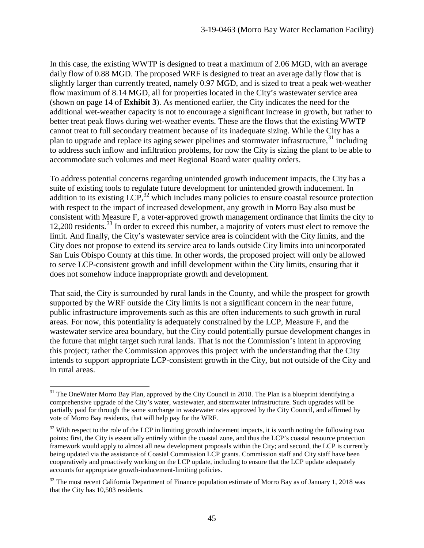In this case, the existing WWTP is designed to treat a maximum of 2.06 MGD, with an average daily flow of 0.88 MGD. The proposed WRF is designed to treat an average daily flow that is slightly larger than currently treated, namely 0.97 MGD, and is sized to treat a peak wet-weather flow maximum of 8.14 MGD, all for properties located in the City's wastewater service area (shown on page 14 of **Exhibit 3**). As mentioned earlier, the City indicates the need for the additional wet-weather capacity is not to encourage a significant increase in growth, but rather to better treat peak flows during wet-weather events. These are the flows that the existing WWTP cannot treat to full secondary treatment because of its inadequate sizing. While the City has a plan to upgrade and replace its aging sewer pipelines and stormwater infrastructure,  $31$  including to address such inflow and infiltration problems, for now the City is sizing the plant to be able to accommodate such volumes and meet Regional Board water quality orders.

To address potential concerns regarding unintended growth inducement impacts, the City has a suite of existing tools to regulate future development for unintended growth inducement. In addition to its existing LCP,  $32$  which includes many policies to ensure coastal resource protection with respect to the impact of increased development, any growth in Morro Bay also must be consistent with Measure F, a voter-approved growth management ordinance that limits the city to 12,200 residents.<sup>[33](#page-44-2)</sup> In order to exceed this number, a majority of voters must elect to remove the limit. And finally, the City's wastewater service area is coincident with the City limits, and the City does not propose to extend its service area to lands outside City limits into unincorporated San Luis Obispo County at this time. In other words, the proposed project will only be allowed to serve LCP-consistent growth and infill development within the City limits, ensuring that it does not somehow induce inappropriate growth and development.

That said, the City is surrounded by rural lands in the County, and while the prospect for growth supported by the WRF outside the City limits is not a significant concern in the near future, public infrastructure improvements such as this are often inducements to such growth in rural areas. For now, this potentiality is adequately constrained by the LCP, Measure F, and the wastewater service area boundary, but the City could potentially pursue development changes in the future that might target such rural lands. That is not the Commission's intent in approving this project; rather the Commission approves this project with the understanding that the City intends to support appropriate LCP-consistent growth in the City, but not outside of the City and in rural areas.

 $\overline{a}$ 

<span id="page-44-0"></span><sup>&</sup>lt;sup>31</sup> The OneWater Morro Bay Plan, approved by the City Council in 2018. The Plan is a blueprint identifying a comprehensive upgrade of the City's water, wastewater, and stormwater infrastructure. Such upgrades will be partially paid for through the same surcharge in wastewater rates approved by the City Council, and affirmed by vote of Morro Bay residents, that will help pay for the WRF.

<span id="page-44-1"></span> $32$  With respect to the role of the LCP in limiting growth inducement impacts, it is worth noting the following two points: first, the City is essentially entirely within the coastal zone, and thus the LCP's coastal resource protection framework would apply to almost all new development proposals within the City; and second, the LCP is currently being updated via the assistance of Coastal Commission LCP grants. Commission staff and City staff have been cooperatively and proactively working on the LCP update, including to ensure that the LCP update adequately accounts for appropriate growth-inducement-limiting policies.

<span id="page-44-2"></span><sup>&</sup>lt;sup>33</sup> The most recent California Department of Finance population estimate of Morro Bay as of January 1, 2018 was that the City has 10,503 residents.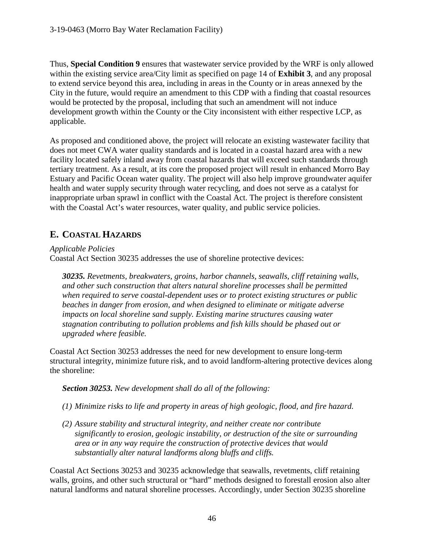Thus, **Special Condition 9** ensures that wastewater service provided by the WRF is only allowed within the existing service area/City limit as specified on page 14 of **Exhibit 3**, and any proposal to extend service beyond this area, including in areas in the County or in areas annexed by the City in the future, would require an amendment to this CDP with a finding that coastal resources would be protected by the proposal, including that such an amendment will not induce development growth within the County or the City inconsistent with either respective LCP, as applicable.

As proposed and conditioned above, the project will relocate an existing wastewater facility that does not meet CWA water quality standards and is located in a coastal hazard area with a new facility located safely inland away from coastal hazards that will exceed such standards through tertiary treatment. As a result, at its core the proposed project will result in enhanced Morro Bay Estuary and Pacific Ocean water quality. The project will also help improve groundwater aquifer health and water supply security through water recycling, and does not serve as a catalyst for inappropriate urban sprawl in conflict with the Coastal Act. The project is therefore consistent with the Coastal Act's water resources, water quality, and public service policies.

# **E. COASTAL HAZARDS**

*Applicable Policies*

Coastal Act Section 30235 addresses the use of shoreline protective devices:

*30235. Revetments, breakwaters, groins, harbor channels, seawalls, cliff retaining walls, and other such construction that alters natural shoreline processes shall be permitted when required to serve coastal-dependent uses or to protect existing structures or public beaches in danger from erosion, and when designed to eliminate or mitigate adverse impacts on local shoreline sand supply. Existing marine structures causing water stagnation contributing to pollution problems and fish kills should be phased out or upgraded where feasible.*

Coastal Act Section 30253 addresses the need for new development to ensure long-term structural integrity, minimize future risk, and to avoid landform-altering protective devices along the shoreline:

*Section 30253. New development shall do all of the following:* 

- *(1) Minimize risks to life and property in areas of high geologic, flood, and fire hazard.*
- *(2) Assure stability and structural integrity, and neither create nor contribute significantly to erosion, geologic instability, or destruction of the site or surrounding area or in any way require the construction of protective devices that would substantially alter natural landforms along bluffs and cliffs.*

Coastal Act Sections 30253 and 30235 acknowledge that seawalls, revetments, cliff retaining walls, groins, and other such structural or "hard" methods designed to forestall erosion also alter natural landforms and natural shoreline processes. Accordingly, under Section 30235 shoreline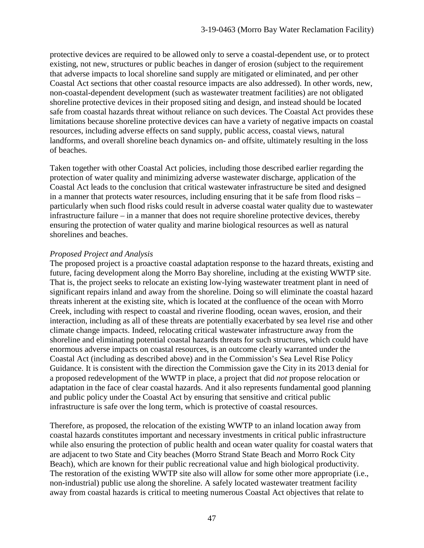protective devices are required to be allowed only to serve a coastal-dependent use, or to protect existing, not new, structures or public beaches in danger of erosion (subject to the requirement that adverse impacts to local shoreline sand supply are mitigated or eliminated, and per other Coastal Act sections that other coastal resource impacts are also addressed). In other words, new, non-coastal-dependent development (such as wastewater treatment facilities) are not obligated shoreline protective devices in their proposed siting and design, and instead should be located safe from coastal hazards threat without reliance on such devices. The Coastal Act provides these limitations because shoreline protective devices can have a variety of negative impacts on coastal resources, including adverse effects on sand supply, public access, coastal views, natural landforms, and overall shoreline beach dynamics on- and offsite, ultimately resulting in the loss of beaches.

Taken together with other Coastal Act policies, including those described earlier regarding the protection of water quality and minimizing adverse wastewater discharge, application of the Coastal Act leads to the conclusion that critical wastewater infrastructure be sited and designed in a manner that protects water resources, including ensuring that it be safe from flood risks – particularly when such flood risks could result in adverse coastal water quality due to wastewater infrastructure failure – in a manner that does not require shoreline protective devices, thereby ensuring the protection of water quality and marine biological resources as well as natural shorelines and beaches.

#### *Proposed Project and Analysis*

The proposed project is a proactive coastal adaptation response to the hazard threats, existing and future, facing development along the Morro Bay shoreline, including at the existing WWTP site. That is, the project seeks to relocate an existing low-lying wastewater treatment plant in need of significant repairs inland and away from the shoreline. Doing so will eliminate the coastal hazard threats inherent at the existing site, which is located at the confluence of the ocean with Morro Creek, including with respect to coastal and riverine flooding, ocean waves, erosion, and their interaction, including as all of these threats are potentially exacerbated by sea level rise and other climate change impacts. Indeed, relocating critical wastewater infrastructure away from the shoreline and eliminating potential coastal hazards threats for such structures, which could have enormous adverse impacts on coastal resources, is an outcome clearly warranted under the Coastal Act (including as described above) and in the Commission's Sea Level Rise Policy Guidance. It is consistent with the direction the Commission gave the City in its 2013 denial for a proposed redevelopment of the WWTP in place, a project that did *not* propose relocation or adaptation in the face of clear coastal hazards. And it also represents fundamental good planning and public policy under the Coastal Act by ensuring that sensitive and critical public infrastructure is safe over the long term, which is protective of coastal resources.

Therefore, as proposed, the relocation of the existing WWTP to an inland location away from coastal hazards constitutes important and necessary investments in critical public infrastructure while also ensuring the protection of public health and ocean water quality for coastal waters that are adjacent to two State and City beaches (Morro Strand State Beach and Morro Rock City Beach), which are known for their public recreational value and high biological productivity. The restoration of the existing WWTP site also will allow for some other more appropriate (i.e., non-industrial) public use along the shoreline. A safely located wastewater treatment facility away from coastal hazards is critical to meeting numerous Coastal Act objectives that relate to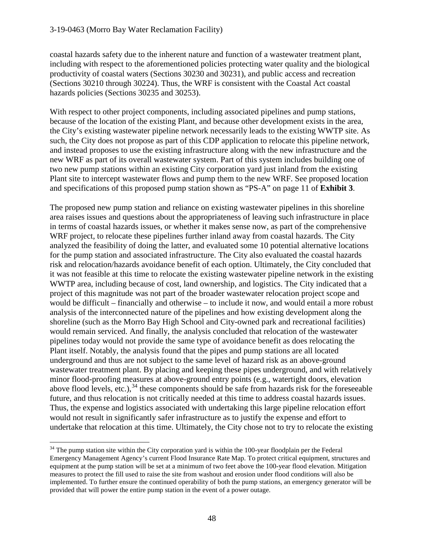coastal hazards safety due to the inherent nature and function of a wastewater treatment plant, including with respect to the aforementioned policies protecting water quality and the biological productivity of coastal waters (Sections 30230 and 30231), and public access and recreation (Sections 30210 through 30224). Thus, the WRF is consistent with the Coastal Act coastal hazards policies (Sections 30235 and 30253).

With respect to other project components, including associated pipelines and pump stations, because of the location of the existing Plant, and because other development exists in the area, the City's existing wastewater pipeline network necessarily leads to the existing WWTP site. As such, the City does not propose as part of this CDP application to relocate this pipeline network, and instead proposes to use the existing infrastructure along with the new infrastructure and the new WRF as part of its overall wastewater system. Part of this system includes building one of two new pump stations within an existing City corporation yard just inland from the existing Plant site to intercept wastewater flows and pump them to the new WRF. See proposed location and specifications of this proposed pump station shown as "PS-A" on page 11 of **Exhibit 3**.

The proposed new pump station and reliance on existing wastewater pipelines in this shoreline area raises issues and questions about the appropriateness of leaving such infrastructure in place in terms of coastal hazards issues, or whether it makes sense now, as part of the comprehensive WRF project, to relocate these pipelines further inland away from coastal hazards. The City analyzed the feasibility of doing the latter, and evaluated some 10 potential alternative locations for the pump station and associated infrastructure. The City also evaluated the coastal hazards risk and relocation/hazards avoidance benefit of each option. Ultimately, the City concluded that it was not feasible at this time to relocate the existing wastewater pipeline network in the existing WWTP area, including because of cost, land ownership, and logistics. The City indicated that a project of this magnitude was not part of the broader wastewater relocation project scope and would be difficult – financially and otherwise – to include it now, and would entail a more robust analysis of the interconnected nature of the pipelines and how existing development along the shoreline (such as the Morro Bay High School and City-owned park and recreational facilities) would remain serviced. And finally, the analysis concluded that relocation of the wastewater pipelines today would not provide the same type of avoidance benefit as does relocating the Plant itself. Notably, the analysis found that the pipes and pump stations are all located underground and thus are not subject to the same level of hazard risk as an above-ground wastewater treatment plant. By placing and keeping these pipes underground, and with relatively minor flood-proofing measures at above-ground entry points (e.g., watertight doors, elevation above flood levels, etc.),  $34$  these components should be safe from hazards risk for the foreseeable future, and thus relocation is not critically needed at this time to address coastal hazards issues. Thus, the expense and logistics associated with undertaking this large pipeline relocation effort would not result in significantly safer infrastructure as to justify the expense and effort to undertake that relocation at this time. Ultimately, the City chose not to try to relocate the existing

<span id="page-47-0"></span> $\overline{a}$  $34$  The pump station site within the City corporation yard is within the 100-year floodplain per the Federal Emergency Management Agency's current Flood Insurance Rate Map. To protect critical equipment, structures and equipment at the pump station will be set at a minimum of two feet above the 100-year flood elevation. Mitigation measures to protect the fill used to raise the site from washout and erosion under flood conditions will also be implemented. To further ensure the continued operability of both the pump stations, an emergency generator will be provided that will power the entire pump station in the event of a power outage.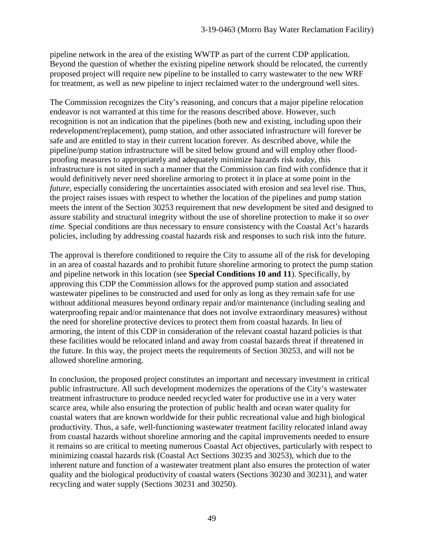pipeline network in the area of the existing WWTP as part of the current CDP application. Beyond the question of whether the existing pipeline network should be relocated, the currently proposed project will require new pipeline to be installed to carry wastewater to the new WRF for treatment, as well as new pipeline to inject reclaimed water to the underground well sites.

The Commission recognizes the City's reasoning, and concurs that a major pipeline relocation endeavor is not warranted at this time for the reasons described above. However, such recognition is not an indication that the pipelines (both new and existing, including upon their redevelopment/replacement), pump station, and other associated infrastructure will forever be safe and are entitled to stay in their current location forever. As described above, while the pipeline/pump station infrastructure will be sited below ground and will employ other floodproofing measures to appropriately and adequately minimize hazards risk *today*, this infrastructure is not sited in such a manner that the Commission can find with confidence that it would definitively never need shoreline armoring to protect it in place at some point in the *future*, especially considering the uncertainties associated with erosion and sea level rise. Thus, the project raises issues with respect to whether the location of the pipelines and pump station meets the intent of the Section 30253 requirement that new development be sited and designed to assure stability and structural integrity without the use of shoreline protection to make it so *over time*. Special conditions are thus necessary to ensure consistency with the Coastal Act's hazards policies, including by addressing coastal hazards risk and responses to such risk into the future.

The approval is therefore conditioned to require the City to assume all of the risk for developing in an area of coastal hazards and to prohibit future shoreline armoring to protect the pump station and pipeline network in this location (see **Special Conditions 10 and 11**). Specifically, by approving this CDP the Commission allows for the approved pump station and associated wastewater pipelines to be constructed and used for only as long as they remain safe for use without additional measures beyond ordinary repair and/or maintenance (including sealing and waterproofing repair and/or maintenance that does not involve extraordinary measures) without the need for shoreline protective devices to protect them from coastal hazards. In lieu of armoring, the intent of this CDP in consideration of the relevant coastal hazard policies is that these facilities would be relocated inland and away from coastal hazards threat if threatened in the future. In this way, the project meets the requirements of Section 30253, and will not be allowed shoreline armoring.

In conclusion, the proposed project constitutes an important and necessary investment in critical public infrastructure. All such development modernizes the operations of the City's wastewater treatment infrastructure to produce needed recycled water for productive use in a very water scarce area, while also ensuring the protection of public health and ocean water quality for coastal waters that are known worldwide for their public recreational value and high biological productivity. Thus, a safe, well-functioning wastewater treatment facility relocated inland away from coastal hazards without shoreline armoring and the capital improvements needed to ensure it remains so are critical to meeting numerous Coastal Act objectives, particularly with respect to minimizing coastal hazards risk (Coastal Act Sections 30235 and 30253), which due to the inherent nature and function of a wastewater treatment plant also ensures the protection of water quality and the biological productivity of coastal waters (Sections 30230 and 30231), and water recycling and water supply (Sections 30231 and 30250).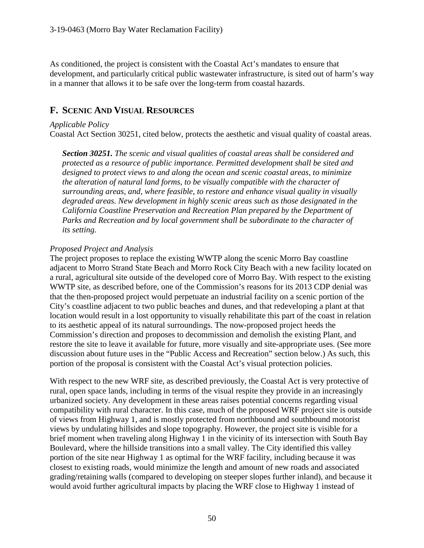As conditioned, the project is consistent with the Coastal Act's mandates to ensure that development, and particularly critical public wastewater infrastructure, is sited out of harm's way in a manner that allows it to be safe over the long-term from coastal hazards.

# **F. SCENIC AND VISUAL RESOURCES**

#### *Applicable Policy*

Coastal Act Section 30251, cited below, protects the aesthetic and visual quality of coastal areas.

*Section 30251. The scenic and visual qualities of coastal areas shall be considered and protected as a resource of public importance. Permitted development shall be sited and designed to protect views to and along the ocean and scenic coastal areas, to minimize the alteration of natural land forms, to be visually compatible with the character of surrounding areas, and, where feasible, to restore and enhance visual quality in visually degraded areas. New development in highly scenic areas such as those designated in the California Coastline Preservation and Recreation Plan prepared by the Department of Parks and Recreation and by local government shall be subordinate to the character of its setting.*

#### *Proposed Project and Analysis*

The project proposes to replace the existing WWTP along the scenic Morro Bay coastline adjacent to Morro Strand State Beach and Morro Rock City Beach with a new facility located on a rural, agricultural site outside of the developed core of Morro Bay. With respect to the existing WWTP site, as described before, one of the Commission's reasons for its 2013 CDP denial was that the then-proposed project would perpetuate an industrial facility on a scenic portion of the City's coastline adjacent to two public beaches and dunes, and that redeveloping a plant at that location would result in a lost opportunity to visually rehabilitate this part of the coast in relation to its aesthetic appeal of its natural surroundings. The now-proposed project heeds the Commission's direction and proposes to decommission and demolish the existing Plant, and restore the site to leave it available for future, more visually and site-appropriate uses. (See more discussion about future uses in the "Public Access and Recreation" section below.) As such, this portion of the proposal is consistent with the Coastal Act's visual protection policies.

With respect to the new WRF site, as described previously, the Coastal Act is very protective of rural, open space lands, including in terms of the visual respite they provide in an increasingly urbanized society. Any development in these areas raises potential concerns regarding visual compatibility with rural character. In this case, much of the proposed WRF project site is outside of views from Highway 1, and is mostly protected from northbound and southbound motorist views by undulating hillsides and slope topography. However, the project site is visible for a brief moment when traveling along Highway 1 in the vicinity of its intersection with South Bay Boulevard, where the hillside transitions into a small valley. The City identified this valley portion of the site near Highway 1 as optimal for the WRF facility, including because it was closest to existing roads, would minimize the length and amount of new roads and associated grading/retaining walls (compared to developing on steeper slopes further inland), and because it would avoid further agricultural impacts by placing the WRF close to Highway 1 instead of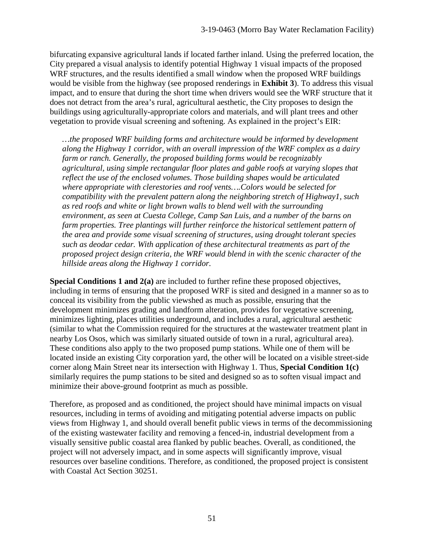bifurcating expansive agricultural lands if located farther inland. Using the preferred location, the City prepared a visual analysis to identify potential Highway 1 visual impacts of the proposed WRF structures, and the results identified a small window when the proposed WRF buildings would be visible from the highway (see proposed renderings in **Exhibit 3**). To address this visual impact, and to ensure that during the short time when drivers would see the WRF structure that it does not detract from the area's rural, agricultural aesthetic, the City proposes to design the buildings using agriculturally-appropriate colors and materials, and will plant trees and other vegetation to provide visual screening and softening. As explained in the project's EIR:

*…the proposed WRF building forms and architecture would be informed by development along the Highway 1 corridor, with an overall impression of the WRF complex as a dairy farm or ranch. Generally, the proposed building forms would be recognizably agricultural, using simple rectangular floor plates and gable roofs at varying slopes that reflect the use of the enclosed volumes. Those building shapes would be articulated where appropriate with clerestories and roof vents….Colors would be selected for compatibility with the prevalent pattern along the neighboring stretch of Highway1, such as red roofs and white or light brown walls to blend well with the surrounding environment, as seen at Cuesta College, Camp San Luis, and a number of the barns on farm properties. Tree plantings will further reinforce the historical settlement pattern of the area and provide some visual screening of structures, using drought tolerant species such as deodar cedar. With application of these architectural treatments as part of the proposed project design criteria, the WRF would blend in with the scenic character of the hillside areas along the Highway 1 corridor.* 

**Special Conditions 1 and 2(a)** are included to further refine these proposed objectives, including in terms of ensuring that the proposed WRF is sited and designed in a manner so as to conceal its visibility from the public viewshed as much as possible, ensuring that the development minimizes grading and landform alteration, provides for vegetative screening, minimizes lighting, places utilities underground, and includes a rural, agricultural aesthetic (similar to what the Commission required for the structures at the wastewater treatment plant in nearby Los Osos, which was similarly situated outside of town in a rural, agricultural area). These conditions also apply to the two proposed pump stations. While one of them will be located inside an existing City corporation yard, the other will be located on a visible street-side corner along Main Street near its intersection with Highway 1. Thus, **Special Condition 1(c)**  similarly requires the pump stations to be sited and designed so as to soften visual impact and minimize their above-ground footprint as much as possible.

Therefore, as proposed and as conditioned, the project should have minimal impacts on visual resources, including in terms of avoiding and mitigating potential adverse impacts on public views from Highway 1, and should overall benefit public views in terms of the decommissioning of the existing wastewater facility and removing a fenced-in, industrial development from a visually sensitive public coastal area flanked by public beaches. Overall, as conditioned, the project will not adversely impact, and in some aspects will significantly improve, visual resources over baseline conditions. Therefore, as conditioned, the proposed project is consistent with Coastal Act Section 30251.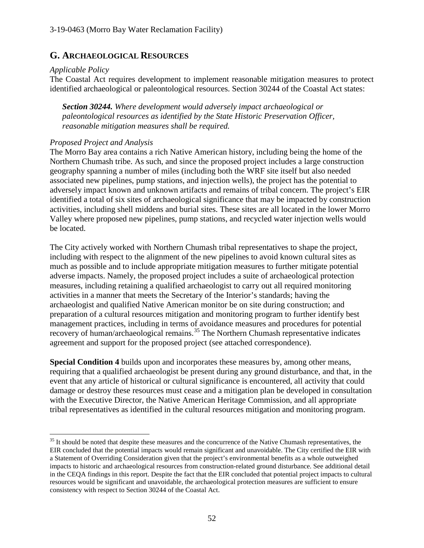# **G. ARCHAEOLOGICAL RESOURCES**

#### *Applicable Policy*

 $\overline{a}$ 

The Coastal Act requires development to implement reasonable mitigation measures to protect identified archaeological or paleontological resources. Section 30244 of the Coastal Act states:

*Section 30244. Where development would adversely impact archaeological or paleontological resources as identified by the State Historic Preservation Officer, reasonable mitigation measures shall be required.* 

## *Proposed Project and Analysis*

The Morro Bay area contains a rich Native American history, including being the home of the Northern Chumash tribe. As such, and since the proposed project includes a large construction geography spanning a number of miles (including both the WRF site itself but also needed associated new pipelines, pump stations, and injection wells), the project has the potential to adversely impact known and unknown artifacts and remains of tribal concern. The project's EIR identified a total of six sites of archaeological significance that may be impacted by construction activities, including shell middens and burial sites. These sites are all located in the lower Morro Valley where proposed new pipelines, pump stations, and recycled water injection wells would be located.

The City actively worked with Northern Chumash tribal representatives to shape the project, including with respect to the alignment of the new pipelines to avoid known cultural sites as much as possible and to include appropriate mitigation measures to further mitigate potential adverse impacts. Namely, the proposed project includes a suite of archaeological protection measures, including retaining a qualified archaeologist to carry out all required monitoring activities in a manner that meets the Secretary of the Interior's standards; having the archaeologist and qualified Native American monitor be on site during construction; and preparation of a cultural resources mitigation and monitoring program to further identify best management practices, including in terms of avoidance measures and procedures for potential recovery of human/archaeological remains.<sup>35</sup> The Northern Chumash representative indicates agreement and support for the proposed project (see attached correspondence).

**Special Condition 4** builds upon and incorporates these measures by, among other means, requiring that a qualified archaeologist be present during any ground disturbance, and that, in the event that any article of historical or cultural significance is encountered, all activity that could damage or destroy these resources must cease and a mitigation plan be developed in consultation with the Executive Director, the Native American Heritage Commission, and all appropriate tribal representatives as identified in the cultural resources mitigation and monitoring program.

<span id="page-51-0"></span><sup>&</sup>lt;sup>35</sup> It should be noted that despite these measures and the concurrence of the Native Chumash representatives, the EIR concluded that the potential impacts would remain significant and unavoidable. The City certified the EIR with a Statement of Overriding Consideration given that the project's environmental benefits as a whole outweighed impacts to historic and archaeological resources from construction-related ground disturbance. See additional detail in the CEQA findings in this report. Despite the fact that the EIR concluded that potential project impacts to cultural resources would be significant and unavoidable, the archaeological protection measures are sufficient to ensure consistency with respect to Section 30244 of the Coastal Act.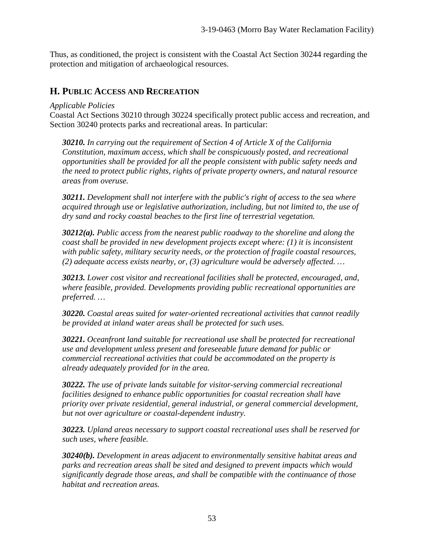Thus, as conditioned, the project is consistent with the Coastal Act Section 30244 regarding the protection and mitigation of archaeological resources.

# **H. PUBLIC ACCESS AND RECREATION**

#### *Applicable Policies*

Coastal Act Sections 30210 through 30224 specifically protect public access and recreation, and Section 30240 protects parks and recreational areas. In particular:

*30210. In carrying out the requirement of Section 4 of Article X of the California Constitution, maximum access, which shall be conspicuously posted, and recreational opportunities shall be provided for all the people consistent with public safety needs and the need to protect public rights, rights of private property owners, and natural resource areas from overuse.*

*30211. Development shall not interfere with the public's right of access to the sea where acquired through use or legislative authorization, including, but not limited to, the use of dry sand and rocky coastal beaches to the first line of terrestrial vegetation.* 

*30212(a). Public access from the nearest public roadway to the shoreline and along the coast shall be provided in new development projects except where: (1) it is inconsistent with public safety, military security needs, or the protection of fragile coastal resources, (2) adequate access exists nearby, or, (3) agriculture would be adversely affected. …* 

*30213. Lower cost visitor and recreational facilities shall be protected, encouraged, and, where feasible, provided. Developments providing public recreational opportunities are preferred. …*

*30220. Coastal areas suited for water-oriented recreational activities that cannot readily be provided at inland water areas shall be protected for such uses.* 

*30221. Oceanfront land suitable for recreational use shall be protected for recreational use and development unless present and foreseeable future demand for public or commercial recreational activities that could be accommodated on the property is already adequately provided for in the area.* 

*30222. The use of private lands suitable for visitor-serving commercial recreational facilities designed to enhance public opportunities for coastal recreation shall have priority over private residential, general industrial, or general commercial development, but not over agriculture or coastal-dependent industry.* 

*30223. Upland areas necessary to support coastal recreational uses shall be reserved for such uses, where feasible.* 

*30240(b). Development in areas adjacent to environmentally sensitive habitat areas and parks and recreation areas shall be sited and designed to prevent impacts which would significantly degrade those areas, and shall be compatible with the continuance of those habitat and recreation areas.*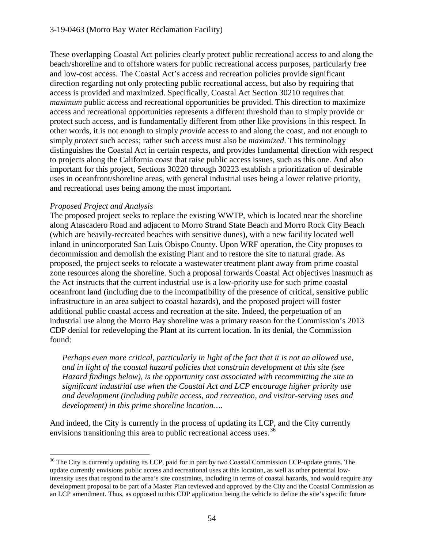#### 3-19-0463 (Morro Bay Water Reclamation Facility)

These overlapping Coastal Act policies clearly protect public recreational access to and along the beach/shoreline and to offshore waters for public recreational access purposes, particularly free and low-cost access. The Coastal Act's access and recreation policies provide significant direction regarding not only protecting public recreational access, but also by requiring that access is provided and maximized. Specifically, Coastal Act Section 30210 requires that *maximum* public access and recreational opportunities be provided. This direction to maximize access and recreational opportunities represents a different threshold than to simply provide or protect such access, and is fundamentally different from other like provisions in this respect. In other words, it is not enough to simply *provide* access to and along the coast, and not enough to simply *protect* such access; rather such access must also be *maximized*. This terminology distinguishes the Coastal Act in certain respects, and provides fundamental direction with respect to projects along the California coast that raise public access issues, such as this one. And also important for this project, Sections 30220 through 30223 establish a prioritization of desirable uses in oceanfront/shoreline areas, with general industrial uses being a lower relative priority, and recreational uses being among the most important.

#### *Proposed Project and Analysis*

The proposed project seeks to replace the existing WWTP, which is located near the shoreline along Atascadero Road and adjacent to Morro Strand State Beach and Morro Rock City Beach (which are heavily-recreated beaches with sensitive dunes), with a new facility located well inland in unincorporated San Luis Obispo County. Upon WRF operation, the City proposes to decommission and demolish the existing Plant and to restore the site to natural grade. As proposed, the project seeks to relocate a wastewater treatment plant away from prime coastal zone resources along the shoreline. Such a proposal forwards Coastal Act objectives inasmuch as the Act instructs that the current industrial use is a low-priority use for such prime coastal oceanfront land (including due to the incompatibility of the presence of critical, sensitive public infrastructure in an area subject to coastal hazards), and the proposed project will foster additional public coastal access and recreation at the site. Indeed, the perpetuation of an industrial use along the Morro Bay shoreline was a primary reason for the Commission's 2013 CDP denial for redeveloping the Plant at its current location. In its denial, the Commission found:

*Perhaps even more critical, particularly in light of the fact that it is not an allowed use, and in light of the coastal hazard policies that constrain development at this site (see Hazard findings below), is the opportunity cost associated with recommitting the site to significant industrial use when the Coastal Act and LCP encourage higher priority use and development (including public access, and recreation, and visitor-serving uses and development) in this prime shoreline location….* 

And indeed, the City is currently in the process of updating its LCP, and the City currently envisions transitioning this area to public recreational access uses.<sup>[36](#page-53-0)</sup>

<span id="page-53-0"></span> $\overline{a}$ <sup>36</sup> The City is currently updating its LCP, paid for in part by two Coastal Commission LCP-update grants. The update currently envisions public access and recreational uses at this location, as well as other potential lowintensity uses that respond to the area's site constraints, including in terms of coastal hazards, and would require any development proposal to be part of a Master Plan reviewed and approved by the City and the Coastal Commission as an LCP amendment. Thus, as opposed to this CDP application being the vehicle to define the site's specific future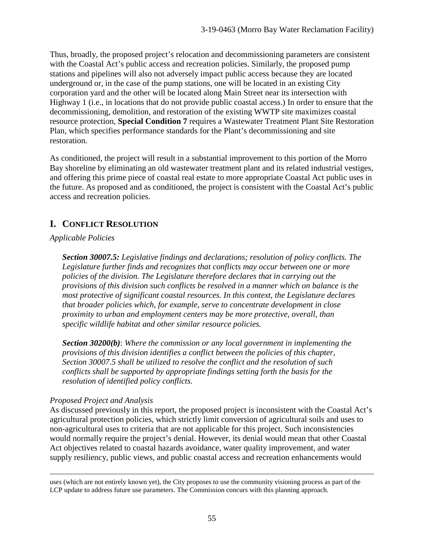Thus, broadly, the proposed project's relocation and decommissioning parameters are consistent with the Coastal Act's public access and recreation policies. Similarly, the proposed pump stations and pipelines will also not adversely impact public access because they are located underground or, in the case of the pump stations, one will be located in an existing City corporation yard and the other will be located along Main Street near its intersection with Highway 1 (i.e., in locations that do not provide public coastal access.) In order to ensure that the decommissioning, demolition, and restoration of the existing WWTP site maximizes coastal resource protection, **Special Condition 7** requires a Wastewater Treatment Plant Site Restoration Plan, which specifies performance standards for the Plant's decommissioning and site restoration.

As conditioned, the project will result in a substantial improvement to this portion of the Morro Bay shoreline by eliminating an old wastewater treatment plant and its related industrial vestiges, and offering this prime piece of coastal real estate to more appropriate Coastal Act public uses in the future. As proposed and as conditioned, the project is consistent with the Coastal Act's public access and recreation policies.

# **I. CONFLICT RESOLUTION**

# *Applicable Policies*

*Section 30007.5: Legislative findings and declarations; resolution of policy conflicts. The Legislature further finds and recognizes that conflicts may occur between one or more policies of the division. The Legislature therefore declares that in carrying out the provisions of this division such conflicts be resolved in a manner which on balance is the most protective of significant coastal resources. In this context, the Legislature declares that broader policies which, for example, serve to concentrate development in close proximity to urban and employment centers may be more protective, overall, than specific wildlife habitat and other similar resource policies.*

*Section 30200(b)*: *Where the commission or any local government in implementing the provisions of this division identifies a conflict between the policies of this chapter, Section 30007.5 shall be utilized to resolve the conflict and the resolution of such conflicts shall be supported by appropriate findings setting forth the basis for the resolution of identified policy conflicts.*

## *Proposed Project and Analysis*

As discussed previously in this report, the proposed project is inconsistent with the Coastal Act's agricultural protection policies, which strictly limit conversion of agricultural soils and uses to non-agricultural uses to criteria that are not applicable for this project. Such inconsistencies would normally require the project's denial. However, its denial would mean that other Coastal Act objectives related to coastal hazards avoidance, water quality improvement, and water supply resiliency, public views, and public coastal access and recreation enhancements would

 $\overline{a}$ uses (which are not entirely known yet), the City proposes to use the community visioning process as part of the LCP update to address future use parameters. The Commission concurs with this planning approach.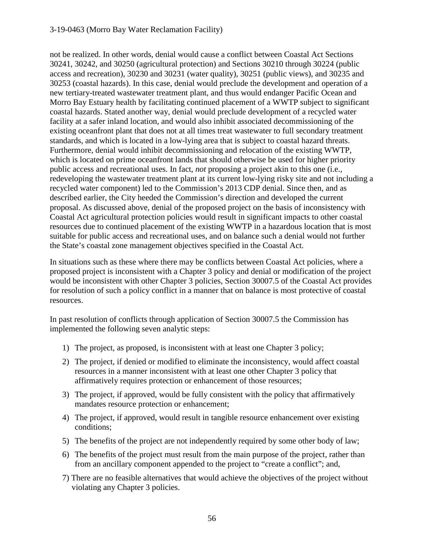#### 3-19-0463 (Morro Bay Water Reclamation Facility)

not be realized. In other words, denial would cause a conflict between Coastal Act Sections 30241, 30242, and 30250 (agricultural protection) and Sections 30210 through 30224 (public access and recreation), 30230 and 30231 (water quality), 30251 (public views), and 30235 and 30253 (coastal hazards). In this case, denial would preclude the development and operation of a new tertiary-treated wastewater treatment plant, and thus would endanger Pacific Ocean and Morro Bay Estuary health by facilitating continued placement of a WWTP subject to significant coastal hazards. Stated another way, denial would preclude development of a recycled water facility at a safer inland location, and would also inhibit associated decommissioning of the existing oceanfront plant that does not at all times treat wastewater to full secondary treatment standards, and which is located in a low-lying area that is subject to coastal hazard threats. Furthermore, denial would inhibit decommissioning and relocation of the existing WWTP, which is located on prime oceanfront lands that should otherwise be used for higher priority public access and recreational uses. In fact, *not* proposing a project akin to this one (i.e., redeveloping the wastewater treatment plant at its current low-lying risky site and not including a recycled water component) led to the Commission's 2013 CDP denial. Since then, and as described earlier, the City heeded the Commission's direction and developed the current proposal. As discussed above, denial of the proposed project on the basis of inconsistency with Coastal Act agricultural protection policies would result in significant impacts to other coastal resources due to continued placement of the existing WWTP in a hazardous location that is most suitable for public access and recreational uses, and on balance such a denial would not further the State's coastal zone management objectives specified in the Coastal Act.

In situations such as these where there may be conflicts between Coastal Act policies, where a proposed project is inconsistent with a Chapter 3 policy and denial or modification of the project would be inconsistent with other Chapter 3 policies, Section 30007.5 of the Coastal Act provides for resolution of such a policy conflict in a manner that on balance is most protective of coastal resources.

In past resolution of conflicts through application of Section 30007.5 the Commission has implemented the following seven analytic steps:

- 1) The project, as proposed, is inconsistent with at least one Chapter 3 policy;
- 2) The project, if denied or modified to eliminate the inconsistency, would affect coastal resources in a manner inconsistent with at least one other Chapter 3 policy that affirmatively requires protection or enhancement of those resources;
- 3) The project, if approved, would be fully consistent with the policy that affirmatively mandates resource protection or enhancement;
- 4) The project, if approved, would result in tangible resource enhancement over existing conditions;
- 5) The benefits of the project are not independently required by some other body of law;
- 6) The benefits of the project must result from the main purpose of the project, rather than from an ancillary component appended to the project to "create a conflict"; and,
- 7) There are no feasible alternatives that would achieve the objectives of the project without violating any Chapter 3 policies.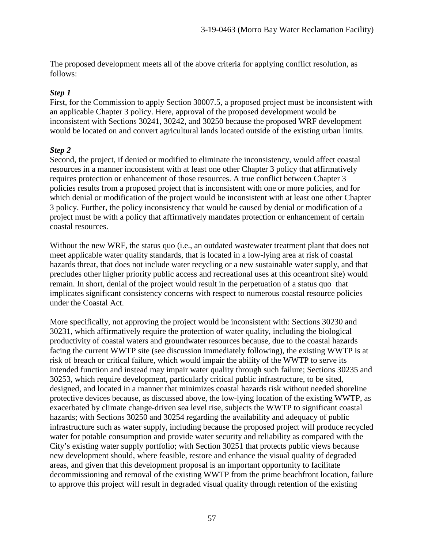The proposed development meets all of the above criteria for applying conflict resolution, as follows:

#### *Step 1*

First, for the Commission to apply Section 30007.5, a proposed project must be inconsistent with an applicable Chapter 3 policy. Here, approval of the proposed development would be inconsistent with Sections 30241, 30242, and 30250 because the proposed WRF development would be located on and convert agricultural lands located outside of the existing urban limits.

#### *Step 2*

Second, the project, if denied or modified to eliminate the inconsistency, would affect coastal resources in a manner inconsistent with at least one other Chapter 3 policy that affirmatively requires protection or enhancement of those resources. A true conflict between Chapter 3 policies results from a proposed project that is inconsistent with one or more policies, and for which denial or modification of the project would be inconsistent with at least one other Chapter 3 policy. Further, the policy inconsistency that would be caused by denial or modification of a project must be with a policy that affirmatively mandates protection or enhancement of certain coastal resources.

Without the new WRF, the status quo (i.e., an outdated wastewater treatment plant that does not meet applicable water quality standards, that is located in a low-lying area at risk of coastal hazards threat, that does not include water recycling or a new sustainable water supply, and that precludes other higher priority public access and recreational uses at this oceanfront site) would remain. In short, denial of the project would result in the perpetuation of a status quo that implicates significant consistency concerns with respect to numerous coastal resource policies under the Coastal Act.

More specifically, not approving the project would be inconsistent with: Sections 30230 and 30231, which affirmatively require the protection of water quality, including the biological productivity of coastal waters and groundwater resources because, due to the coastal hazards facing the current WWTP site (see discussion immediately following), the existing WWTP is at risk of breach or critical failure, which would impair the ability of the WWTP to serve its intended function and instead may impair water quality through such failure; Sections 30235 and 30253, which require development, particularly critical public infrastructure, to be sited, designed, and located in a manner that minimizes coastal hazards risk without needed shoreline protective devices because, as discussed above, the low-lying location of the existing WWTP, as exacerbated by climate change-driven sea level rise, subjects the WWTP to significant coastal hazards; with Sections 30250 and 30254 regarding the availability and adequacy of public infrastructure such as water supply, including because the proposed project will produce recycled water for potable consumption and provide water security and reliability as compared with the City's existing water supply portfolio; with Section 30251 that protects public views because new development should, where feasible, restore and enhance the visual quality of degraded areas, and given that this development proposal is an important opportunity to facilitate decommissioning and removal of the existing WWTP from the prime beachfront location, failure to approve this project will result in degraded visual quality through retention of the existing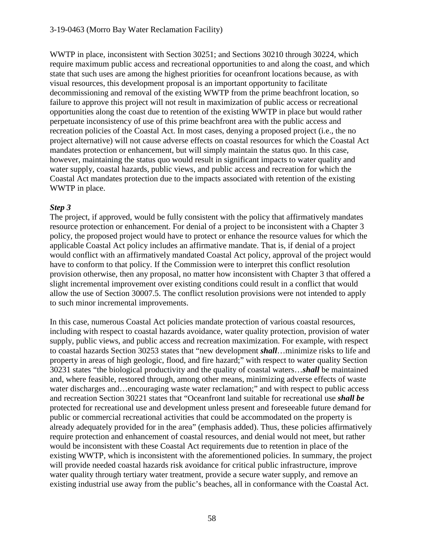WWTP in place, inconsistent with Section 30251; and Sections 30210 through 30224, which require maximum public access and recreational opportunities to and along the coast, and which state that such uses are among the highest priorities for oceanfront locations because, as with visual resources, this development proposal is an important opportunity to facilitate decommissioning and removal of the existing WWTP from the prime beachfront location, so failure to approve this project will not result in maximization of public access or recreational opportunities along the coast due to retention of the existing WWTP in place but would rather perpetuate inconsistency of use of this prime beachfront area with the public access and recreation policies of the Coastal Act. In most cases, denying a proposed project (i.e., the no project alternative) will not cause adverse effects on coastal resources for which the Coastal Act mandates protection or enhancement, but will simply maintain the status quo. In this case, however, maintaining the status quo would result in significant impacts to water quality and water supply, coastal hazards, public views, and public access and recreation for which the Coastal Act mandates protection due to the impacts associated with retention of the existing WWTP in place.

#### *Step 3*

The project, if approved, would be fully consistent with the policy that affirmatively mandates resource protection or enhancement. For denial of a project to be inconsistent with a Chapter 3 policy, the proposed project would have to protect or enhance the resource values for which the applicable Coastal Act policy includes an affirmative mandate. That is, if denial of a project would conflict with an affirmatively mandated Coastal Act policy, approval of the project would have to conform to that policy. If the Commission were to interpret this conflict resolution provision otherwise, then any proposal, no matter how inconsistent with Chapter 3 that offered a slight incremental improvement over existing conditions could result in a conflict that would allow the use of Section 30007.5. The conflict resolution provisions were not intended to apply to such minor incremental improvements.

In this case, numerous Coastal Act policies mandate protection of various coastal resources, including with respect to coastal hazards avoidance, water quality protection, provision of water supply, public views, and public access and recreation maximization. For example, with respect to coastal hazards Section 30253 states that "new development *shall*…minimize risks to life and property in areas of high geologic, flood, and fire hazard;" with respect to water quality Section 30231 states "the biological productivity and the quality of coastal waters…*shall* be maintained and, where feasible, restored through, among other means, minimizing adverse effects of waste water discharges and…encouraging waste water reclamation;" and with respect to public access and recreation Section 30221 states that "Oceanfront land suitable for recreational use *shall be* protected for recreational use and development unless present and foreseeable future demand for public or commercial recreational activities that could be accommodated on the property is already adequately provided for in the area" (emphasis added). Thus, these policies affirmatively require protection and enhancement of coastal resources, and denial would not meet, but rather would be inconsistent with these Coastal Act requirements due to retention in place of the existing WWTP, which is inconsistent with the aforementioned policies. In summary, the project will provide needed coastal hazards risk avoidance for critical public infrastructure, improve water quality through tertiary water treatment, provide a secure water supply, and remove an existing industrial use away from the public's beaches, all in conformance with the Coastal Act.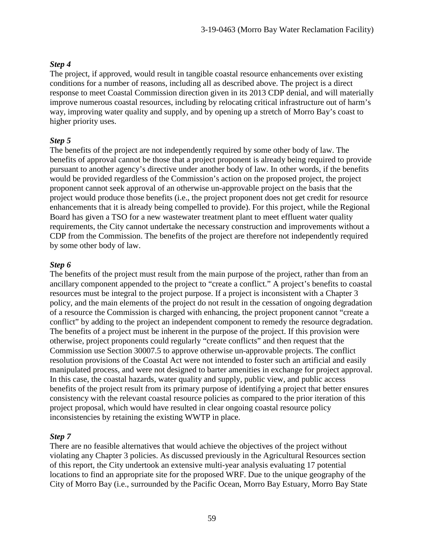# *Step 4*

The project, if approved, would result in tangible coastal resource enhancements over existing conditions for a number of reasons, including all as described above. The project is a direct response to meet Coastal Commission direction given in its 2013 CDP denial, and will materially improve numerous coastal resources, including by relocating critical infrastructure out of harm's way, improving water quality and supply, and by opening up a stretch of Morro Bay's coast to higher priority uses.

# *Step 5*

The benefits of the project are not independently required by some other body of law. The benefits of approval cannot be those that a project proponent is already being required to provide pursuant to another agency's directive under another body of law. In other words, if the benefits would be provided regardless of the Commission's action on the proposed project, the project proponent cannot seek approval of an otherwise un-approvable project on the basis that the project would produce those benefits (i.e., the project proponent does not get credit for resource enhancements that it is already being compelled to provide). For this project, while the Regional Board has given a TSO for a new wastewater treatment plant to meet effluent water quality requirements, the City cannot undertake the necessary construction and improvements without a CDP from the Commission. The benefits of the project are therefore not independently required by some other body of law.

## *Step 6*

The benefits of the project must result from the main purpose of the project, rather than from an ancillary component appended to the project to "create a conflict." A project's benefits to coastal resources must be integral to the project purpose. If a project is inconsistent with a Chapter 3 policy, and the main elements of the project do not result in the cessation of ongoing degradation of a resource the Commission is charged with enhancing, the project proponent cannot "create a conflict" by adding to the project an independent component to remedy the resource degradation. The benefits of a project must be inherent in the purpose of the project. If this provision were otherwise, project proponents could regularly "create conflicts" and then request that the Commission use Section 30007.5 to approve otherwise un-approvable projects. The conflict resolution provisions of the Coastal Act were not intended to foster such an artificial and easily manipulated process, and were not designed to barter amenities in exchange for project approval. In this case, the coastal hazards, water quality and supply, public view, and public access benefits of the project result from its primary purpose of identifying a project that better ensures consistency with the relevant coastal resource policies as compared to the prior iteration of this project proposal, which would have resulted in clear ongoing coastal resource policy inconsistencies by retaining the existing WWTP in place.

# *Step 7*

There are no feasible alternatives that would achieve the objectives of the project without violating any Chapter 3 policies. As discussed previously in the Agricultural Resources section of this report, the City undertook an extensive multi-year analysis evaluating 17 potential locations to find an appropriate site for the proposed WRF. Due to the unique geography of the City of Morro Bay (i.e., surrounded by the Pacific Ocean, Morro Bay Estuary, Morro Bay State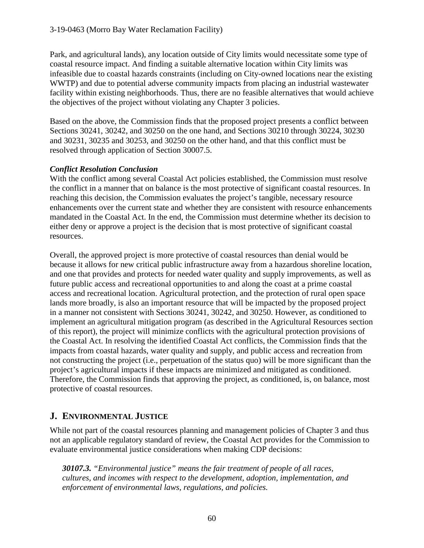Park, and agricultural lands), any location outside of City limits would necessitate some type of coastal resource impact. And finding a suitable alternative location within City limits was infeasible due to coastal hazards constraints (including on City-owned locations near the existing WWTP) and due to potential adverse community impacts from placing an industrial wastewater facility within existing neighborhoods. Thus, there are no feasible alternatives that would achieve the objectives of the project without violating any Chapter 3 policies.

Based on the above, the Commission finds that the proposed project presents a conflict between Sections 30241, 30242, and 30250 on the one hand, and Sections 30210 through 30224, 30230 and 30231, 30235 and 30253, and 30250 on the other hand, and that this conflict must be resolved through application of Section 30007.5.

# *Conflict Resolution Conclusion*

With the conflict among several Coastal Act policies established, the Commission must resolve the conflict in a manner that on balance is the most protective of significant coastal resources. In reaching this decision, the Commission evaluates the project's tangible, necessary resource enhancements over the current state and whether they are consistent with resource enhancements mandated in the Coastal Act. In the end, the Commission must determine whether its decision to either deny or approve a project is the decision that is most protective of significant coastal resources.

Overall, the approved project is more protective of coastal resources than denial would be because it allows for new critical public infrastructure away from a hazardous shoreline location, and one that provides and protects for needed water quality and supply improvements, as well as future public access and recreational opportunities to and along the coast at a prime coastal access and recreational location. Agricultural protection, and the protection of rural open space lands more broadly, is also an important resource that will be impacted by the proposed project in a manner not consistent with Sections 30241, 30242, and 30250. However, as conditioned to implement an agricultural mitigation program (as described in the Agricultural Resources section of this report), the project will minimize conflicts with the agricultural protection provisions of the Coastal Act. In resolving the identified Coastal Act conflicts, the Commission finds that the impacts from coastal hazards, water quality and supply, and public access and recreation from not constructing the project (i.e., perpetuation of the status quo) will be more significant than the project's agricultural impacts if these impacts are minimized and mitigated as conditioned. Therefore, the Commission finds that approving the project, as conditioned, is, on balance, most protective of coastal resources.

# **J. ENVIRONMENTAL JUSTICE**

While not part of the coastal resources planning and management policies of Chapter 3 and thus not an applicable regulatory standard of review, the Coastal Act provides for the Commission to evaluate environmental justice considerations when making CDP decisions:

*30107.3. "Environmental justice" means the fair treatment of people of all races, cultures, and incomes with respect to the development, adoption, implementation, and enforcement of environmental laws, regulations, and policies.*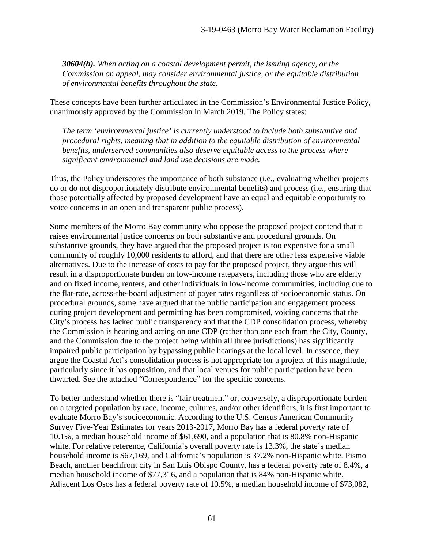*30604(h). When acting on a coastal development permit, the issuing agency, or the Commission on appeal, may consider environmental justice, or the equitable distribution of environmental benefits throughout the state.* 

These concepts have been further articulated in the Commission's Environmental Justice Policy, unanimously approved by the Commission in March 2019. The Policy states:

*The term 'environmental justice' is currently understood to include both substantive and procedural rights, meaning that in addition to the equitable distribution of environmental benefits, underserved communities also deserve equitable access to the process where significant environmental and land use decisions are made.* 

Thus, the Policy underscores the importance of both substance (i.e., evaluating whether projects do or do not disproportionately distribute environmental benefits) and process (i.e., ensuring that those potentially affected by proposed development have an equal and equitable opportunity to voice concerns in an open and transparent public process).

Some members of the Morro Bay community who oppose the proposed project contend that it raises environmental justice concerns on both substantive and procedural grounds. On substantive grounds, they have argued that the proposed project is too expensive for a small community of roughly 10,000 residents to afford, and that there are other less expensive viable alternatives. Due to the increase of costs to pay for the proposed project, they argue this will result in a disproportionate burden on low-income ratepayers, including those who are elderly and on fixed income, renters, and other individuals in low-income communities, including due to the flat-rate, across-the-board adjustment of payer rates regardless of socioeconomic status. On procedural grounds, some have argued that the public participation and engagement process during project development and permitting has been compromised, voicing concerns that the City's process has lacked public transparency and that the CDP consolidation process, whereby the Commission is hearing and acting on one CDP (rather than one each from the City, County, and the Commission due to the project being within all three jurisdictions) has significantly impaired public participation by bypassing public hearings at the local level. In essence, they argue the Coastal Act's consolidation process is not appropriate for a project of this magnitude, particularly since it has opposition, and that local venues for public participation have been thwarted. See the attached "Correspondence" for the specific concerns.

To better understand whether there is "fair treatment" or, conversely, a disproportionate burden on a targeted population by race, income, cultures, and/or other identifiers, it is first important to evaluate Morro Bay's socioeconomic. According to the U.S. Census American Community Survey Five-Year Estimates for years 2013-2017, Morro Bay has a federal poverty rate of 10.1%, a median household income of \$61,690, and a population that is 80.8% non-Hispanic white. For relative reference, California's overall poverty rate is 13.3%, the state's median household income is \$67,169, and California's population is 37.2% non-Hispanic white. Pismo Beach, another beachfront city in San Luis Obispo County, has a federal poverty rate of 8.4%, a median household income of \$77,316, and a population that is 84% non-Hispanic white. Adjacent Los Osos has a federal poverty rate of 10.5%, a median household income of \$73,082,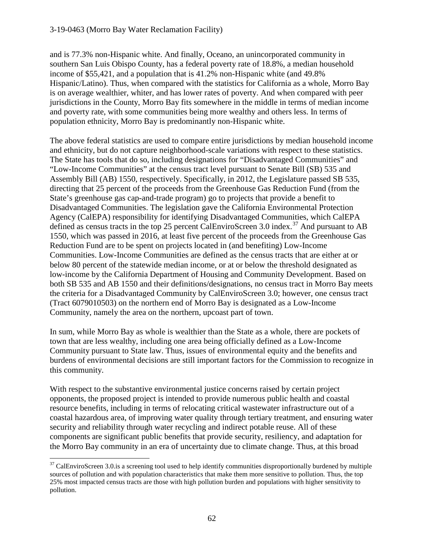#### 3-19-0463 (Morro Bay Water Reclamation Facility)

and is 77.3% non-Hispanic white. And finally, Oceano, an unincorporated community in southern San Luis Obispo County, has a federal poverty rate of 18.8%, a median household income of \$55,421, and a population that is 41.2% non-Hispanic white (and 49.8% Hispanic/Latino). Thus, when compared with the statistics for California as a whole, Morro Bay is on average wealthier, whiter, and has lower rates of poverty. And when compared with peer jurisdictions in the County, Morro Bay fits somewhere in the middle in terms of median income and poverty rate, with some communities being more wealthy and others less. In terms of population ethnicity, Morro Bay is predominantly non-Hispanic white.

The above federal statistics are used to compare entire jurisdictions by median household income and ethnicity, but do not capture neighborhood-scale variations with respect to these statistics. The State has tools that do so, including designations for "Disadvantaged Communities" and "Low-Income Communities" at the census tract level pursuant to Senate Bill (SB) 535 and Assembly Bill (AB) 1550, respectively. Specifically, in 2012, the Legislature passed SB 535, directing that 25 percent of the proceeds from the Greenhouse Gas Reduction Fund (from the State's greenhouse gas cap-and-trade program) go to projects that provide a benefit to Disadvantaged Communities. The legislation gave the California Environmental Protection Agency (CalEPA) responsibility for identifying Disadvantaged Communities, which CalEPA defined as census tracts in the top 25 percent CalEnviroScreen 3.0 index.<sup>37</sup> And pursuant to AB 1550, which was passed in 2016, at least five percent of the proceeds from the Greenhouse Gas Reduction Fund are to be spent on projects located in (and benefiting) Low-Income Communities. Low-Income Communities are defined as the census tracts that are either at or below 80 percent of the statewide median income, or at or below the threshold designated as low-income by the California Department of Housing and Community Development. Based on both SB 535 and AB 1550 and their definitions/designations, no census tract in Morro Bay meets the criteria for a Disadvantaged Community by CalEnviroScreen 3.0; however, one census tract (Tract 6079010503) on the northern end of Morro Bay is designated as a Low-Income Community, namely the area on the northern, upcoast part of town.

In sum, while Morro Bay as whole is wealthier than the State as a whole, there are pockets of town that are less wealthy, including one area being officially defined as a Low-Income Community pursuant to State law. Thus, issues of environmental equity and the benefits and burdens of environmental decisions are still important factors for the Commission to recognize in this community.

With respect to the substantive environmental justice concerns raised by certain project opponents, the proposed project is intended to provide numerous public health and coastal resource benefits, including in terms of relocating critical wastewater infrastructure out of a coastal hazardous area, of improving water quality through tertiary treatment, and ensuring water security and reliability through water recycling and indirect potable reuse. All of these components are significant public benefits that provide security, resiliency, and adaptation for the Morro Bay community in an era of uncertainty due to climate change. Thus, at this broad

<span id="page-61-0"></span> $\overline{a}$  $37$  CalEnviroScreen 3.0.is a screening tool used to help identify communities disproportionally burdened by multiple sources of pollution and with population characteristics that make them more sensitive to pollution. Thus, the top 25% most impacted census tracts are those with high pollution burden and populations with higher sensitivity to pollution.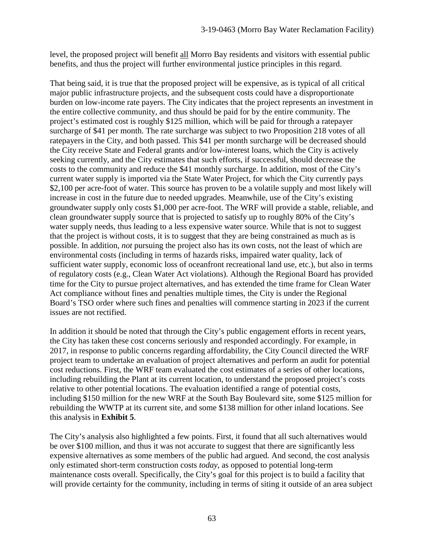level, the proposed project will benefit all Morro Bay residents and visitors with essential public benefits, and thus the project will further environmental justice principles in this regard.

That being said, it is true that the proposed project will be expensive, as is typical of all critical major public infrastructure projects, and the subsequent costs could have a disproportionate burden on low-income rate payers. The City indicates that the project represents an investment in the entire collective community, and thus should be paid for by the entire community. The project's estimated cost is roughly \$125 million, which will be paid for through a ratepayer surcharge of \$41 per month. The rate surcharge was subject to two Proposition 218 votes of all ratepayers in the City, and both passed. This \$41 per month surcharge will be decreased should the City receive State and Federal grants and/or low-interest loans, which the City is actively seeking currently, and the City estimates that such efforts, if successful, should decrease the costs to the community and reduce the \$41 monthly surcharge. In addition, most of the City's current water supply is imported via the State Water Project, for which the City currently pays \$2,100 per acre-foot of water. This source has proven to be a volatile supply and most likely will increase in cost in the future due to needed upgrades. Meanwhile, use of the City's existing groundwater supply only costs \$1,000 per acre-foot. The WRF will provide a stable, reliable, and clean groundwater supply source that is projected to satisfy up to roughly 80% of the City's water supply needs, thus leading to a less expensive water source. While that is not to suggest that the project is without costs, it is to suggest that they are being constrained as much as is possible. In addition, *not* pursuing the project also has its own costs, not the least of which are environmental costs (including in terms of hazards risks, impaired water quality, lack of sufficient water supply, economic loss of oceanfront recreational land use, etc.), but also in terms of regulatory costs (e.g., Clean Water Act violations). Although the Regional Board has provided time for the City to pursue project alternatives, and has extended the time frame for Clean Water Act compliance without fines and penalties multiple times, the City is under the Regional Board's TSO order where such fines and penalties will commence starting in 2023 if the current issues are not rectified.

In addition it should be noted that through the City's public engagement efforts in recent years, the City has taken these cost concerns seriously and responded accordingly. For example, in 2017, in response to public concerns regarding affordability, the City Council directed the WRF project team to undertake an evaluation of project alternatives and perform an audit for potential cost reductions. First, the WRF team evaluated the cost estimates of a series of other locations, including rebuilding the Plant at its current location, to understand the proposed project's costs relative to other potential locations. The evaluation identified a range of potential costs, including \$150 million for the new WRF at the South Bay Boulevard site, some \$125 million for rebuilding the WWTP at its current site, and some \$138 million for other inland locations. See this analysis in **Exhibit 5**.

The City's analysis also highlighted a few points. First, it found that all such alternatives would be over \$100 million, and thus it was not accurate to suggest that there are significantly less expensive alternatives as some members of the public had argued. And second, the cost analysis only estimated short-term construction costs *today*, as opposed to potential long-term maintenance costs overall. Specifically, the City's goal for this project is to build a facility that will provide certainty for the community, including in terms of siting it outside of an area subject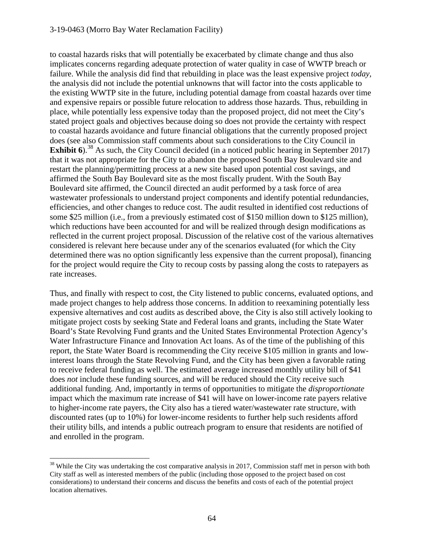#### 3-19-0463 (Morro Bay Water Reclamation Facility)

to coastal hazards risks that will potentially be exacerbated by climate change and thus also implicates concerns regarding adequate protection of water quality in case of WWTP breach or failure. While the analysis did find that rebuilding in place was the least expensive project *today,* the analysis did not include the potential unknowns that will factor into the costs applicable to the existing WWTP site in the future, including potential damage from coastal hazards over time and expensive repairs or possible future relocation to address those hazards. Thus, rebuilding in place, while potentially less expensive today than the proposed project, did not meet the City's stated project goals and objectives because doing so does not provide the certainty with respect to coastal hazards avoidance and future financial obligations that the currently proposed project does (see also Commission staff comments about such considerations to the City Council in **Exhibit 6**).<sup>38</sup> As such, the City Council decided (in a noticed public hearing in September 2017) that it was not appropriate for the City to abandon the proposed South Bay Boulevard site and restart the planning/permitting process at a new site based upon potential cost savings, and affirmed the South Bay Boulevard site as the most fiscally prudent. With the South Bay Boulevard site affirmed, the Council directed an audit performed by a task force of area wastewater professionals to understand project components and identify potential redundancies, efficiencies, and other changes to reduce cost. The audit resulted in identified cost reductions of some \$25 million (i.e., from a previously estimated cost of \$150 million down to \$125 million), which reductions have been accounted for and will be realized through design modifications as reflected in the current project proposal. Discussion of the relative cost of the various alternatives considered is relevant here because under any of the scenarios evaluated (for which the City determined there was no option significantly less expensive than the current proposal), financing for the project would require the City to recoup costs by passing along the costs to ratepayers as rate increases.

Thus, and finally with respect to cost, the City listened to public concerns, evaluated options, and made project changes to help address those concerns. In addition to reexamining potentially less expensive alternatives and cost audits as described above, the City is also still actively looking to mitigate project costs by seeking State and Federal loans and grants, including the State Water Board's State Revolving Fund grants and the United States Environmental Protection Agency's Water Infrastructure Finance and Innovation Act loans. As of the time of the publishing of this report, the State Water Board is recommending the City receive \$105 million in grants and lowinterest loans through the State Revolving Fund, and the City has been given a favorable rating to receive federal funding as well. The estimated average increased monthly utility bill of \$41 does *not* include these funding sources, and will be reduced should the City receive such additional funding. And, importantly in terms of opportunities to mitigate the *disproportionate*  impact which the maximum rate increase of \$41 will have on lower-income rate payers relative to higher-income rate payers, the City also has a tiered water/wastewater rate structure, with discounted rates (up to 10%) for lower-income residents to further help such residents afford their utility bills, and intends a public outreach program to ensure that residents are notified of and enrolled in the program.

<span id="page-63-0"></span> $\overline{a}$  $38$  While the City was undertaking the cost comparative analysis in 2017, Commission staff met in person with both City staff as well as interested members of the public (including those opposed to the project based on cost considerations) to understand their concerns and discuss the benefits and costs of each of the potential project location alternatives.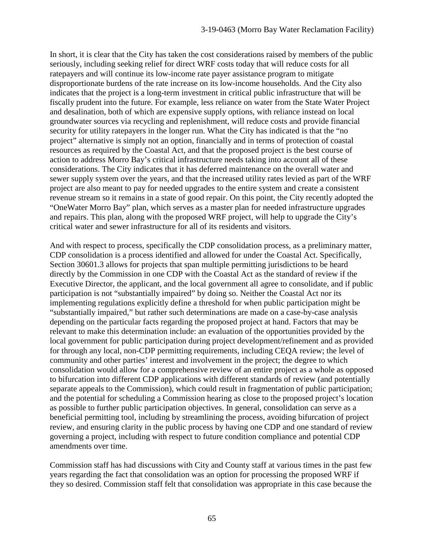In short, it is clear that the City has taken the cost considerations raised by members of the public seriously, including seeking relief for direct WRF costs today that will reduce costs for all ratepayers and will continue its low-income rate payer assistance program to mitigate disproportionate burdens of the rate increase on its low-income households. And the City also indicates that the project is a long-term investment in critical public infrastructure that will be fiscally prudent into the future. For example, less reliance on water from the State Water Project and desalination, both of which are expensive supply options, with reliance instead on local groundwater sources via recycling and replenishment, will reduce costs and provide financial security for utility ratepayers in the longer run. What the City has indicated is that the "no project" alternative is simply not an option, financially and in terms of protection of coastal resources as required by the Coastal Act, and that the proposed project is the best course of action to address Morro Bay's critical infrastructure needs taking into account all of these considerations. The City indicates that it has deferred maintenance on the overall water and sewer supply system over the years, and that the increased utility rates levied as part of the WRF project are also meant to pay for needed upgrades to the entire system and create a consistent revenue stream so it remains in a state of good repair. On this point, the City recently adopted the "OneWater Morro Bay" plan, which serves as a master plan for needed infrastructure upgrades and repairs. This plan, along with the proposed WRF project, will help to upgrade the City's critical water and sewer infrastructure for all of its residents and visitors.

And with respect to process, specifically the CDP consolidation process, as a preliminary matter, CDP consolidation is a process identified and allowed for under the Coastal Act. Specifically, Section 30601.3 allows for projects that span multiple permitting jurisdictions to be heard directly by the Commission in one CDP with the Coastal Act as the standard of review if the Executive Director, the applicant, and the local government all agree to consolidate, and if public participation is not "substantially impaired" by doing so. Neither the Coastal Act nor its implementing regulations explicitly define a threshold for when public participation might be "substantially impaired," but rather such determinations are made on a case-by-case analysis depending on the particular facts regarding the proposed project at hand. Factors that may be relevant to make this determination include: an evaluation of the opportunities provided by the local government for public participation during project development/refinement and as provided for through any local, non-CDP permitting requirements, including CEQA review; the level of community and other parties' interest and involvement in the project; the degree to which consolidation would allow for a comprehensive review of an entire project as a whole as opposed to bifurcation into different CDP applications with different standards of review (and potentially separate appeals to the Commission), which could result in fragmentation of public participation; and the potential for scheduling a Commission hearing as close to the proposed project's location as possible to further public participation objectives. In general, consolidation can serve as a beneficial permitting tool, including by streamlining the process, avoiding bifurcation of project review, and ensuring clarity in the public process by having one CDP and one standard of review governing a project, including with respect to future condition compliance and potential CDP amendments over time.

Commission staff has had discussions with City and County staff at various times in the past few years regarding the fact that consolidation was an option for processing the proposed WRF if they so desired. Commission staff felt that consolidation was appropriate in this case because the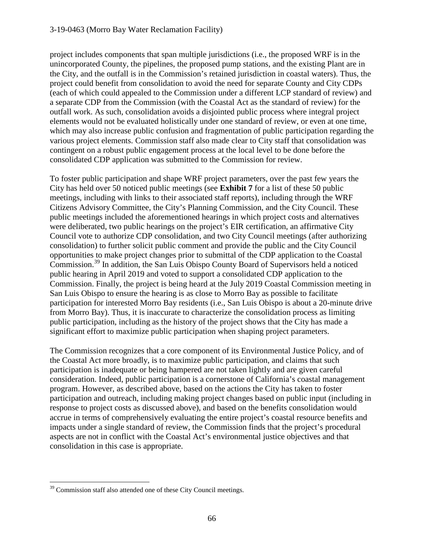#### 3-19-0463 (Morro Bay Water Reclamation Facility)

project includes components that span multiple jurisdictions (i.e., the proposed WRF is in the unincorporated County, the pipelines, the proposed pump stations, and the existing Plant are in the City, and the outfall is in the Commission's retained jurisdiction in coastal waters). Thus, the project could benefit from consolidation to avoid the need for separate County and City CDPs (each of which could appealed to the Commission under a different LCP standard of review) and a separate CDP from the Commission (with the Coastal Act as the standard of review) for the outfall work. As such, consolidation avoids a disjointed public process where integral project elements would not be evaluated holistically under one standard of review, or even at one time, which may also increase public confusion and fragmentation of public participation regarding the various project elements. Commission staff also made clear to City staff that consolidation was contingent on a robust public engagement process at the local level to be done before the consolidated CDP application was submitted to the Commission for review.

To foster public participation and shape WRF project parameters, over the past few years the City has held over 50 noticed public meetings (see **Exhibit 7** for a list of these 50 public meetings, including with links to their associated staff reports), including through the WRF Citizens Advisory Committee, the City's Planning Commission, and the City Council. These public meetings included the aforementioned hearings in which project costs and alternatives were deliberated, two public hearings on the project's EIR certification, an affirmative City Council vote to authorize CDP consolidation, and two City Council meetings (after authorizing consolidation) to further solicit public comment and provide the public and the City Council opportunities to make project changes prior to submittal of the CDP application to the Coastal Commission.[39](#page-65-0) In addition, the San Luis Obispo County Board of Supervisors held a noticed public hearing in April 2019 and voted to support a consolidated CDP application to the Commission. Finally, the project is being heard at the July 2019 Coastal Commission meeting in San Luis Obispo to ensure the hearing is as close to Morro Bay as possible to facilitate participation for interested Morro Bay residents (i.e., San Luis Obispo is about a 20-minute drive from Morro Bay). Thus, it is inaccurate to characterize the consolidation process as limiting public participation, including as the history of the project shows that the City has made a significant effort to maximize public participation when shaping project parameters.

The Commission recognizes that a core component of its Environmental Justice Policy, and of the Coastal Act more broadly, is to maximize public participation, and claims that such participation is inadequate or being hampered are not taken lightly and are given careful consideration. Indeed, public participation is a cornerstone of California's coastal management program. However, as described above, based on the actions the City has taken to foster participation and outreach, including making project changes based on public input (including in response to project costs as discussed above), and based on the benefits consolidation would accrue in terms of comprehensively evaluating the entire project's coastal resource benefits and impacts under a single standard of review, the Commission finds that the project's procedural aspects are not in conflict with the Coastal Act's environmental justice objectives and that consolidation in this case is appropriate.

<span id="page-65-0"></span> $\overline{a}$ <sup>39</sup> Commission staff also attended one of these City Council meetings.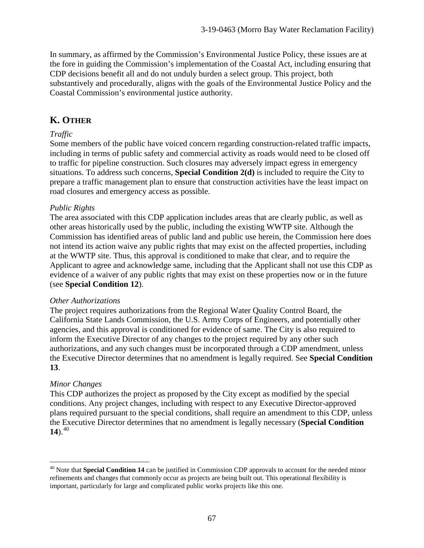In summary, as affirmed by the Commission's Environmental Justice Policy, these issues are at the fore in guiding the Commission's implementation of the Coastal Act, including ensuring that CDP decisions benefit all and do not unduly burden a select group. This project, both substantively and procedurally, aligns with the goals of the Environmental Justice Policy and the Coastal Commission's environmental justice authority.

# **K. OTHER**

## *Traffic*

Some members of the public have voiced concern regarding construction-related traffic impacts, including in terms of public safety and commercial activity as roads would need to be closed off to traffic for pipeline construction. Such closures may adversely impact egress in emergency situations. To address such concerns, **Special Condition 2(d)** is included to require the City to prepare a traffic management plan to ensure that construction activities have the least impact on road closures and emergency access as possible.

#### *Public Rights*

The area associated with this CDP application includes areas that are clearly public, as well as other areas historically used by the public, including the existing WWTP site. Although the Commission has identified areas of public land and public use herein, the Commission here does not intend its action waive any public rights that may exist on the affected properties, including at the WWTP site. Thus, this approval is conditioned to make that clear, and to require the Applicant to agree and acknowledge same, including that the Applicant shall not use this CDP as evidence of a waiver of any public rights that may exist on these properties now or in the future (see **Special Condition 12**).

#### *Other Authorizations*

The project requires authorizations from the Regional Water Quality Control Board, the California State Lands Commission, the U.S. Army Corps of Engineers, and potentially other agencies, and this approval is conditioned for evidence of same. The City is also required to inform the Executive Director of any changes to the project required by any other such authorizations, and any such changes must be incorporated through a CDP amendment, unless the Executive Director determines that no amendment is legally required. See **Special Condition 13**.

## *Minor Changes*

This CDP authorizes the project as proposed by the City except as modified by the special conditions. Any project changes, including with respect to any Executive Director-approved plans required pursuant to the special conditions, shall require an amendment to this CDP, unless the Executive Director determines that no amendment is legally necessary (**Special Condition**  14). $^{40}$  $^{40}$  $^{40}$ 

<span id="page-66-0"></span> $\overline{a}$ <sup>40</sup> Note that **Special Condition 14** can be justified in Commission CDP approvals to account for the needed minor refinements and changes that commonly occur as projects are being built out. This operational flexibility is important, particularly for large and complicated public works projects like this one.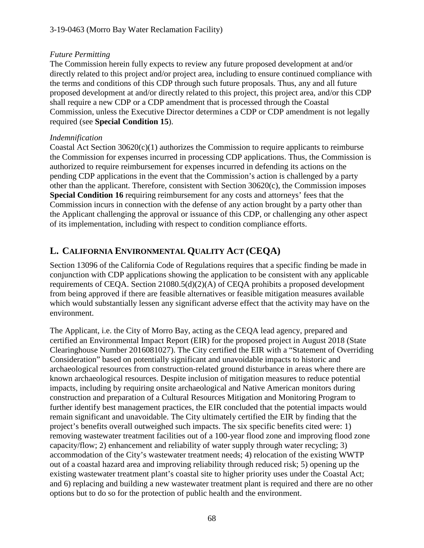# *Future Permitting*

The Commission herein fully expects to review any future proposed development at and/or directly related to this project and/or project area, including to ensure continued compliance with the terms and conditions of this CDP through such future proposals. Thus, any and all future proposed development at and/or directly related to this project, this project area, and/or this CDP shall require a new CDP or a CDP amendment that is processed through the Coastal Commission, unless the Executive Director determines a CDP or CDP amendment is not legally required (see **Special Condition 15**).

# *Indemnification*

Coastal Act Section  $30620(c)(1)$  authorizes the Commission to require applicants to reimburse the Commission for expenses incurred in processing CDP applications. Thus, the Commission is authorized to require reimbursement for expenses incurred in defending its actions on the pending CDP applications in the event that the Commission's action is challenged by a party other than the applicant. Therefore, consistent with Section 30620(c), the Commission imposes **Special Condition 16** requiring reimbursement for any costs and attorneys' fees that the Commission incurs in connection with the defense of any action brought by a party other than the Applicant challenging the approval or issuance of this CDP, or challenging any other aspect of its implementation, including with respect to condition compliance efforts.

# **L. CALIFORNIA ENVIRONMENTAL QUALITY ACT (CEQA)**

Section 13096 of the California Code of Regulations requires that a specific finding be made in conjunction with CDP applications showing the application to be consistent with any applicable requirements of CEQA. Section 21080.5(d)(2)(A) of CEQA prohibits a proposed development from being approved if there are feasible alternatives or feasible mitigation measures available which would substantially lessen any significant adverse effect that the activity may have on the environment.

The Applicant, i.e. the City of Morro Bay, acting as the CEQA lead agency, prepared and certified an Environmental Impact Report (EIR) for the proposed project in August 2018 (State Clearinghouse Number 2016081027). The City certified the EIR with a "Statement of Overriding Consideration" based on potentially significant and unavoidable impacts to historic and archaeological resources from construction-related ground disturbance in areas where there are known archaeological resources. Despite inclusion of mitigation measures to reduce potential impacts, including by requiring onsite archaeological and Native American monitors during construction and preparation of a Cultural Resources Mitigation and Monitoring Program to further identify best management practices, the EIR concluded that the potential impacts would remain significant and unavoidable. The City ultimately certified the EIR by finding that the project's benefits overall outweighed such impacts. The six specific benefits cited were: 1) removing wastewater treatment facilities out of a 100-year flood zone and improving flood zone capacity/flow; 2) enhancement and reliability of water supply through water recycling; 3) accommodation of the City's wastewater treatment needs; 4) relocation of the existing WWTP out of a coastal hazard area and improving reliability through reduced risk; 5) opening up the existing wastewater treatment plant's coastal site to higher priority uses under the Coastal Act; and 6) replacing and building a new wastewater treatment plant is required and there are no other options but to do so for the protection of public health and the environment.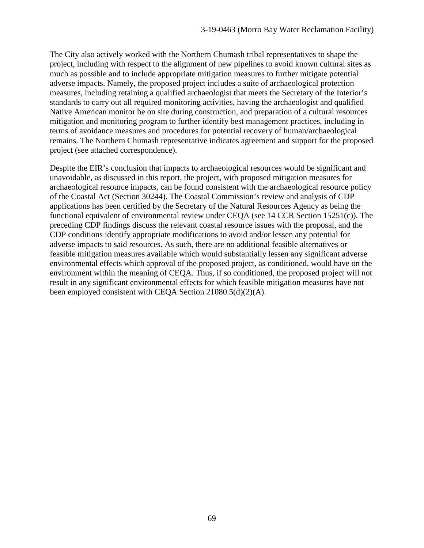The City also actively worked with the Northern Chumash tribal representatives to shape the project, including with respect to the alignment of new pipelines to avoid known cultural sites as much as possible and to include appropriate mitigation measures to further mitigate potential adverse impacts. Namely, the proposed project includes a suite of archaeological protection measures, including retaining a qualified archaeologist that meets the Secretary of the Interior's standards to carry out all required monitoring activities, having the archaeologist and qualified Native American monitor be on site during construction, and preparation of a cultural resources mitigation and monitoring program to further identify best management practices, including in terms of avoidance measures and procedures for potential recovery of human/archaeological remains. The Northern Chumash representative indicates agreement and support for the proposed project (see attached correspondence).

Despite the EIR's conclusion that impacts to archaeological resources would be significant and unavoidable, as discussed in this report, the project, with proposed mitigation measures for archaeological resource impacts, can be found consistent with the archaeological resource policy of the Coastal Act (Section 30244). The Coastal Commission's review and analysis of CDP applications has been certified by the Secretary of the Natural Resources Agency as being the functional equivalent of environmental review under CEQA (see 14 CCR Section 15251(c)). The preceding CDP findings discuss the relevant coastal resource issues with the proposal, and the CDP conditions identify appropriate modifications to avoid and/or lessen any potential for adverse impacts to said resources. As such, there are no additional feasible alternatives or feasible mitigation measures available which would substantially lessen any significant adverse environmental effects which approval of the proposed project, as conditioned, would have on the environment within the meaning of CEQA. Thus, if so conditioned, the proposed project will not result in any significant environmental effects for which feasible mitigation measures have not been employed consistent with CEQA Section 21080.5(d)(2)(A).